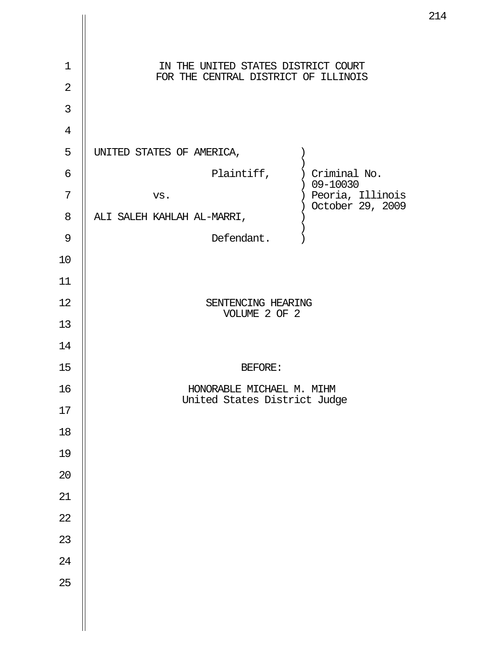| $\mathbf 1$<br>$\overline{2}$ | IN THE UNITED STATES DISTRICT COURT<br>FOR THE CENTRAL DISTRICT OF ILLINOIS |
|-------------------------------|-----------------------------------------------------------------------------|
| 3                             |                                                                             |
| $\overline{4}$                |                                                                             |
| 5                             | UNITED STATES OF AMERICA,                                                   |
| 6                             | Plaintiff, ) Criminal No.<br>$) 09 - 10030$                                 |
| 7                             | ) Peoria, Illinois<br>VS.<br>) October 29, 2009                             |
| 8                             | ALI SALEH KAHLAH AL-MARRI,                                                  |
| $\mathcal{G}$                 | Defendant.                                                                  |
| 10                            |                                                                             |
| 11                            |                                                                             |
| 12                            | SENTENCING HEARING<br>VOLUME 2 OF 2                                         |
| 13                            |                                                                             |
| 14                            |                                                                             |
| 15                            | <b>BEFORE:</b>                                                              |
| 16                            | HONORABLE MICHAEL M. MIHM                                                   |
| 17                            | United States District Judge                                                |
| 18                            |                                                                             |
| 19                            |                                                                             |
| $20\,$                        |                                                                             |
| 21                            |                                                                             |
| 22                            |                                                                             |
| 23                            |                                                                             |
| 24                            |                                                                             |
| 25                            |                                                                             |
|                               |                                                                             |
|                               |                                                                             |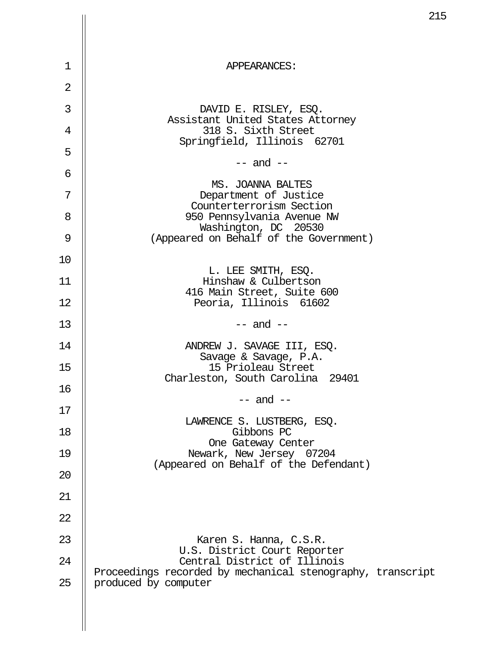|                |                                                                                            | 21 |
|----------------|--------------------------------------------------------------------------------------------|----|
|                |                                                                                            |    |
| 1              | APPEARANCES:                                                                               |    |
| $\overline{2}$ |                                                                                            |    |
| 3              | DAVID E. RISLEY, ESQ.                                                                      |    |
| 4              | Assistant United States Attorney<br>318 S. Sixth Street                                    |    |
| 5              | Springfield, Illinois 62701                                                                |    |
| 6              | $--$ and $--$                                                                              |    |
| 7              | MS. JOANNA BALTES<br>Department of Justice                                                 |    |
| 8              | Counterterrorism Section<br>950 Pennsylvania Avenue NW                                     |    |
| 9              | Washington, DC 20530<br>(Appeared on Behalf of the Government)                             |    |
| 10             |                                                                                            |    |
| 11             | L. LEE SMITH, ESQ.<br>Hinshaw & Culbertson                                                 |    |
| 12             | 416 Main Street, Suite 600<br>Peoria, Illinois 61602                                       |    |
| 13             | $--$ and $--$                                                                              |    |
| 14             | ANDREW J. SAVAGE III, ESQ.<br>Savage & Savage, P.A.                                        |    |
| 15             | 15 Prioleau Street<br>Charleston, South Carolina<br>29401                                  |    |
| 16             | $--$ and $--$                                                                              |    |
| 17             | LAWRENCE S. LUSTBERG, ESQ.                                                                 |    |
| 18             | Gibbons PC<br>One Gateway Center                                                           |    |
| 19             | Newark, New Jersey 07204<br>(Appeared on Behalf of the Defendant)                          |    |
| 20             |                                                                                            |    |
| 21             |                                                                                            |    |
| 22             |                                                                                            |    |
| 23             | Karen S. Hanna, C.S.R.<br>U.S. District Court Reporter                                     |    |
| 24             | Central District of Illinois<br>Proceedings recorded by mechanical stenography, transcript |    |
| 25             | produced by computer                                                                       |    |
|                |                                                                                            |    |
|                |                                                                                            |    |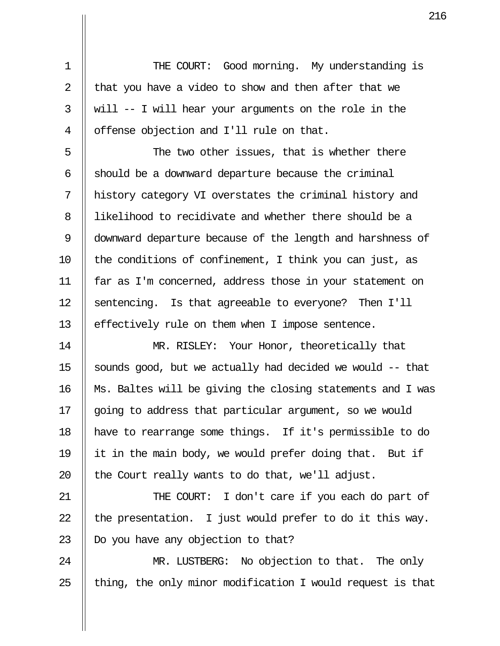1 THE COURT: Good morning. My understanding is 2  $\parallel$  that you have a video to show and then after that we 3  $\parallel$  will -- I will hear your arguments on the role in the 4 | offense objection and I'll rule on that.

 $5$   $\parallel$  The two other issues, that is whether there  $6$  || should be a downward departure because the criminal 7 history category VI overstates the criminal history and 8 likelihood to recidivate and whether there should be a 9 downward departure because of the length and harshness of 10  $\parallel$  the conditions of confinement, I think you can just, as 11 far as I'm concerned, address those in your statement on 12 || sentencing. Is that agreeable to everyone? Then I'll 13 | effectively rule on them when I impose sentence.

14 || MR. RISLEY: Your Honor, theoretically that 15  $\parallel$  sounds good, but we actually had decided we would  $-$ -that 16 Ms. Baltes will be giving the closing statements and I was 17 || going to address that particular argument, so we would 18 have to rearrange some things. If it's permissible to do 19  $\parallel$  it in the main body, we would prefer doing that. But if 20  $\parallel$  the Court really wants to do that, we'll adjust.

21 THE COURT: I don't care if you each do part of 22  $\parallel$  the presentation. I just would prefer to do it this way. 23  $\parallel$  Do you have any objection to that?

24 || MR. LUSTBERG: No objection to that. The only 25  $\parallel$  thing, the only minor modification I would request is that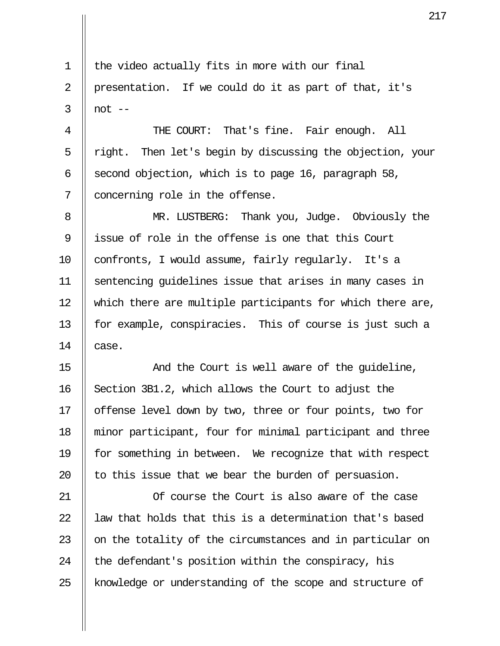$1 \parallel$  the video actually fits in more with our final 2 || presentation. If we could do it as part of that, it's  $3 \parallel \text{not} --$ 

4 || THE COURT: That's fine. Fair enough. All  $5 \parallel$  right. Then let's begin by discussing the objection, your 6 | second objection, which is to page 16, paragraph 58, 7 || concerning role in the offense.

8 || MR. LUSTBERG: Thank you, Judge. Obviously the 9 || issue of role in the offense is one that this Court 10 || confronts, I would assume, fairly regularly. It's a 11 sentencing guidelines issue that arises in many cases in 12 || which there are multiple participants for which there are, 13 || for example, conspiracies. This of course is just such a 14  $\parallel$  case.

15 || The Court is well aware of the quideline,  $16$  Section 3B1.2, which allows the Court to adjust the 17 || offense level down by two, three or four points, two for 18 minor participant, four for minimal participant and three 19 || for something in between. We recognize that with respect 20  $\parallel$  to this issue that we bear the burden of persuasion.

21 Of course the Court is also aware of the case  $22$   $\parallel$  law that holds that this is a determination that's based 23  $\parallel$  on the totality of the circumstances and in particular on 24  $\parallel$  the defendant's position within the conspiracy, his 25 || knowledge or understanding of the scope and structure of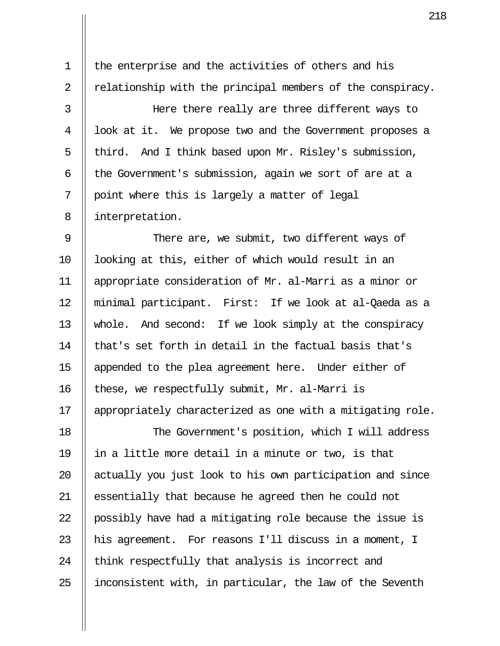1 || the enterprise and the activities of others and his 2  $\parallel$  relationship with the principal members of the conspiracy.

 3 Here there really are three different ways to 4 || look at it. We propose two and the Government proposes a 5 | third. And I think based upon Mr. Risley's submission, 6  $\parallel$  the Government's submission, again we sort of are at a  $7 \parallel$  point where this is largely a matter of legal 8 | interpretation.

9 || There are, we submit, two different ways of 10 || looking at this, either of which would result in an 11 appropriate consideration of Mr. al-Marri as a minor or 12 minimal participant. First: If we look at al-Qaeda as a 13 whole. And second: If we look simply at the conspiracy 14  $\parallel$  that's set forth in detail in the factual basis that's 15 appended to the plea agreement here. Under either of 16 || these, we respectfully submit, Mr. al-Marri is 17 || appropriately characterized as one with a mitigating role.

18 || The Government's position, which I will address 19  $\parallel$  in a little more detail in a minute or two, is that 20 || actually you just look to his own participation and since 21 || essentially that because he agreed then he could not 22 || possibly have had a mitigating role because the issue is 23  $\parallel$  his agreement. For reasons I'll discuss in a moment, I  $24$  || think respectfully that analysis is incorrect and  $25$  || inconsistent with, in particular, the law of the Seventh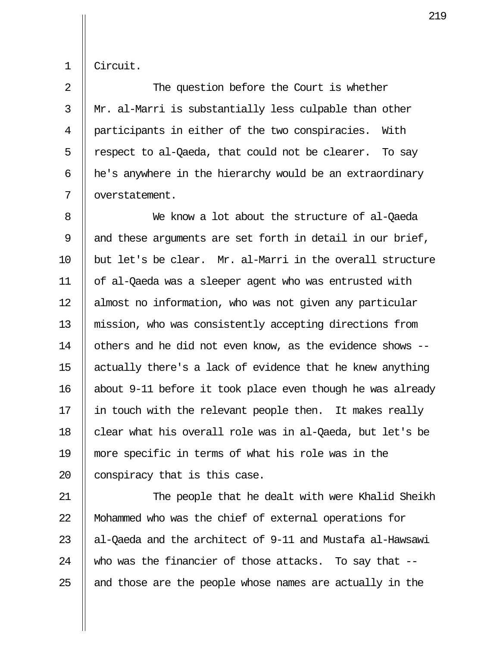1 Circuit.

2 || The question before the Court is whether 3 Mr. al-Marri is substantially less culpable than other 4 | participants in either of the two conspiracies. With 5 || respect to al-Qaeda, that could not be clearer. To say  $6$  || he's anywhere in the hierarchy would be an extraordinary 7 || overstatement.

 8 We know a lot about the structure of al-Qaeda 9  $\parallel$  and these arguments are set forth in detail in our brief,  $10$  | but let's be clear. Mr. al-Marri in the overall structure 11 of al-Qaeda was a sleeper agent who was entrusted with 12 almost no information, who was not given any particular 13 mission, who was consistently accepting directions from 14 | others and he did not even know, as the evidence shows --15  $\parallel$  actually there's a lack of evidence that he knew anything 16 about 9-11 before it took place even though he was already 17  $\parallel$  in touch with the relevant people then. It makes really 18  $\parallel$  clear what his overall role was in al-Qaeda, but let's be 19 more specific in terms of what his role was in the 20 || conspiracy that is this case.

21 The people that he dealt with were Khalid Sheikh 22 || Mohammed who was the chief of external operations for 23  $\parallel$  al-Oaeda and the architect of 9-11 and Mustafa al-Hawsawi 24 || who was the financier of those attacks. To say that  $25$  || and those are the people whose names are actually in the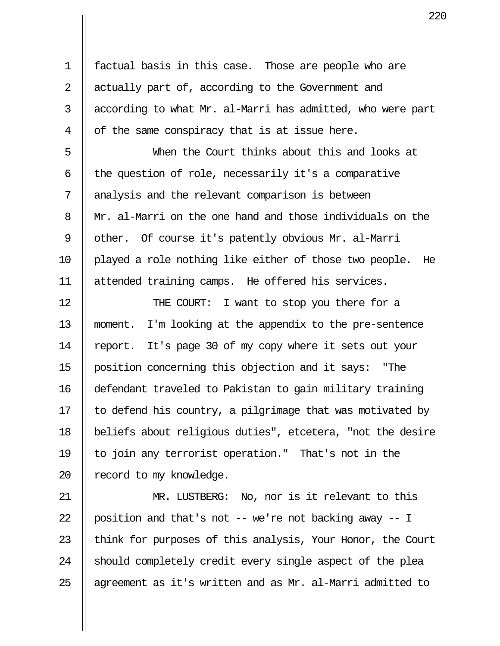1 factual basis in this case. Those are people who are 2  $\parallel$  actually part of, according to the Government and  $3$  || according to what Mr. al-Marri has admitted, who were part  $4 \parallel$  of the same conspiracy that is at issue here.

 5 When the Court thinks about this and looks at  $6$  || the question of role, necessarily it's a comparative 7 || analysis and the relevant comparison is between 8 Mr. al-Marri on the one hand and those individuals on the 9 | other. Of course it's patently obvious Mr. al-Marri 10 played a role nothing like either of those two people. He 11 attended training camps. He offered his services.

12 || THE COURT: I want to stop you there for a 13 moment. I'm looking at the appendix to the pre-sentence 14 | report. It's page 30 of my copy where it sets out your 15 position concerning this objection and it says: "The 16 defendant traveled to Pakistan to gain military training 17  $\parallel$  to defend his country, a pilgrimage that was motivated by 18 beliefs about religious duties", etcetera, "not the desire 19 || to join any terrorist operation." That's not in the 20 | record to my knowledge.

21 MR. LUSTBERG: No, nor is it relevant to this  $\parallel$  position and that's not -- we're not backing away -- I  $\parallel$  think for purposes of this analysis, Your Honor, the Court || should completely credit every single aspect of the plea  $\parallel$  agreement as it's written and as Mr. al-Marri admitted to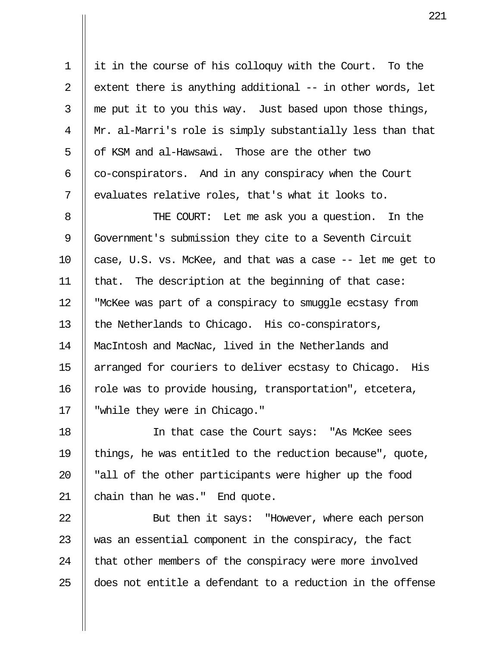1 it in the course of his colloquy with the Court. To the 2  $\parallel$  extent there is anything additional -- in other words, let 3  $\parallel$  me put it to you this way. Just based upon those things, 4 Mr. al-Marri's role is simply substantially less than that 5  $\parallel$  of KSM and al-Hawsawi. Those are the other two  $6 \parallel \text{co-conspirators.}$  And in any conspiracy when the Court  $7 \parallel$  evaluates relative roles, that's what it looks to.

8 || THE COURT: Let me ask you a question. In the 9 Government's submission they cite to a Seventh Circuit 10  $\parallel$  case, U.S. vs. McKee, and that was a case  $-$  let me get to 11 || that. The description at the beginning of that case: 12 "McKee was part of a conspiracy to smuggle ecstasy from 13  $\parallel$  the Netherlands to Chicago. His co-conspirators, 14 || MacIntosh and MacNac, lived in the Netherlands and 15 || arranged for couriers to deliver ecstasy to Chicago. His 16 || role was to provide housing, transportation", etcetera, 17 || "while they were in Chicago."

18 In that case the Court says: "As McKee sees 19 || things, he was entitled to the reduction because", quote, 20  $\parallel$  "all of the other participants were higher up the food 21  $\parallel$  chain than he was." End quote.

22 || But then it says: "However, where each person  $\parallel$  was an essential component in the conspiracy, the fact || that other members of the conspiracy were more involved  $\parallel$  does not entitle a defendant to a reduction in the offense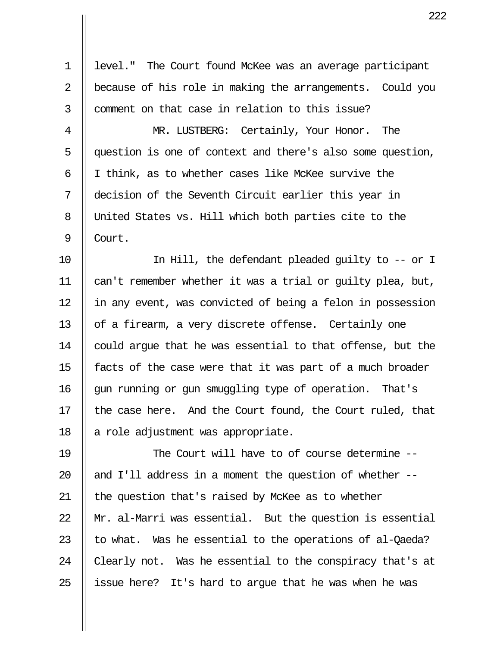1 level." The Court found McKee was an average participant 2 || because of his role in making the arrangements. Could you 3 || comment on that case in relation to this issue? 4 MR. LUSTBERG: Certainly, Your Honor. The 5 question is one of context and there's also some question, 6  $\parallel$  I think, as to whether cases like McKee survive the 7 decision of the Seventh Circuit earlier this year in 8 United States vs. Hill which both parties cite to the 9 Court. 10 In Hill, the defendant pleaded guilty to -- or I 11 can't remember whether it was a trial or guilty plea, but, 12 || in any event, was convicted of being a felon in possession 13  $\parallel$  of a firearm, a very discrete offense. Certainly one 14 | could argue that he was essential to that offense, but the 15  $\parallel$  facts of the case were that it was part of a much broader 16 || gun running or gun smuggling type of operation. That's 17 || the case here. And the Court found, the Court ruled, that 18  $\parallel$  a role adjustment was appropriate. 19 || The Court will have to of course determine --20  $\parallel$  and I'll address in a moment the question of whether --21 || the question that's raised by McKee as to whether 22  $\parallel$  Mr. al-Marri was essential. But the question is essential

23  $\parallel$  to what. Was he essential to the operations of al-Qaeda? 24  $\parallel$  Clearly not. Was he essential to the conspiracy that's at 25  $\parallel$  issue here? It's hard to arque that he was when he was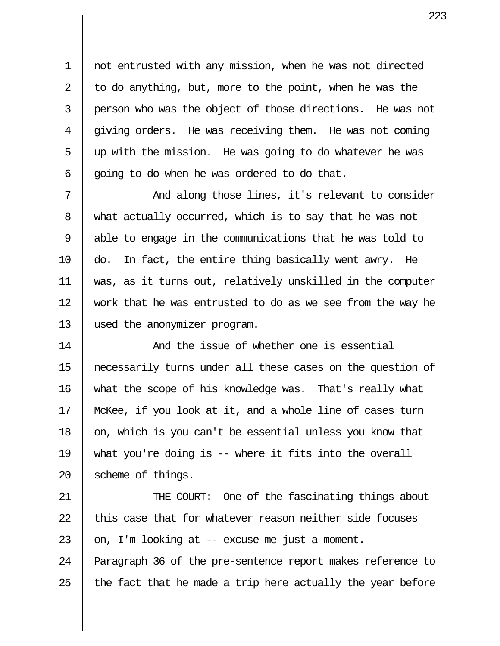1 not entrusted with any mission, when he was not directed 2  $\parallel$  to do anything, but, more to the point, when he was the 3 person who was the object of those directions. He was not  $4 \parallel$  giving orders. He was receiving them. He was not coming  $5 \parallel$  up with the mission. He was going to do whatever he was 6  $\parallel$  going to do when he was ordered to do that.

7 || The Mand along those lines, it's relevant to consider 8 what actually occurred, which is to say that he was not 9 || able to engage in the communications that he was told to 10  $\parallel$  do. In fact, the entire thing basically went awry. He 11 was, as it turns out, relatively unskilled in the computer 12 || work that he was entrusted to do as we see from the way he 13 used the anonymizer program.

14 And the issue of whether one is essential 15 necessarily turns under all these cases on the question of 16 what the scope of his knowledge was. That's really what 17 McKee, if you look at it, and a whole line of cases turn 18  $\parallel$  on, which is you can't be essential unless you know that 19 what you're doing is -- where it fits into the overall 20  $\parallel$  scheme of things.

21 || THE COURT: One of the fascinating things about  $22$   $\parallel$  this case that for whatever reason neither side focuses 23  $\parallel$  on, I'm looking at -- excuse me just a moment.

24 | Paragraph 36 of the pre-sentence report makes reference to 25  $\parallel$  the fact that he made a trip here actually the year before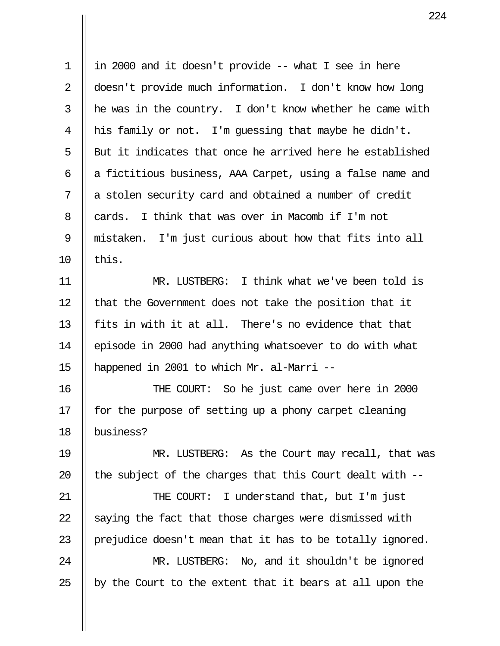1 in 2000 and it doesn't provide -- what I see in here 2 doesn't provide much information. I don't know how long  $3$  || he was in the country. I don't know whether he came with 4  $\parallel$  his family or not. I'm quessing that maybe he didn't.  $5$  || But it indicates that once he arrived here he established 6  $\parallel$  a fictitious business, AAA Carpet, using a false name and 7 || a stolen security card and obtained a number of credit 8  $\parallel$  cards. I think that was over in Macomb if I'm not 9 mistaken. I'm just curious about how that fits into all  $10$  | this.

11 MR. LUSTBERG: I think what we've been told is 12 || that the Government does not take the position that it 13  $\parallel$  fits in with it at all. There's no evidence that that 14 episode in 2000 had anything whatsoever to do with what 15 happened in 2001 to which Mr. al-Marri --

16 THE COURT: So he just came over here in 2000 17  $\parallel$  for the purpose of setting up a phony carpet cleaning 18 business?

19 MR. LUSTBERG: As the Court may recall, that was 20  $\parallel$  the subject of the charges that this Court dealt with --

21 || THE COURT: I understand that, but I'm just 22  $\parallel$  saying the fact that those charges were dismissed with 23  $\parallel$  prejudice doesn't mean that it has to be totally ignored. 24 || MR. LUSTBERG: No, and it shouldn't be ignored

25  $\parallel$  by the Court to the extent that it bears at all upon the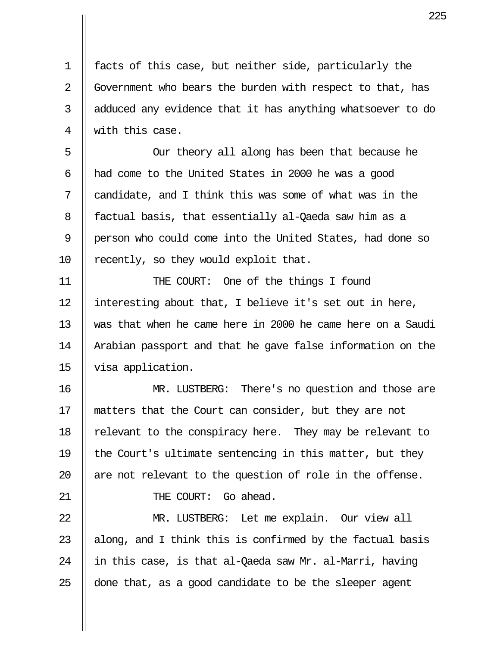1 facts of this case, but neither side, particularly the 2 | Government who bears the burden with respect to that, has 3 || adduced any evidence that it has anything whatsoever to do 4 || with this case.

 5 Our theory all along has been that because he  $6$  || had come to the United States in 2000 he was a good 7 candidate, and I think this was some of what was in the 8 || factual basis, that essentially al-Qaeda saw him as a 9 || person who could come into the United States, had done so 10  $\parallel$  recently, so they would exploit that.

11 THE COURT: One of the things I found 12 || interesting about that, I believe it's set out in here, 13 was that when he came here in 2000 he came here on a Saudi 14 | Arabian passport and that he gave false information on the 15 visa application.

16 MR. LUSTBERG: There's no question and those are 17 matters that the Court can consider, but they are not 18  $\parallel$  relevant to the conspiracy here. They may be relevant to 19  $\parallel$  the Court's ultimate sentencing in this matter, but they 20  $\parallel$  are not relevant to the question of role in the offense.

21 || THE COURT: Go ahead.

22 MR. LUSTBERG: Let me explain. Our view all  $\parallel$  along, and I think this is confirmed by the factual basis  $\parallel$  in this case, is that al-Qaeda saw Mr. al-Marri, having  $\parallel$  done that, as a good candidate to be the sleeper agent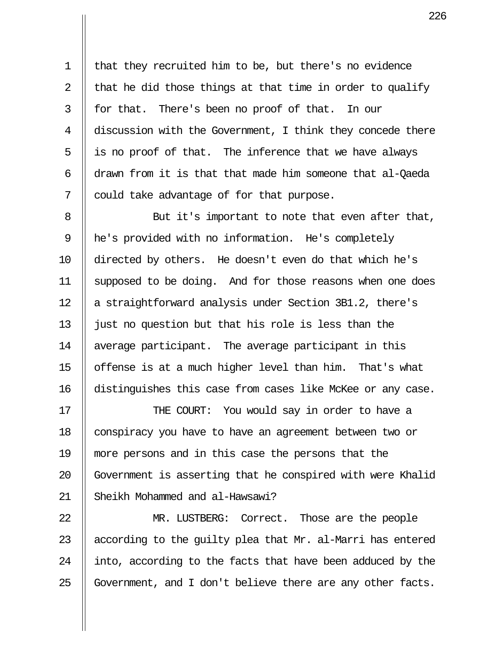1 that they recruited him to be, but there's no evidence 2  $\parallel$  that he did those things at that time in order to qualify  $3 \parallel$  for that. There's been no proof of that. In our 4 discussion with the Government, I think they concede there  $5 \parallel$  is no proof of that. The inference that we have always 6  $\parallel$  drawn from it is that that made him someone that al-Qaeda  $7 \parallel$  could take advantage of for that purpose.

8 || But it's important to note that even after that, 9 he's provided with no information. He's completely 10 directed by others. He doesn't even do that which he's 11 || supposed to be doing. And for those reasons when one does 12 || a straightforward analysis under Section 3B1.2, there's 13  $\parallel$  just no question but that his role is less than the 14 || average participant. The average participant in this 15  $\parallel$  offense is at a much higher level than him. That's what 16 distinguishes this case from cases like McKee or any case.

17 || THE COURT: You would say in order to have a 18 | conspiracy you have to have an agreement between two or 19 more persons and in this case the persons that the 20 || Government is asserting that he conspired with were Khalid 21 Sheikh Mohammed and al-Hawsawi?

22 || MR. LUSTBERG: Correct. Those are the people 23  $\parallel$  according to the quilty plea that Mr. al-Marri has entered 24 || into, according to the facts that have been adduced by the 25  $\parallel$  Government, and I don't believe there are any other facts.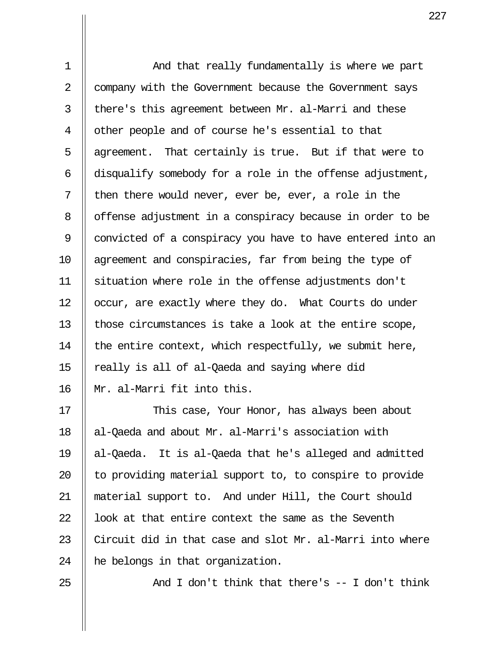1 || And that really fundamentally is where we part 2 | company with the Government because the Government says 3  $\parallel$  there's this agreement between Mr. al-Marri and these 4 | other people and of course he's essential to that 5  $\parallel$  agreement. That certainly is true. But if that were to  $6$  || disqualify somebody for a role in the offense adjustment, 7 || then there would never, ever be, ever, a role in the 8 | offense adjustment in a conspiracy because in order to be 9 || convicted of a conspiracy you have to have entered into an 10 agreement and conspiracies, far from being the type of 11 situation where role in the offense adjustments don't 12 | occur, are exactly where they do. What Courts do under 13 || those circumstances is take a look at the entire scope, 14  $\parallel$  the entire context, which respectfully, we submit here, 15  $\parallel$  really is all of al-Qaeda and saying where did 16 Mr. al-Marri fit into this.

17 || This case, Your Honor, has always been about 18 || al-Qaeda and about Mr. al-Marri's association with 19 al-Qaeda. It is al-Qaeda that he's alleged and admitted 20  $\parallel$  to providing material support to, to conspire to provide 21 material support to. And under Hill, the Court should 22  $\parallel$  look at that entire context the same as the Seventh 23  $\parallel$  Circuit did in that case and slot Mr. al-Marri into where 24  $\parallel$  he belongs in that organization.

25  $\parallel$  And I don't think that there's  $-$  I don't think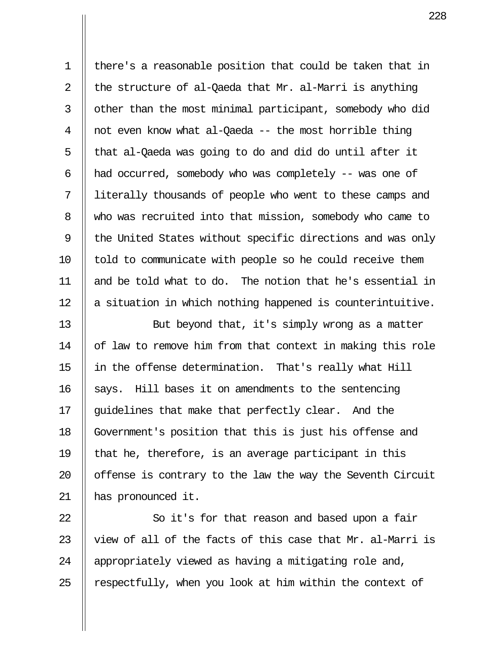1 there's a reasonable position that could be taken that in 2  $\parallel$  the structure of al-Qaeda that Mr. al-Marri is anything 3 || other than the most minimal participant, somebody who did 4  $\parallel$  not even know what al-Qaeda -- the most horrible thing  $5 \parallel$  that al-Qaeda was going to do and did do until after it 6  $\parallel$  had occurred, somebody who was completely -- was one of 7 literally thousands of people who went to these camps and 8 Who was recruited into that mission, somebody who came to 9  $\parallel$  the United States without specific directions and was only  $10$  | told to communicate with people so he could receive them 11 and be told what to do. The notion that he's essential in 12 || a situation in which nothing happened is counterintuitive. 13 || But beyond that, it's simply wrong as a matter

14 | of law to remove him from that context in making this role 15 in the offense determination. That's really what Hill  $16$  | says. Hill bases it on amendments to the sentencing 17 || quidelines that make that perfectly clear. And the 18 Government's position that this is just his offense and 19  $\parallel$  that he, therefore, is an average participant in this 20 || offense is contrary to the law the way the Seventh Circuit 21 has pronounced it.

22 || So it's for that reason and based upon a fair 23  $\parallel$  view of all of the facts of this case that Mr. al-Marri is 24 || appropriately viewed as having a mitigating role and, 25  $\parallel$  respectfully, when you look at him within the context of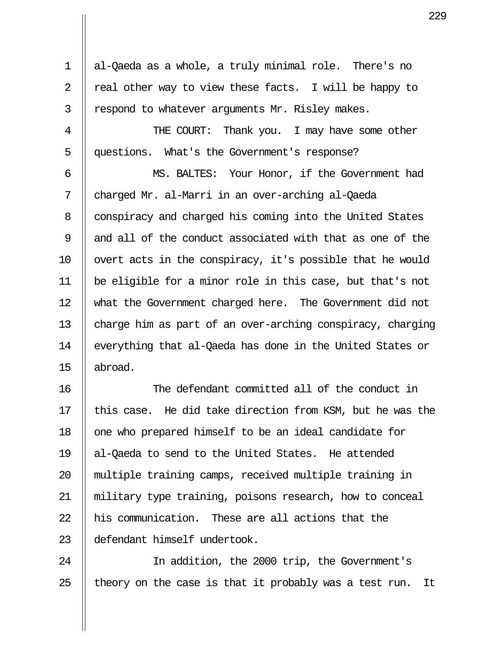1 al-Qaeda as a whole, a truly minimal role. There's no 2  $\parallel$  real other way to view these facts. I will be happy to  $3$  | respond to whatever arguments Mr. Risley makes. 4 || THE COURT: Thank you. I may have some other 5 questions. What's the Government's response? 6 MS. BALTES: Your Honor, if the Government had 7 charged Mr. al-Marri in an over-arching al-Qaeda 8 | conspiracy and charged his coming into the United States 9 || and all of the conduct associated with that as one of the 10  $\parallel$  overt acts in the conspiracy, it's possible that he would 11 be eligible for a minor role in this case, but that's not 12 what the Government charged here. The Government did not 13 charge him as part of an over-arching conspiracy, charging 14 || everything that al-Qaeda has done in the United States or 15 abroad.

16 The defendant committed all of the conduct in 17  $\parallel$  this case. He did take direction from KSM, but he was the 18 || one who prepared himself to be an ideal candidate for 19 al-Qaeda to send to the United States. He attended 20 || multiple training camps, received multiple training in 21 military type training, poisons research, how to conceal  $22$   $\parallel$  his communication. These are all actions that the 23 defendant himself undertook.

24 || In addition, the 2000 trip, the Government's 25  $\parallel$  theory on the case is that it probably was a test run. It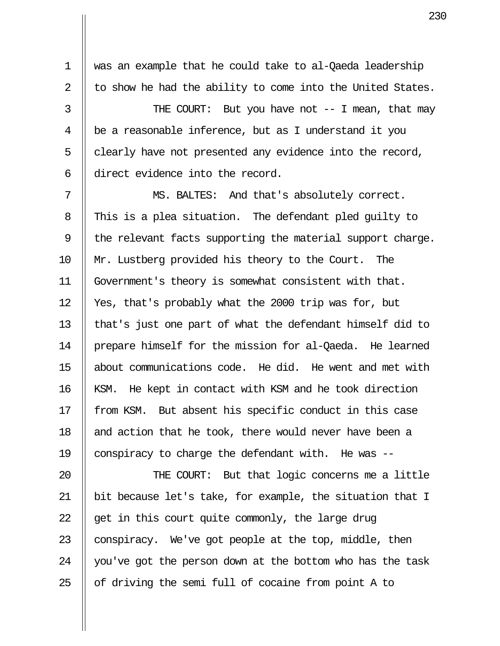1 was an example that he could take to al-Qaeda leadership 2  $\parallel$  to show he had the ability to come into the United States.

3 || THE COURT: But you have not -- I mean, that may 4 be a reasonable inference, but as I understand it you  $5$  | clearly have not presented any evidence into the record, 6 || direct evidence into the record.

7 || MS. BALTES: And that's absolutely correct. 8 This is a plea situation. The defendant pled quilty to 9  $\parallel$  the relevant facts supporting the material support charge. 10 Mr. Lustberg provided his theory to the Court. The 11 Government's theory is somewhat consistent with that. 12 Yes, that's probably what the 2000 trip was for, but 13 || that's just one part of what the defendant himself did to 14 prepare himself for the mission for al-Qaeda. He learned 15 about communications code. He did. He went and met with 16 || KSM. He kept in contact with KSM and he took direction 17 || from KSM. But absent his specific conduct in this case 18  $\parallel$  and action that he took, there would never have been a 19  $\parallel$  conspiracy to charge the defendant with. He was --

20 || THE COURT: But that logic concerns me a little  $\parallel$  bit because let's take, for example, the situation that I  $\parallel$  get in this court quite commonly, the large drug  $\parallel$  conspiracy. We've got people at the top, middle, then  $\parallel$  you've got the person down at the bottom who has the task  $\parallel$  of driving the semi full of cocaine from point A to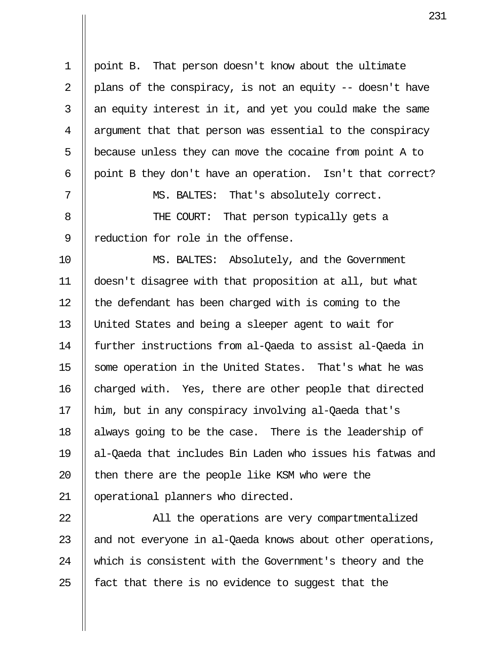1 point B. That person doesn't know about the ultimate 2 || plans of the conspiracy, is not an equity  $-$  doesn't have  $3$  || an equity interest in it, and yet you could make the same 4 || argument that that person was essential to the conspiracy  $5$  | because unless they can move the cocaine from point A to 6 | point B they don't have an operation. Isn't that correct? 7 MS. BALTES: That's absolutely correct. 8 || THE COURT: That person typically gets a 9 || reduction for role in the offense. 10 MS. BALTES: Absolutely, and the Government 11 doesn't disagree with that proposition at all, but what 12 | the defendant has been charged with is coming to the 13 United States and being a sleeper agent to wait for 14 further instructions from al-Qaeda to assist al-Qaeda in 15 || some operation in the United States. That's what he was  $16$  charged with. Yes, there are other people that directed 17 him, but in any conspiracy involving al-Qaeda that's 18 || always going to be the case. There is the leadership of 19 al-Qaeda that includes Bin Laden who issues his fatwas and 20  $\parallel$  then there are the people like KSM who were the 21 operational planners who directed.

22 || All the operations are very compartmentalized 23  $\parallel$  and not everyone in al-Qaeda knows about other operations, 24 Which is consistent with the Government's theory and the 25  $\parallel$  fact that there is no evidence to suggest that the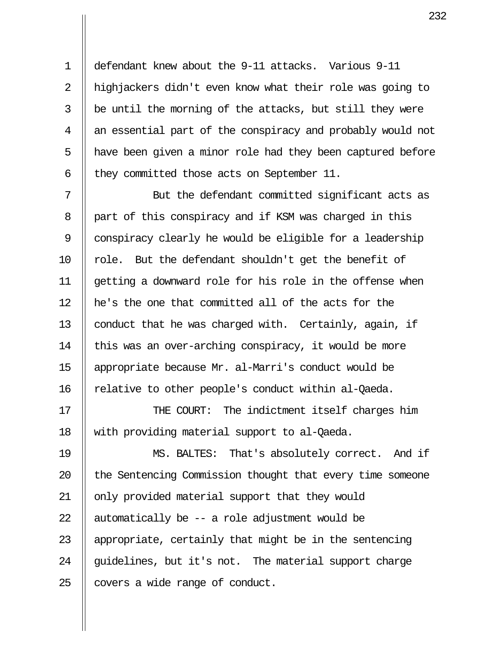1 defendant knew about the 9-11 attacks. Various 9-11 2 || highjackers didn't even know what their role was going to  $3 \parallel$  be until the morning of the attacks, but still they were  $4 \parallel$  an essential part of the conspiracy and probably would not 5 || have been given a minor role had they been captured before 6  $\parallel$  they committed those acts on September 11.

 7 But the defendant committed significant acts as 8 | part of this conspiracy and if KSM was charged in this 9 || conspiracy clearly he would be eligible for a leadership 10  $\parallel$  role. But the defendant shouldn't get the benefit of 11 getting a downward role for his role in the offense when 12 he's the one that committed all of the acts for the 13 | conduct that he was charged with. Certainly, again, if 14  $\parallel$  this was an over-arching conspiracy, it would be more 15 appropriate because Mr. al-Marri's conduct would be 16  $\parallel$  relative to other people's conduct within al-Qaeda.

17 || THE COURT: The indictment itself charges him 18 with providing material support to al-Qaeda.

19 MS. BALTES: That's absolutely correct. And if 20 || the Sentencing Commission thought that every time someone 21 | only provided material support that they would 22  $\parallel$  automatically be -- a role adjustment would be 23  $\parallel$  appropriate, certainly that might be in the sentencing 24  $\parallel$  quidelines, but it's not. The material support charge  $25$  | covers a wide range of conduct.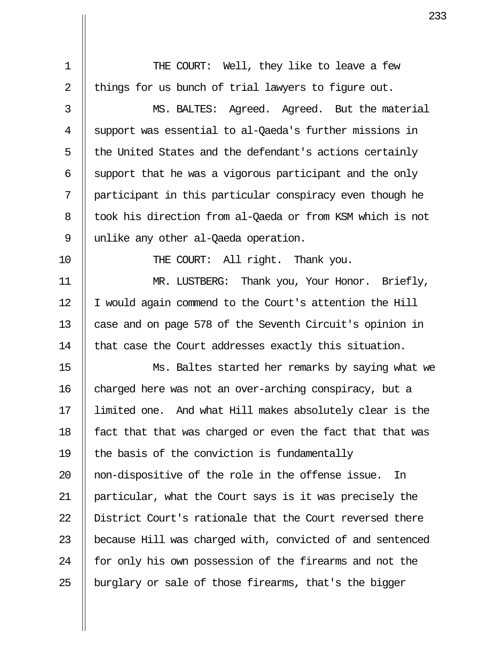1 || THE COURT: Well, they like to leave a few 2  $\parallel$  things for us bunch of trial lawyers to figure out. 3 MS. BALTES: Agreed. Agreed. But the material 4 Support was essential to al-Qaeda's further missions in  $5$   $\parallel$  the United States and the defendant's actions certainly  $6$  || support that he was a vigorous participant and the only 7 participant in this particular conspiracy even though he 8 || took his direction from al-Qaeda or from KSM which is not 9 || unlike any other al-Qaeda operation. 10 || THE COURT: All right. Thank you. 11 MR. LUSTBERG: Thank you, Your Honor. Briefly, 12 | I would again commend to the Court's attention the Hill 13 || case and on page 578 of the Seventh Circuit's opinion in 14 | that case the Court addresses exactly this situation. 15 Ms. Baltes started her remarks by saying what we 16 charged here was not an over-arching conspiracy, but a 17 limited one. And what Hill makes absolutely clear is the 18  $\parallel$  fact that that was charged or even the fact that that was 19  $\parallel$  the basis of the conviction is fundamentally 20 || non-dispositive of the role in the offense issue. In 21 particular, what the Court says is it was precisely the 22 || District Court's rationale that the Court reversed there 23 || because Hill was charged with, convicted of and sentenced  $24$  || for only his own possession of the firearms and not the 25 || burglary or sale of those firearms, that's the bigger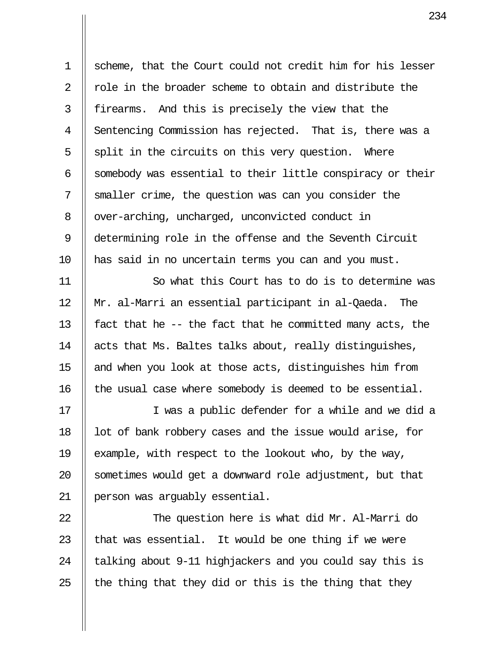1 Scheme, that the Court could not credit him for his lesser  $2 \parallel$  role in the broader scheme to obtain and distribute the  $3$  || firearms. And this is precisely the view that the 4 Sentencing Commission has rejected. That is, there was a  $5 \parallel$  split in the circuits on this very question. Where 6  $\parallel$  somebody was essential to their little conspiracy or their 7 Smaller crime, the question was can you consider the 8 | over-arching, uncharged, unconvicted conduct in 9 determining role in the offense and the Seventh Circuit 10 has said in no uncertain terms you can and you must.

11 So what this Court has to do is to determine was 12 Mr. al-Marri an essential participant in al-Qaeda. The 13  $\parallel$  fact that he -- the fact that he committed many acts, the 14  $\parallel$  acts that Ms. Baltes talks about, really distinguishes, 15 || and when you look at those acts, distinguishes him from  $16$  || the usual case where somebody is deemed to be essential.

17 || I was a public defender for a while and we did a 18  $\parallel$  lot of bank robbery cases and the issue would arise, for 19  $\parallel$  example, with respect to the lookout who, by the way, 20 || sometimes would get a downward role adjustment, but that 21 person was arguably essential.

22 || The question here is what did Mr. Al-Marri do  $\parallel$  that was essential. It would be one thing if we were  $\parallel$  talking about 9-11 highjackers and you could say this is  $\parallel$  the thing that they did or this is the thing that they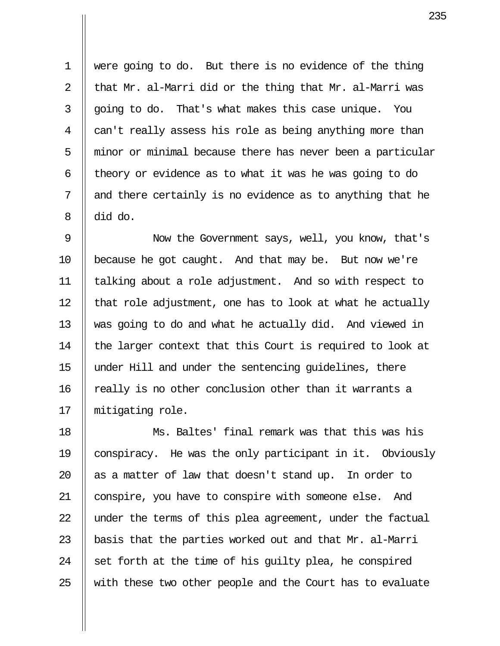1 were going to do. But there is no evidence of the thing 2  $\parallel$  that Mr. al-Marri did or the thing that Mr. al-Marri was  $3 \parallel$  going to do. That's what makes this case unique. You  $4 \parallel$  can't really assess his role as being anything more than  $5$   $\parallel$  minor or minimal because there has never been a particular 6  $\parallel$  theory or evidence as to what it was he was going to do  $7 \parallel$  and there certainly is no evidence as to anything that he  $8 \parallel$  did do.

 9 Now the Government says, well, you know, that's 10 | because he got caught. And that may be. But now we're 11 talking about a role adjustment. And so with respect to 12  $\parallel$  that role adjustment, one has to look at what he actually 13 was going to do and what he actually did. And viewed in 14  $\parallel$  the larger context that this Court is required to look at 15 under Hill and under the sentencing guidelines, there 16 || really is no other conclusion other than it warrants a 17 || mitigating role.

18 Ms. Baltes' final remark was that this was his 19 conspiracy. He was the only participant in it. Obviously  $\parallel$  as a matter of law that doesn't stand up. In order to 21 || conspire, you have to conspire with someone else. And  $\parallel$  under the terms of this plea agreement, under the factual  $\parallel$  basis that the parties worked out and that Mr. al-Marri  $\parallel$  set forth at the time of his quilty plea, he conspired  $\parallel$  with these two other people and the Court has to evaluate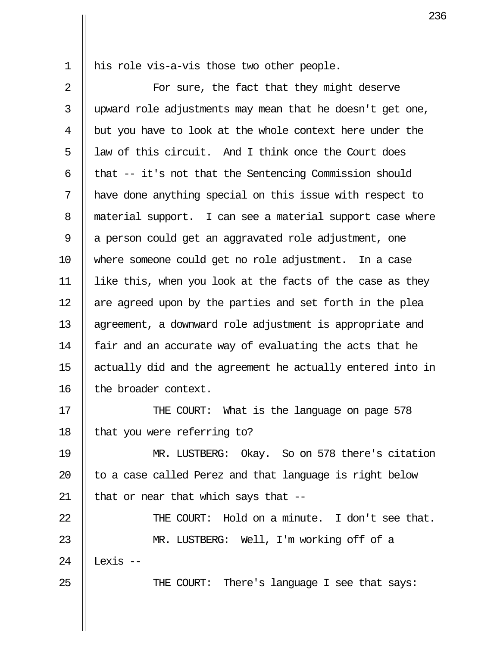1 || his role vis-a-vis those two other people.

2 || For sure, the fact that they might deserve 3 upward role adjustments may mean that he doesn't get one, 4 | but you have to look at the whole context here under the  $5$   $\parallel$  law of this circuit. And I think once the Court does 6  $\parallel$  that -- it's not that the Sentencing Commission should 7 have done anything special on this issue with respect to 8 || material support. I can see a material support case where 9 || a person could get an aggravated role adjustment, one 10 where someone could get no role adjustment. In a case 11 like this, when you look at the facts of the case as they  $12$  || are agreed upon by the parties and set forth in the plea 13 || agreement, a downward role adjustment is appropriate and 14  $\parallel$  fair and an accurate way of evaluating the acts that he 15 actually did and the agreement he actually entered into in 16 || the broader context.

17 || THE COURT: What is the language on page 578 18  $\parallel$  that you were referring to?

19 MR. LUSTBERG: Okay. So on 578 there's citation 20  $\parallel$  to a case called Perez and that language is right below 21  $\parallel$  that or near that which says that --

22 THE COURT: Hold on a minute. I don't see that. 23 MR. LUSTBERG: Well, I'm working off of a 24  $\parallel$  Lexis --25 || THE COURT: There's language I see that says: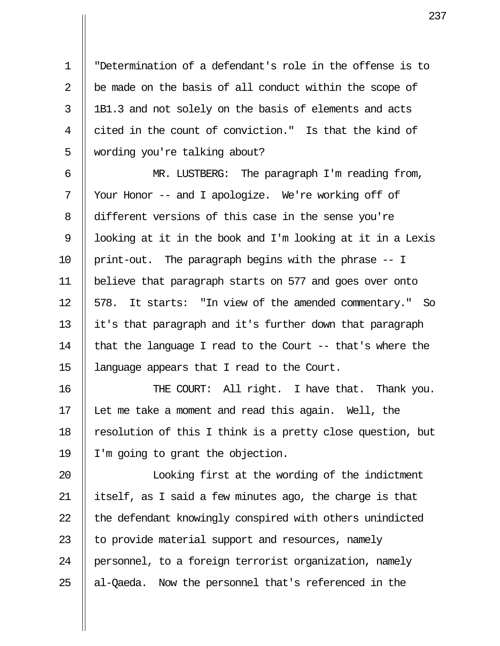1 "Determination of a defendant's role in the offense is to 2  $\parallel$  be made on the basis of all conduct within the scope of 3 || 1B1.3 and not solely on the basis of elements and acts 4 cited in the count of conviction." Is that the kind of 5 | wording you're talking about?

 6 MR. LUSTBERG: The paragraph I'm reading from, 7 || Your Honor -- and I apologize. We're working off of 8 different versions of this case in the sense you're 9  $\parallel$  looking at it in the book and I'm looking at it in a Lexis 10 || print-out. The paragraph begins with the phrase  $-1$ 11 believe that paragraph starts on 577 and goes over onto 12 || 578. It starts: "In view of the amended commentary." So 13  $\parallel$  it's that paragraph and it's further down that paragraph 14  $\parallel$  that the language I read to the Court -- that's where the 15 language appears that I read to the Court.

16 THE COURT: All right. I have that. Thank you. 17 Let me take a moment and read this again. Well, the 18  $\parallel$  resolution of this I think is a pretty close question, but 19 I'm going to grant the objection.

20 || Iooking first at the wording of the indictment 21 itself, as I said a few minutes ago, the charge is that  $22$   $\parallel$  the defendant knowingly conspired with others unindicted 23  $\parallel$  to provide material support and resources, namely 24 | personnel, to a foreign terrorist organization, namely  $25$  || al-Qaeda. Now the personnel that's referenced in the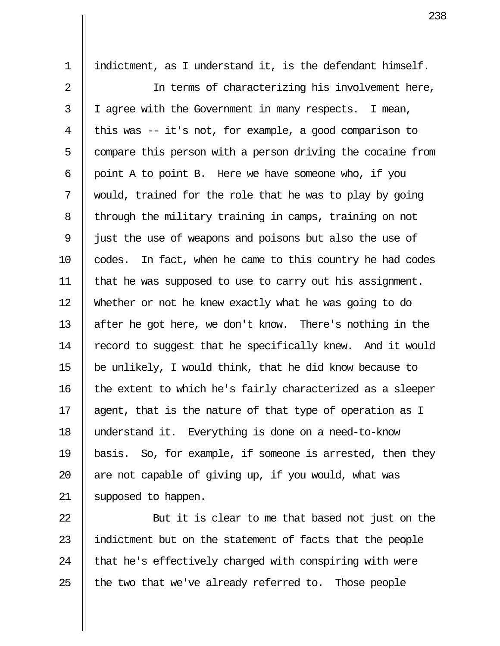1 indictment, as I understand it, is the defendant himself. 2 || In terms of characterizing his involvement here, 3 || I agree with the Government in many respects. I mean, 4 || this was  $-$  it's not, for example, a good comparison to  $5$  | compare this person with a person driving the cocaine from  $6$  | point A to point B. Here we have someone who, if you  $7$  || would, trained for the role that he was to play by going  $8$  | through the military training in camps, training on not 9 || just the use of weapons and poisons but also the use of 10 || codes. In fact, when he came to this country he had codes 11  $\parallel$  that he was supposed to use to carry out his assignment. 12 Whether or not he knew exactly what he was going to do 13  $\parallel$  after he got here, we don't know. There's nothing in the 14 | record to suggest that he specifically knew. And it would 15  $\parallel$  be unlikely, I would think, that he did know because to 16 | the extent to which he's fairly characterized as a sleeper 17  $\parallel$  agent, that is the nature of that type of operation as I 18 understand it. Everything is done on a need-to-know 19 basis. So, for example, if someone is arrested, then they 20  $\parallel$  are not capable of giving up, if you would, what was 21 || supposed to happen.

22 || But it is clear to me that based not just on the 23 || indictment but on the statement of facts that the people 24  $\parallel$  that he's effectively charged with conspiring with were 25  $\parallel$  the two that we've already referred to. Those people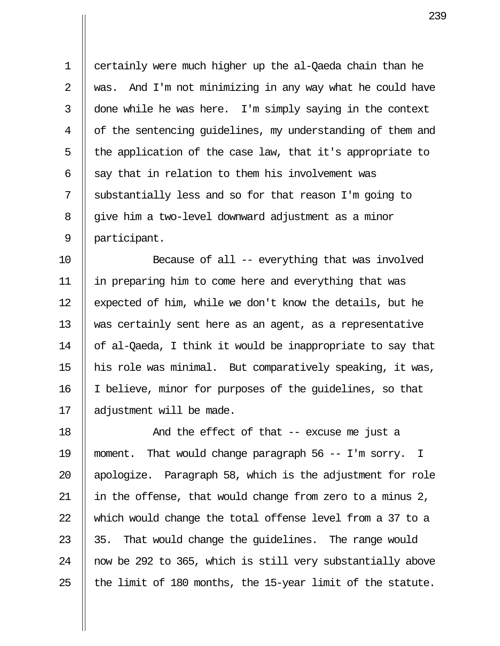1 certainly were much higher up the al-Qaeda chain than he 2  $\parallel$  was. And I'm not minimizing in any way what he could have  $3 \parallel$  done while he was here. I'm simply saying in the context 4 || of the sentencing quidelines, my understanding of them and  $5$  || the application of the case law, that it's appropriate to 6  $\parallel$  say that in relation to them his involvement was 7 || substantially less and so for that reason I'm going to 8 | qive him a two-level downward adjustment as a minor 9 participant.

10 Because of all -- everything that was involved 11 in preparing him to come here and everything that was 12 || expected of him, while we don't know the details, but he 13 || was certainly sent here as an agent, as a representative 14 of al-Qaeda, I think it would be inappropriate to say that 15  $\parallel$  his role was minimal. But comparatively speaking, it was, 16  $\parallel$  I believe, minor for purposes of the guidelines, so that 17 || adjustment will be made.

18 And the effect of that -- excuse me just a 19 moment. That would change paragraph 56 -- I'm sorry. I 20  $\parallel$  apologize. Paragraph 58, which is the adjustment for role 21 in the offense, that would change from zero to a minus 2, 22  $\parallel$  which would change the total offense level from a 37 to a 23  $\parallel$  35. That would change the quidelines. The range would 24 || now be 292 to 365, which is still very substantially above 25  $\parallel$  the limit of 180 months, the 15-year limit of the statute.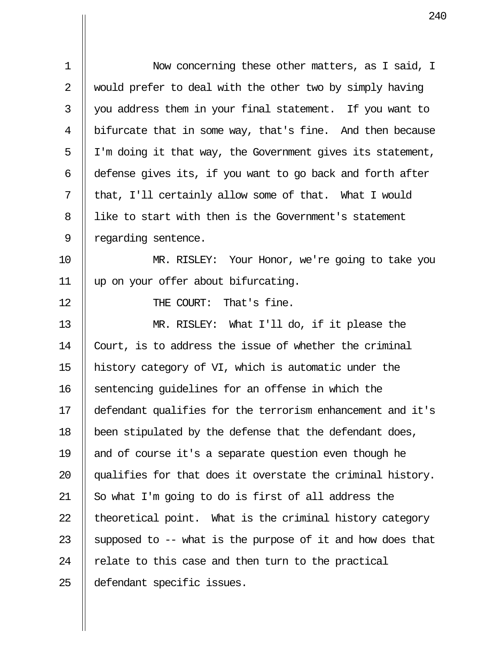| $\mathbf 1$ | Now concerning these other matters, as I said, I           |
|-------------|------------------------------------------------------------|
| 2           | would prefer to deal with the other two by simply having   |
| 3           | you address them in your final statement. If you want to   |
| 4           | bifurcate that in some way, that's fine. And then because  |
| 5           | I'm doing it that way, the Government gives its statement, |
| 6           | defense gives its, if you want to go back and forth after  |
| 7           | that, I'll certainly allow some of that. What I would      |
| 8           | like to start with then is the Government's statement      |
| 9           | regarding sentence.                                        |
| 10          | MR. RISLEY: Your Honor, we're going to take you            |
| 11          | up on your offer about bifurcating.                        |
| 12          | THE COURT: That's fine.                                    |
| 13          | MR. RISLEY: What I'll do, if it please the                 |
| 14          | Court, is to address the issue of whether the criminal     |
| 15          | history category of VI, which is automatic under the       |
| 16          | sentencing quidelines for an offense in which the          |
| 17          | defendant qualifies for the terrorism enhancement and it's |
| 18          | been stipulated by the defense that the defendant does,    |
| 19          | and of course it's a separate question even though he      |
| 20          | qualifies for that does it overstate the criminal history. |
| 21          | So what I'm going to do is first of all address the        |
| 22          | theoretical point. What is the criminal history category   |
| 23          | supposed to -- what is the purpose of it and how does that |
| 24          | relate to this case and then turn to the practical         |
| 25          | defendant specific issues.                                 |

 $\mathbf{\mathsf{I}}$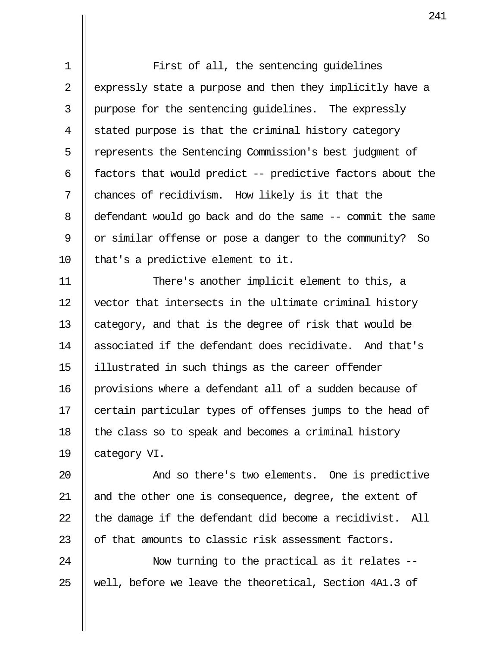1 || First of all, the sentencing quidelines 2 | expressly state a purpose and then they implicitly have a 3 | purpose for the sentencing quidelines. The expressly  $4 \parallel$  stated purpose is that the criminal history category 5 | represents the Sentencing Commission's best judgment of 6  $\parallel$  factors that would predict -- predictive factors about the  $7 \parallel$  chances of recidivism. How likely is it that the 8 defendant would go back and do the same -- commit the same 9 | or similar offense or pose a danger to the community? So 10  $\parallel$  that's a predictive element to it.

11 There's another implicit element to this, a 12 vector that intersects in the ultimate criminal history 13  $\parallel$  category, and that is the degree of risk that would be 14 || associated if the defendant does recidivate. And that's 15 illustrated in such things as the career offender 16 | provisions where a defendant all of a sudden because of 17 || certain particular types of offenses jumps to the head of 18  $\parallel$  the class so to speak and becomes a criminal history 19 || category VI.

**And so there's two elements.** One is predictive 21 || and the other one is consequence, degree, the extent of  $\parallel$  the damage if the defendant did become a recidivist. All  $\parallel$  of that amounts to classic risk assessment factors.

24 || Now turning to the practical as it relates --25 || well, before we leave the theoretical, Section  $4A1.3$  of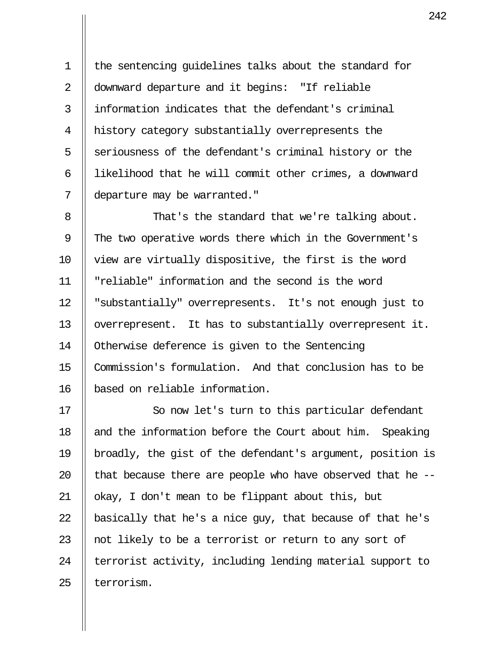1 the sentencing guidelines talks about the standard for 2 || downward departure and it begins: "If reliable 3 information indicates that the defendant's criminal 4 | history category substantially overrepresents the 5 S eriousness of the defendant's criminal history or the 6 | likelihood that he will commit other crimes, a downward 7 departure may be warranted."

 8 That's the standard that we're talking about. 9 The two operative words there which in the Government's 10 view are virtually dispositive, the first is the word 11 "reliable" information and the second is the word 12 "substantially" overrepresents. It's not enough just to 13 | overrepresent. It has to substantially overrepresent it. 14 Otherwise deference is given to the Sentencing 15 Commission's formulation. And that conclusion has to be 16 based on reliable information.

17 || So now let's turn to this particular defendant  $\parallel$  and the information before the Court about him. Speaking 19 broadly, the gist of the defendant's argument, position is  $\parallel$  that because there are people who have observed that he --21 || okay, I don't mean to be flippant about this, but  $\parallel$  basically that he's a nice guy, that because of that he's  $\parallel$  not likely to be a terrorist or return to any sort of  $\parallel$  terrorist activity, including lending material support to  $\parallel$  terrorism.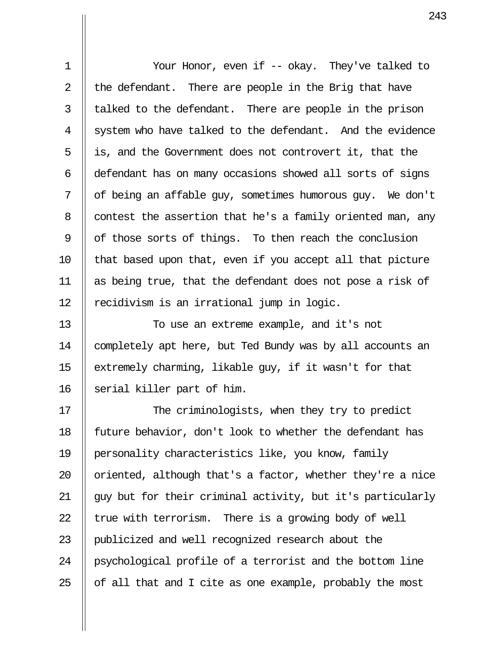1 Your Honor, even if -- okay. They've talked to 2  $\parallel$  the defendant. There are people in the Brig that have  $3$  | talked to the defendant. There are people in the prison 4 System who have talked to the defendant. And the evidence 5 is, and the Government does not controvert it, that the 6 defendant has on many occasions showed all sorts of signs  $7 \parallel$  of being an affable guy, sometimes humorous guy. We don't  $8$  | contest the assertion that he's a family oriented man, any 9  $\parallel$  of those sorts of things. To then reach the conclusion  $10$  || that based upon that, even if you accept all that picture 11 as being true, that the defendant does not pose a risk of 12  $\parallel$  recidivism is an irrational jump in logic.

13 || To use an extreme example, and it's not 14 completely apt here, but Ted Bundy was by all accounts an 15  $\parallel$  extremely charming, likable guy, if it wasn't for that 16 Serial killer part of him.

17 || The criminologists, when they try to predict 18 || future behavior, don't look to whether the defendant has 19 personality characteristics like, you know, family 20  $\parallel$  oriented, although that's a factor, whether they're a nice 21 guy but for their criminal activity, but it's particularly 22  $\parallel$  true with terrorism. There is a growing body of well 23 || publicized and well recognized research about the 24 || psychological profile of a terrorist and the bottom line 25  $\parallel$  of all that and I cite as one example, probably the most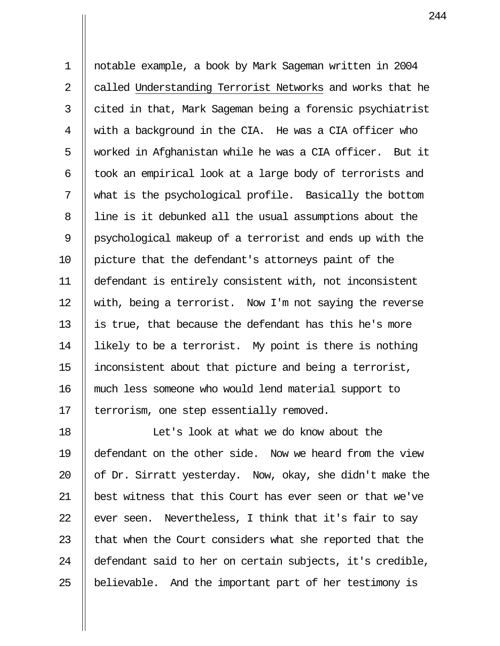1 notable example, a book by Mark Sageman written in 2004 2 | called Understanding Terrorist Networks and works that he  $3 \parallel$  cited in that, Mark Sageman being a forensic psychiatrist 4 with a background in the CIA. He was a CIA officer who 5 || worked in Afghanistan while he was a CIA officer. But it  $6$  || took an empirical look at a large body of terrorists and 7 what is the psychological profile. Basically the bottom 8 || line is it debunked all the usual assumptions about the 9 || psychological makeup of a terrorist and ends up with the 10 picture that the defendant's attorneys paint of the 11 defendant is entirely consistent with, not inconsistent 12 || with, being a terrorist. Now I'm not saying the reverse 13  $\parallel$  is true, that because the defendant has this he's more 14 | likely to be a terrorist. My point is there is nothing 15 inconsistent about that picture and being a terrorist, 16 much less someone who would lend material support to 17 | terrorism, one step essentially removed.

18 Let's look at what we do know about the 19 defendant on the other side. Now we heard from the view 20  $\parallel$  of Dr. Sirratt yesterday. Now, okay, she didn't make the 21 best witness that this Court has ever seen or that we've 22  $\parallel$  ever seen. Nevertheless, I think that it's fair to say 23  $\parallel$  that when the Court considers what she reported that the 24 defendant said to her on certain subjects, it's credible, 25  $\parallel$  believable. And the important part of her testimony is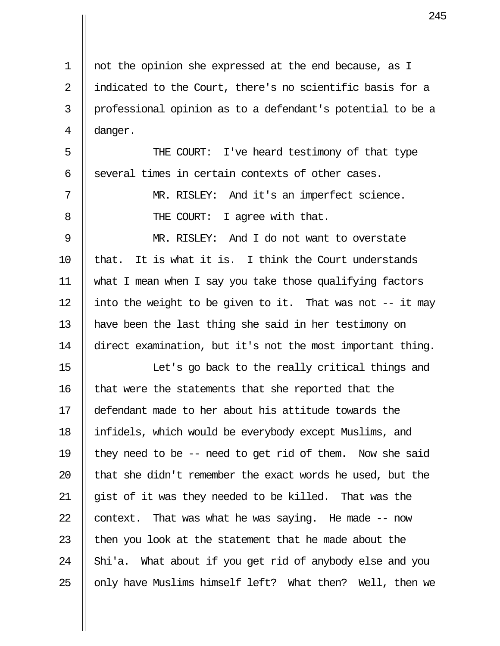1 not the opinion she expressed at the end because, as I 2 || indicated to the Court, there's no scientific basis for a 3 || professional opinion as to a defendant's potential to be a  $4 \parallel$  danger. 5 || THE COURT: I've heard testimony of that type 6  $\parallel$  several times in certain contexts of other cases. 7 || MR. RISLEY: And it's an imperfect science. 8 || THE COURT: I agree with that. 9 || MR. RISLEY: And I do not want to overstate  $10$  || that. It is what it is. I think the Court understands 11 what I mean when I say you take those qualifying factors 12 || into the weight to be given to it. That was not  $-$ - it may 13 have been the last thing she said in her testimony on 14 direct examination, but it's not the most important thing. 15 || Int's go back to the really critical things and 16 | that were the statements that she reported that the 17 defendant made to her about his attitude towards the 18 infidels, which would be everybody except Muslims, and 19  $\parallel$  they need to be -- need to get rid of them. Now she said 20  $\parallel$  that she didn't remember the exact words he used, but the 21 gist of it was they needed to be killed. That was the 22  $\parallel$  context. That was what he was saying. He made  $-$  now 23  $\parallel$  then you look at the statement that he made about the 24  $\parallel$  Shi'a. What about if you get rid of anybody else and you  $25$  || only have Muslims himself left? What then? Well, then we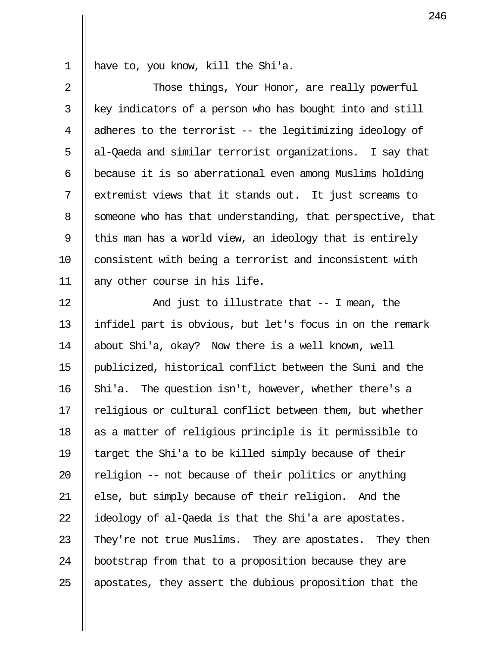1 have to, you know, kill the Shi'a.

2 || Those things, Your Honor, are really powerful | key indicators of a person who has bought into and still  $\parallel$  adheres to the terrorist -- the legitimizing ideology of 5 || al-Qaeda and similar terrorist organizations. I say that  $\parallel$  because it is so aberrational even among Muslims holding || extremist views that it stands out. It just screams to 8 Someone who has that understanding, that perspective, that  $\parallel$  this man has a world view, an ideology that is entirely 10 || consistent with being a terrorist and inconsistent with 11 any other course in his life.

12 And just to illustrate that -- I mean, the 13 infidel part is obvious, but let's focus in on the remark 14 about Shi'a, okay? Now there is a well known, well 15 publicized, historical conflict between the Suni and the  $\parallel$  Shi'a. The question isn't, however, whether there's a || religious or cultural conflict between them, but whether || as a matter of religious principle is it permissible to  $\parallel$  target the Shi'a to be killed simply because of their  $\parallel$  religion -- not because of their politics or anything  $\parallel$  else, but simply because of their religion. And the  $\parallel$  ideology of al-Qaeda is that the Shi'a are apostates.  $\parallel$  They're not true Muslims. They are apostates. They then  $\parallel$  bootstrap from that to a proposition because they are  $\parallel$  apostates, they assert the dubious proposition that the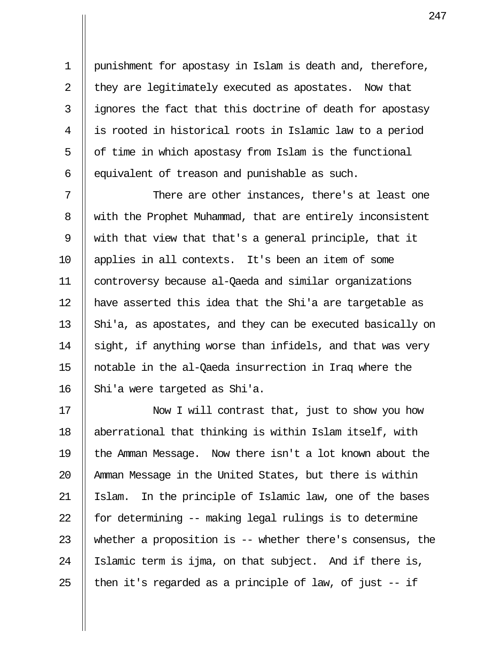1 punishment for apostasy in Islam is death and, therefore, 2  $\parallel$  they are legitimately executed as apostates. Now that  $3$  || ignores the fact that this doctrine of death for apostasy 4 is rooted in historical roots in Islamic law to a period  $5 \parallel$  of time in which apostasy from Islam is the functional 6  $\parallel$  equivalent of treason and punishable as such.

 $7$   $\parallel$   $\qquad$  There are other instances, there's at least one 8 Weith the Prophet Muhammad, that are entirely inconsistent 9 with that view that that's a general principle, that it 10 applies in all contexts. It's been an item of some 11 controversy because al-Qaeda and similar organizations 12 have asserted this idea that the Shi'a are targetable as 13  $\parallel$  Shi'a, as apostates, and they can be executed basically on 14  $\parallel$  sight, if anything worse than infidels, and that was very 15 notable in the al-Qaeda insurrection in Iraq where the 16 | Shi'a were targeted as Shi'a.

17 || Now I will contrast that, just to show you how 18 aberrational that thinking is within Islam itself, with 19 the Amman Message. Now there isn't a lot known about the 20 || Amman Message in the United States, but there is within 21 Islam. In the principle of Islamic law, one of the bases 22  $\parallel$  for determining -- making legal rulings is to determine 23 Whether a proposition is  $-$  whether there's consensus, the 24 || Islamic term is ijma, on that subject. And if there is, 25 || then it's regarded as a principle of law, of just  $-$  if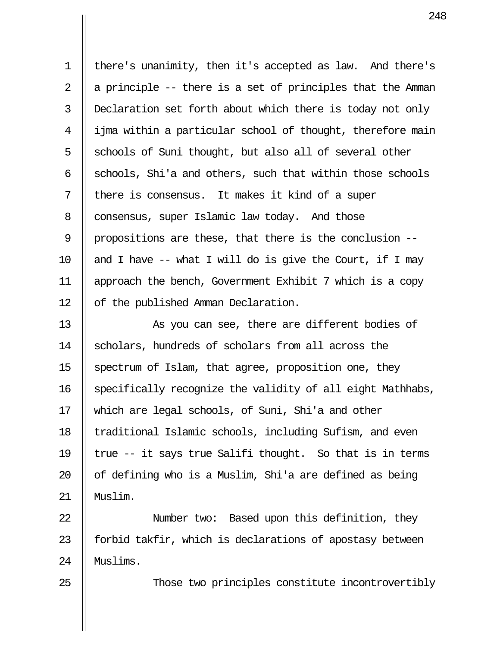1 there's unanimity, then it's accepted as law. And there's 2  $\parallel$  a principle -- there is a set of principles that the Amman 3 Declaration set forth about which there is today not only  $4 \parallel i$  ijma within a particular school of thought, therefore main  $5 \parallel$  schools of Suni thought, but also all of several other 6  $\parallel$  schools, Shi'a and others, such that within those schools  $7$  || there is consensus. It makes it kind of a super 8 | consensus, super Islamic law today. And those 9 || propositions are these, that there is the conclusion --10  $\parallel$  and I have -- what I will do is give the Court, if I may 11 approach the bench, Government Exhibit 7 which is a copy 12 | of the published Amman Declaration.

13 || As you can see, there are different bodies of 14 Scholars, hundreds of scholars from all across the 15  $\parallel$  spectrum of Islam, that agree, proposition one, they 16 || specifically recognize the validity of all eight Mathhabs, 17 which are legal schools, of Suni, Shi'a and other 18 || traditional Islamic schools, including Sufism, and even 19  $\parallel$  true -- it says true Salifi thought. So that is in terms 20  $\parallel$  of defining who is a Muslim, Shi'a are defined as being 21 Muslim.

22 Number two: Based upon this definition, they 23  $\parallel$  forbid takfir, which is declarations of apostasy between 24 Muslims.

25 || Those two principles constitute incontrovertibly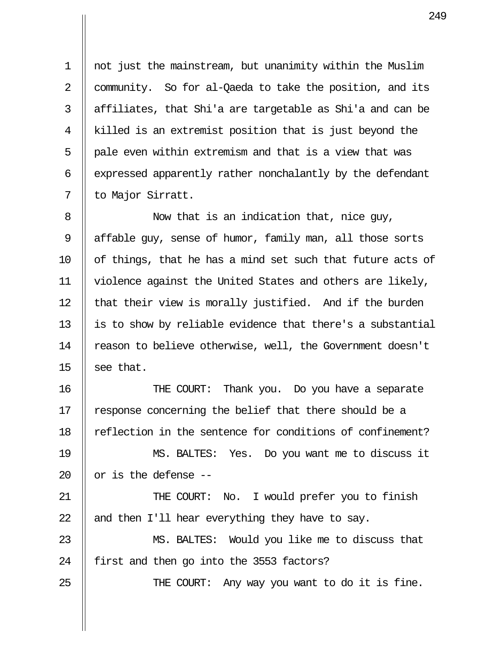1 not just the mainstream, but unanimity within the Muslim 2 | community. So for al-Qaeda to take the position, and its  $3$  || affiliates, that Shi'a are targetable as Shi'a and can be 4 killed is an extremist position that is just beyond the  $5$  || pale even within extremism and that is a view that was  $6$  || expressed apparently rather nonchalantly by the defendant 7 || to Major Sirratt.

8 || Now that is an indication that, nice quy, 9 || affable guy, sense of humor, family man, all those sorts 10  $\parallel$  of things, that he has a mind set such that future acts of 11 violence against the United States and others are likely,  $12$  || that their view is morally justified. And if the burden 13 || is to show by reliable evidence that there's a substantial 14 | reason to believe otherwise, well, the Government doesn't 15  $\parallel$  see that.

16 || THE COURT: Thank you. Do you have a separate 17 || response concerning the belief that there should be a 18 || reflection in the sentence for conditions of confinement?

19 MS. BALTES: Yes. Do you want me to discuss it 20  $\parallel$  or is the defense --

21 THE COURT: No. I would prefer you to finish 22  $\parallel$  and then I'll hear everything they have to say.

23 MS. BALTES: Would you like me to discuss that 24 | first and then go into the 3553 factors?

25 || THE COURT: Any way you want to do it is fine.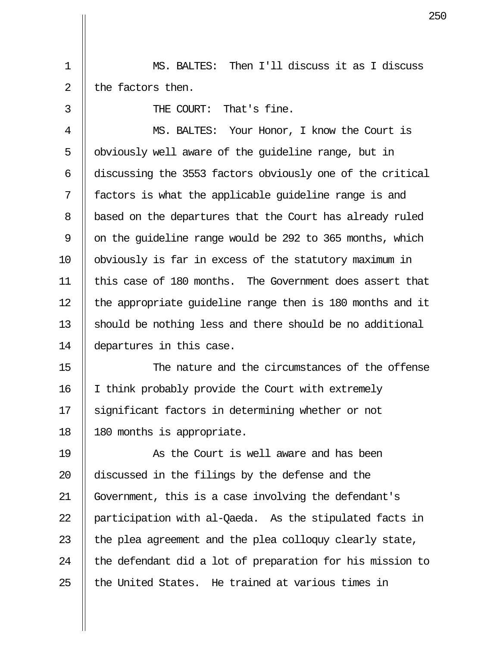1 MS. BALTES: Then I'll discuss it as I discuss  $2 \parallel$  the factors then.

 3 THE COURT: That's fine. 4 MS. BALTES: Your Honor, I know the Court is 5 || obviously well aware of the quideline range, but in 6 discussing the 3553 factors obviously one of the critical 7 || factors is what the applicable quideline range is and 8 | based on the departures that the Court has already ruled 9  $\parallel$  on the quideline range would be 292 to 365 months, which 10 obviously is far in excess of the statutory maximum in 11 this case of 180 months. The Government does assert that 12 || the appropriate quideline range then is 180 months and it 13 Should be nothing less and there should be no additional 14 departures in this case.

15 The nature and the circumstances of the offense 16 | I think probably provide the Court with extremely 17 Significant factors in determining whether or not 18 || 180 months is appropriate.

19 As the Court is well aware and has been 20 discussed in the filings by the defense and the 21 Government, this is a case involving the defendant's 22  $\parallel$  participation with al-Qaeda. As the stipulated facts in 23  $\parallel$  the plea agreement and the plea colloguy clearly state, 24  $\parallel$  the defendant did a lot of preparation for his mission to  $25$   $\parallel$  the United States. He trained at various times in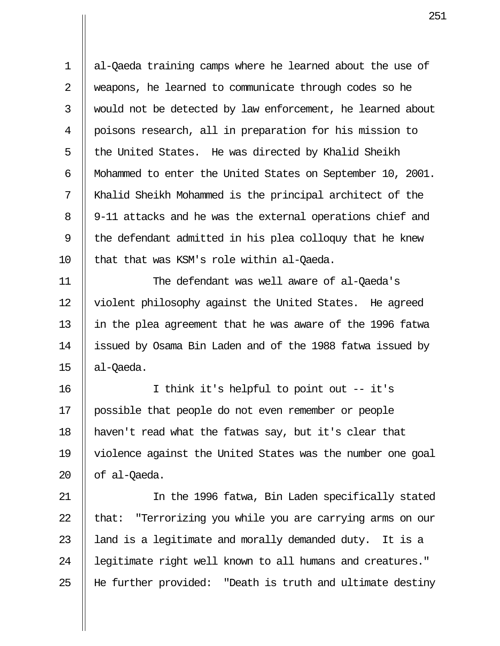1 al-Qaeda training camps where he learned about the use of 2 || weapons, he learned to communicate through codes so he 3 || would not be detected by law enforcement, he learned about 4 poisons research, all in preparation for his mission to  $5$   $\parallel$  the United States. He was directed by Khalid Sheikh 6 Mohammed to enter the United States on September 10, 2001. 7 Khalid Sheikh Mohammed is the principal architect of the 8 || 9-11 attacks and he was the external operations chief and 9  $\parallel$  the defendant admitted in his plea colloquy that he knew 10 || that that was KSM's role within al-Oaeda.

11 The defendant was well aware of al-Qaeda's 12 | violent philosophy against the United States. He agreed 13 in the plea agreement that he was aware of the 1996 fatwa 14 || issued by Osama Bin Laden and of the 1988 fatwa issued by  $15$  | al-Oaeda.

16 I think it's helpful to point out -- it's 17 possible that people do not even remember or people 18 haven't read what the fatwas say, but it's clear that 19 violence against the United States was the number one goal  $20$  | of al-Oaeda.

21 || In the 1996 fatwa, Bin Laden specifically stated 22  $\parallel$  that: "Terrorizing you while you are carrying arms on our 23  $\parallel$  land is a legitimate and morally demanded duty. It is a 24 || legitimate right well known to all humans and creatures." 25 He further provided: "Death is truth and ultimate destiny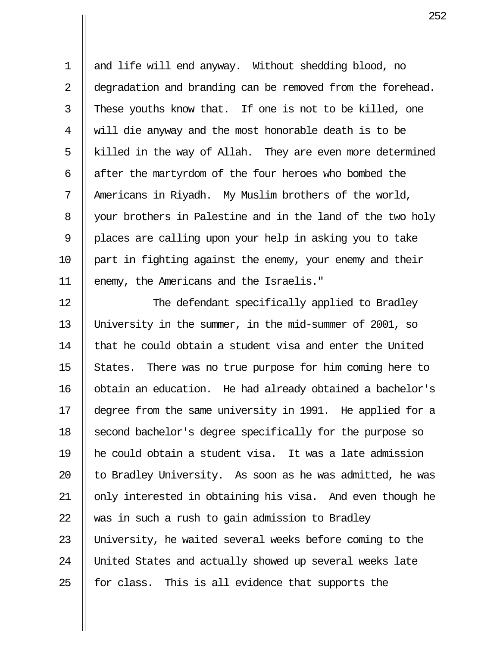1 || and life will end anyway. Without shedding blood, no 2 | degradation and branding can be removed from the forehead.  $3$  || These youths know that. If one is not to be killed, one 4 will die anyway and the most honorable death is to be  $5 \parallel$  killed in the way of Allah. They are even more determined 6  $\parallel$  after the martyrdom of the four heroes who bombed the 7 || Americans in Riyadh. My Muslim brothers of the world, 8 | your brothers in Palestine and in the land of the two holy 9 || places are calling upon your help in asking you to take 10 part in fighting against the enemy, your enemy and their 11 || enemy, the Americans and the Israelis."

12 || The defendant specifically applied to Bradley 13 University in the summer, in the mid-summer of 2001, so  $14$   $\parallel$  that he could obtain a student visa and enter the United 15  $\parallel$  States. There was no true purpose for him coming here to 16 | obtain an education. He had already obtained a bachelor's 17 degree from the same university in 1991. He applied for a 18 Second bachelor's degree specifically for the purpose so 19 he could obtain a student visa. It was a late admission 20  $\parallel$  to Bradley University. As soon as he was admitted, he was 21 || only interested in obtaining his visa. And even though he 22  $\parallel$  was in such a rush to gain admission to Bradley 23 University, he waited several weeks before coming to the 24 || United States and actually showed up several weeks late  $25$  || for class. This is all evidence that supports the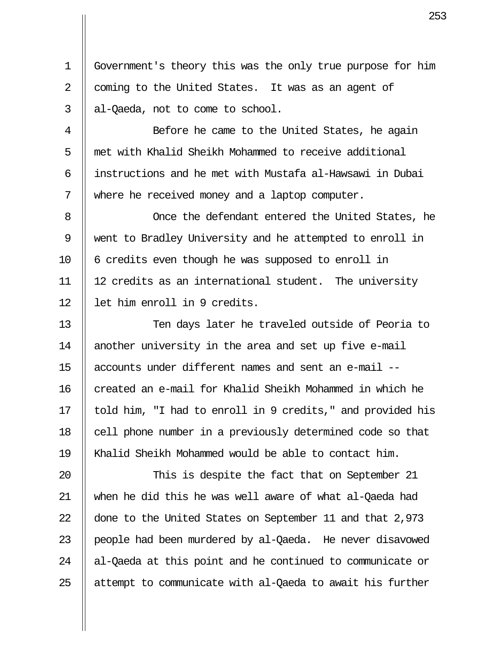1 Government's theory this was the only true purpose for him 2  $\parallel$  coming to the United States. It was as an agent of  $3 \parallel$  al-Qaeda, not to come to school.

4 || Before he came to the United States, he again 5 met with Khalid Sheikh Mohammed to receive additional 6 instructions and he met with Mustafa al-Hawsawi in Dubai 7 || where he received money and a laptop computer.

 8 Once the defendant entered the United States, he 9 went to Bradley University and he attempted to enroll in  $10$  || 6 credits even though he was supposed to enroll in 11 12 credits as an international student. The university 12 || let him enroll in 9 credits.

13 || Ten days later he traveled outside of Peoria to 14 || another university in the area and set up five e-mail 15 accounts under different names and sent an e-mail --  $16$   $\parallel$  created an e-mail for Khalid Sheikh Mohammed in which he 17 || told him, "I had to enroll in 9 credits," and provided his 18 || cell phone number in a previously determined code so that 19 Khalid Sheikh Mohammed would be able to contact him.

20 || This is despite the fact that on September 21 21 when he did this he was well aware of what al-Qaeda had 22 done to the United States on September 11 and that 2,973 23 || people had been murdered by al-Qaeda. He never disavowed  $24$  || al-Qaeda at this point and he continued to communicate or  $25$  || attempt to communicate with al-Qaeda to await his further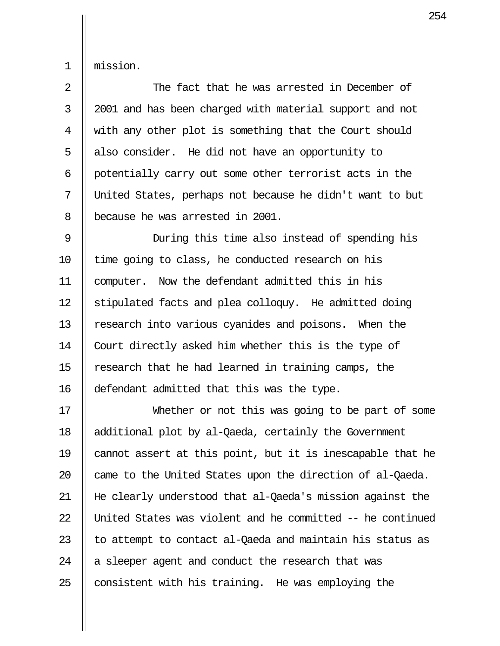1 mission.

2 || The fact that he was arrested in December of 3 || 2001 and has been charged with material support and not 4 With any other plot is something that the Court should  $5$  | also consider. He did not have an opportunity to 6 potentially carry out some other terrorist acts in the 7 United States, perhaps not because he didn't want to but 8 || because he was arrested in 2001.

 9 During this time also instead of spending his 10 || time going to class, he conducted research on his 11 computer. Now the defendant admitted this in his 12  $\parallel$  stipulated facts and plea colloquy. He admitted doing 13 || research into various cyanides and poisons. When the 14 | Court directly asked him whether this is the type of 15  $\parallel$  research that he had learned in training camps, the 16 defendant admitted that this was the type.

17 Whether or not this was going to be part of some 18 additional plot by al-Qaeda, certainly the Government 19 cannot assert at this point, but it is inescapable that he 20  $\parallel$  came to the United States upon the direction of al-Qaeda. 21 He clearly understood that al-Qaeda's mission against the 22 United States was violent and he committed -- he continued 23  $\parallel$  to attempt to contact al-Qaeda and maintain his status as  $24$  | a sleeper agent and conduct the research that was 25  $\parallel$  consistent with his training. He was employing the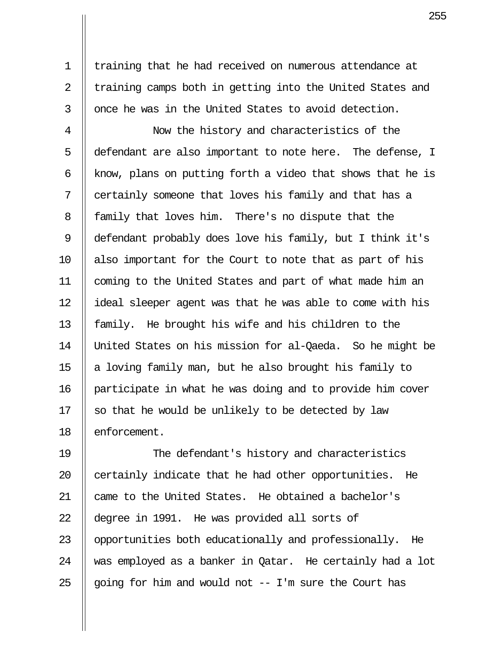1 | training that he had received on numerous attendance at  $2 \parallel$  training camps both in getting into the United States and  $3$   $\parallel$  once he was in the United States to avoid detection.

 4 Now the history and characteristics of the 5 defendant are also important to note here. The defense, I  $6$  || know, plans on putting forth a video that shows that he is 7 || certainly someone that loves his family and that has a 8 | family that loves him. There's no dispute that the 9 defendant probably does love his family, but I think it's 10 also important for the Court to note that as part of his 11 coming to the United States and part of what made him an 12 || ideal sleeper agent was that he was able to come with his 13 || family. He brought his wife and his children to the 14 United States on his mission for al-Qaeda. So he might be 15  $\parallel$  a loving family man, but he also brought his family to 16 participate in what he was doing and to provide him cover 17  $\parallel$  so that he would be unlikely to be detected by law 18 || enforcement.

19 || The defendant's history and characteristics 20  $\parallel$  certainly indicate that he had other opportunities. He 21 || came to the United States. He obtained a bachelor's 22 degree in 1991. He was provided all sorts of 23 || opportunities both educationally and professionally. He 24 Was employed as a banker in Qatar. He certainly had a lot 25  $\parallel$  going for him and would not -- I'm sure the Court has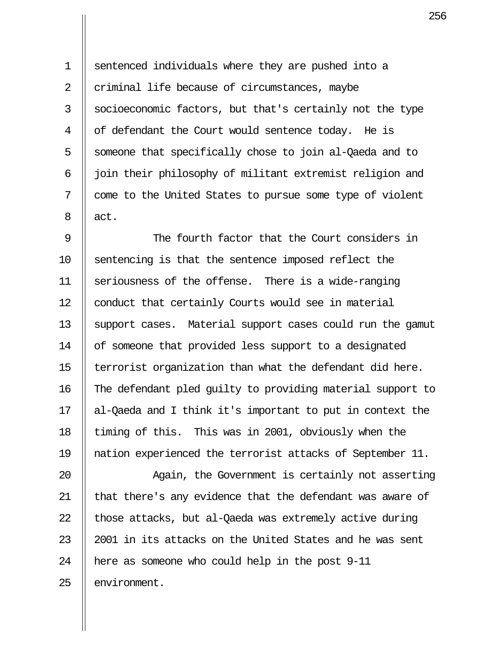1 sentenced individuals where they are pushed into a 2  $\parallel$  criminal life because of circumstances, maybe 3 Socioeconomic factors, but that's certainly not the type  $4 \parallel$  of defendant the Court would sentence today. He is 5 S someone that specifically chose to join al-Qaeda and to  $6$   $\parallel$  join their philosophy of militant extremist religion and 7 | come to the United States to pursue some type of violent  $8 \parallel$  act.

 9 The fourth factor that the Court considers in 10 Sentencing is that the sentence imposed reflect the 11  $\parallel$  seriousness of the offense. There is a wide-ranging 12 | conduct that certainly Courts would see in material 13 || support cases. Material support cases could run the gamut 14 | of someone that provided less support to a designated 15 || terrorist organization than what the defendant did here. 16 The defendant pled guilty to providing material support to 17 al-Qaeda and I think it's important to put in context the 18 || timing of this. This was in 2001, obviously when the 19 nation experienced the terrorist attacks of September 11.

20 || Again, the Government is certainly not asserting 21 || that there's any evidence that the defendant was aware of 22  $\parallel$  those attacks, but al-Qaeda was extremely active during 23  $\parallel$  2001 in its attacks on the United States and he was sent 24  $\parallel$  here as someone who could help in the post 9-11 25 || environment.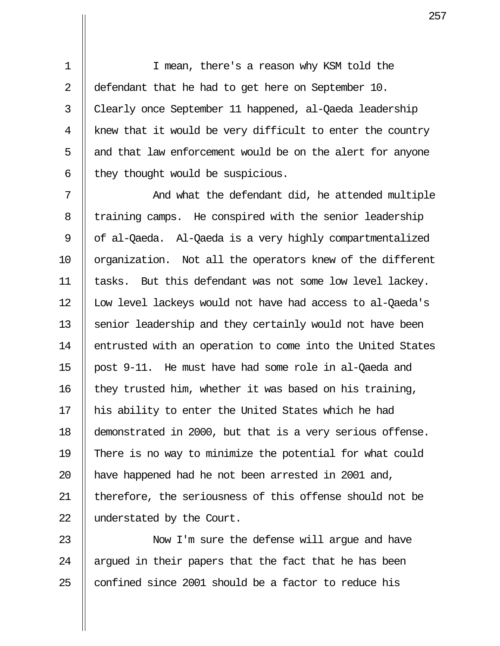1 I mean, there's a reason why KSM told the 2 || defendant that he had to get here on September 10. 3 Clearly once September 11 happened, al-Qaeda leadership  $4 \parallel$  knew that it would be very difficult to enter the country  $5$  || and that law enforcement would be on the alert for anyone  $6$  || they thought would be suspicious.

 $7$   $\parallel$  and what the defendant did, he attended multiple 8 | training camps. He conspired with the senior leadership 9 || of al-Qaeda. Al-Qaeda is a very highly compartmentalized 10 || organization. Not all the operators knew of the different 11 tasks. But this defendant was not some low level lackey. 12 || Low level lackeys would not have had access to al-Qaeda's 13 Senior leadership and they certainly would not have been 14 | entrusted with an operation to come into the United States 15 post 9-11. He must have had some role in al-Qaeda and 16  $\parallel$  they trusted him, whether it was based on his training, 17 || his ability to enter the United States which he had 18 demonstrated in 2000, but that is a very serious offense. 19 There is no way to minimize the potential for what could 20 || have happened had he not been arrested in 2001 and, 21 || therefore, the seriousness of this offense should not be 22 | understated by the Court.

23 Now I'm sure the defense will argue and have 24  $\parallel$  argued in their papers that the fact that he has been 25  $\parallel$  confined since 2001 should be a factor to reduce his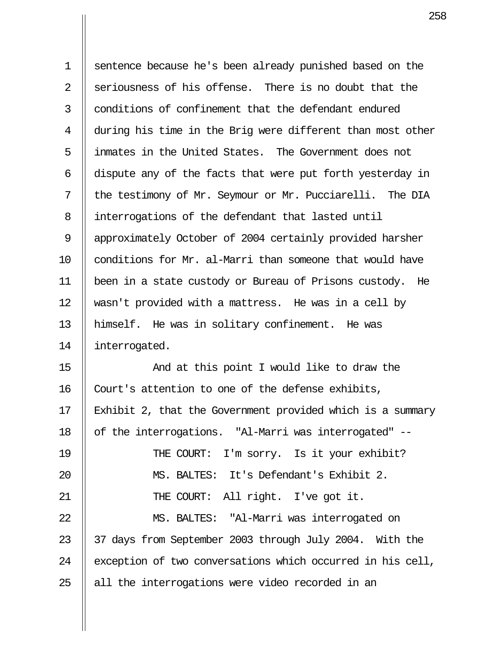1 sentence because he's been already punished based on the 2  $\parallel$  seriousness of his offense. There is no doubt that the 3 Il conditions of confinement that the defendant endured 4 during his time in the Brig were different than most other 5 inmates in the United States. The Government does not  $6$   $\parallel$  dispute any of the facts that were put forth yesterday in 7 || the testimony of Mr. Seymour or Mr. Pucciarelli. The DIA 8 | interrogations of the defendant that lasted until 9 || approximately October of 2004 certainly provided harsher 10 conditions for Mr. al-Marri than someone that would have 11 been in a state custody or Bureau of Prisons custody. He 12 wasn't provided with a mattress. He was in a cell by 13 himself. He was in solitary confinement. He was 14 | interrogated.

15 And at this point I would like to draw the 16  $\parallel$  Court's attention to one of the defense exhibits, 17 Exhibit 2, that the Government provided which is a summary 18 || of the interrogations. "Al-Marri was interrogated" --19 || THE COURT: I'm sorry. Is it your exhibit? 20 MS. BALTES: It's Defendant's Exhibit 2. 21 || THE COURT: All right. I've got it. 22 MS. BALTES: "Al-Marri was interrogated on 23 || 37 days from September 2003 through July 2004. With the 24  $\parallel$  exception of two conversations which occurred in his cell,  $25$  || all the interrogations were video recorded in an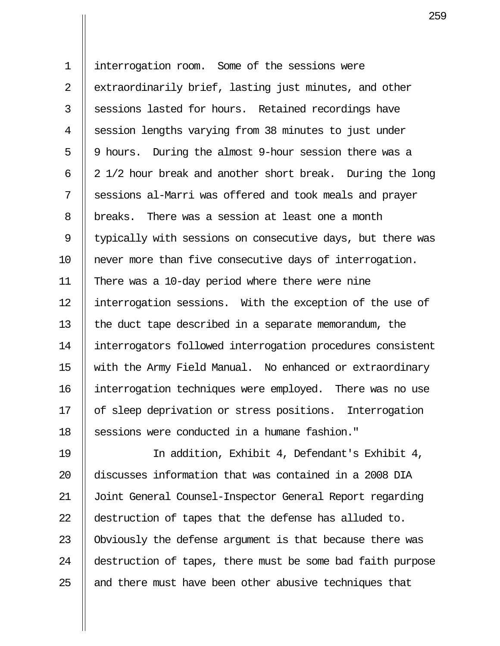1 interrogation room. Some of the sessions were 2 || extraordinarily brief, lasting just minutes, and other  $3$   $\parallel$  sessions lasted for hours. Retained recordings have 4 Session lengths varying from 38 minutes to just under 5 || 9 hours. During the almost 9-hour session there was a 6  $\parallel$  2 1/2 hour break and another short break. During the long 7 Sessions al-Marri was offered and took meals and prayer 8 || breaks. There was a session at least one a month 9 || typically with sessions on consecutive days, but there was 10 never more than five consecutive days of interrogation. 11 There was a 10-day period where there were nine 12 | interrogation sessions. With the exception of the use of 13  $\parallel$  the duct tape described in a separate memorandum, the 14 interrogators followed interrogation procedures consistent 15 with the Army Field Manual. No enhanced or extraordinary 16 interrogation techniques were employed. There was no use 17 | of sleep deprivation or stress positions. Interrogation 18 || sessions were conducted in a humane fashion."

19 || In addition, Exhibit 4, Defendant's Exhibit 4, 20 discusses information that was contained in a 2008 DIA 21 Joint General Counsel-Inspector General Report regarding 22 destruction of tapes that the defense has alluded to. 23 || Obviously the defense argument is that because there was 24 | destruction of tapes, there must be some bad faith purpose  $25$  || and there must have been other abusive techniques that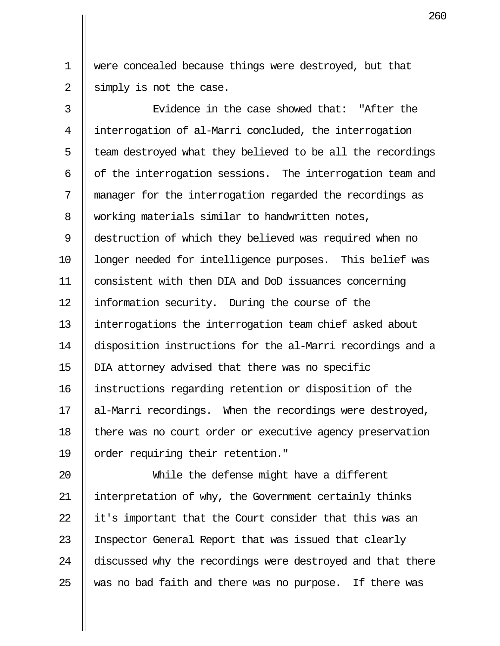1 were concealed because things were destroyed, but that 2  $\parallel$  simply is not the case.

3  $\parallel$  5 Evidence in the case showed that: "After the 4 interrogation of al-Marri concluded, the interrogation  $5$  || team destroyed what they believed to be all the recordings 6  $\parallel$  of the interrogation sessions. The interrogation team and 7 manager for the interrogation regarded the recordings as 8 Working materials similar to handwritten notes, 9 destruction of which they believed was required when no 10 || longer needed for intelligence purposes. This belief was 11 consistent with then DIA and DoD issuances concerning 12 | information security. During the course of the 13 interrogations the interrogation team chief asked about 14 disposition instructions for the al-Marri recordings and a 15 DIA attorney advised that there was no specific 16 instructions regarding retention or disposition of the 17 || al-Marri recordings. When the recordings were destroyed, 18 | there was no court order or executive agency preservation 19 || order requiring their retention."

20 While the defense might have a different 21 || interpretation of why, the Government certainly thinks 22  $\parallel$  it's important that the Court consider that this was an 23 || Inspector General Report that was issued that clearly 24 discussed why the recordings were destroyed and that there  $25$   $\parallel$  was no bad faith and there was no purpose. If there was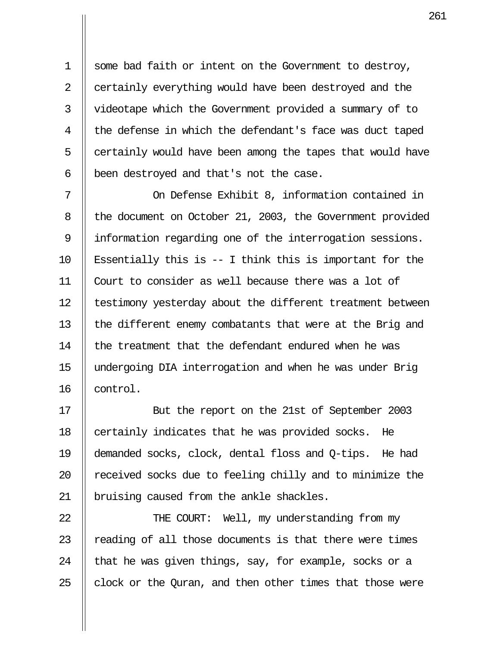1 Some bad faith or intent on the Government to destroy, 2 certainly everything would have been destroyed and the 3 | videotape which the Government provided a summary of to  $4$  | the defense in which the defendant's face was duct taped  $5$  || certainly would have been among the tapes that would have  $6$  || been destroyed and that's not the case.

7 || On Defense Exhibit 8, information contained in 8 | the document on October 21, 2003, the Government provided 9 I information regarding one of the interrogation sessions. 10  $\parallel$  Essentially this is -- I think this is important for the 11 Court to consider as well because there was a lot of 12 | testimony yesterday about the different treatment between 13 || the different enemy combatants that were at the Brig and 14 I the treatment that the defendant endured when he was 15 undergoing DIA interrogation and when he was under Brig 16 || control.

17 || But the report on the 21st of September 2003 18 | certainly indicates that he was provided socks. He 19 demanded socks, clock, dental floss and Q-tips. He had  $20$  || received socks due to feeling chilly and to minimize the 21 || bruising caused from the ankle shackles.

22 || THE COURT: Well, my understanding from my || reading of all those documents is that there were times  $\parallel$  that he was given things, say, for example, socks or a  $\parallel$  clock or the Quran, and then other times that those were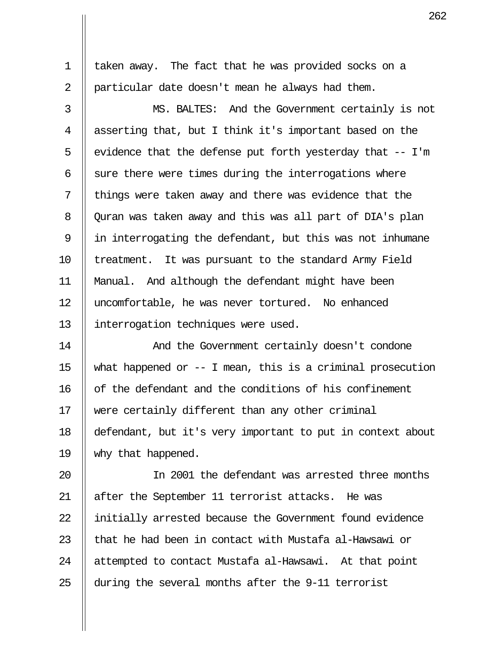1 taken away. The fact that he was provided socks on a 2 | particular date doesn't mean he always had them.

 3 MS. BALTES: And the Government certainly is not 4 asserting that, but I think it's important based on the 5 | evidence that the defense put forth yesterday that  $-$  I'm 6  $\parallel$  sure there were times during the interrogations where  $7$  || things were taken away and there was evidence that the 8 | Quran was taken away and this was all part of DIA's plan 9 in interrogating the defendant, but this was not inhumane 10 || treatment. It was pursuant to the standard Army Field 11 Manual. And although the defendant might have been 12 uncomfortable, he was never tortured. No enhanced 13 interrogation techniques were used.

14 And the Government certainly doesn't condone 15 | what happened or  $-$ - I mean, this is a criminal prosecution 16 | of the defendant and the conditions of his confinement 17 were certainly different than any other criminal 18 defendant, but it's very important to put in context about 19 why that happened.

20 In 2001 the defendant was arrested three months 21 || after the September 11 terrorist attacks. He was 22 || initially arrested because the Government found evidence 23  $\parallel$  that he had been in contact with Mustafa al-Hawsawi or 24 || attempted to contact Mustafa al-Hawsawi. At that point 25  $\parallel$  during the several months after the 9-11 terrorist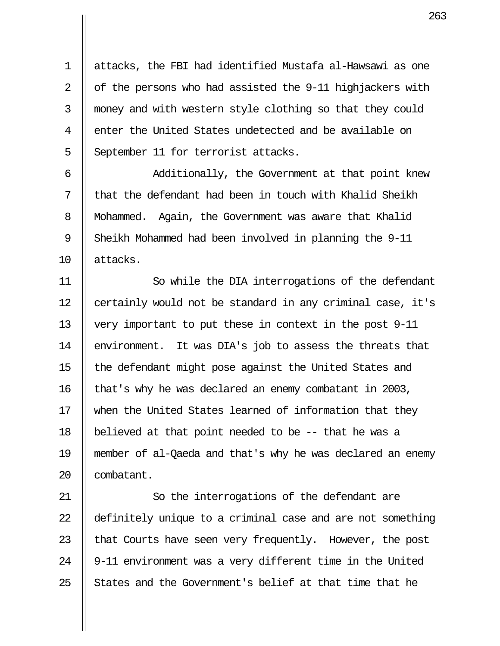1 attacks, the FBI had identified Mustafa al-Hawsawi as one 2  $\parallel$  of the persons who had assisted the 9-11 highjackers with 3 || money and with western style clothing so that they could 4 || enter the United States undetected and be available on 5 September 11 for terrorist attacks.

6 || Additionally, the Government at that point knew  $7$   $\parallel$  that the defendant had been in touch with Khalid Sheikh 8 | Mohammed. Again, the Government was aware that Khalid 9 Sheikh Mohammed had been involved in planning the 9-11 10 attacks.

11 So while the DIA interrogations of the defendant 12 | certainly would not be standard in any criminal case, it's 13 very important to put these in context in the post 9-11 14 | environment. It was DIA's job to assess the threats that 15 || the defendant might pose against the United States and 16 | that's why he was declared an enemy combatant in 2003, 17 || when the United States learned of information that they 18 believed at that point needed to be -- that he was a 19 member of al-Qaeda and that's why he was declared an enemy 20 || combatant.

21 || So the interrogations of the defendant are 22 definitely unique to a criminal case and are not something 23  $\parallel$  that Courts have seen very frequently. However, the post 24  $\parallel$  9-11 environment was a very different time in the United 25  $\parallel$  States and the Government's belief at that time that he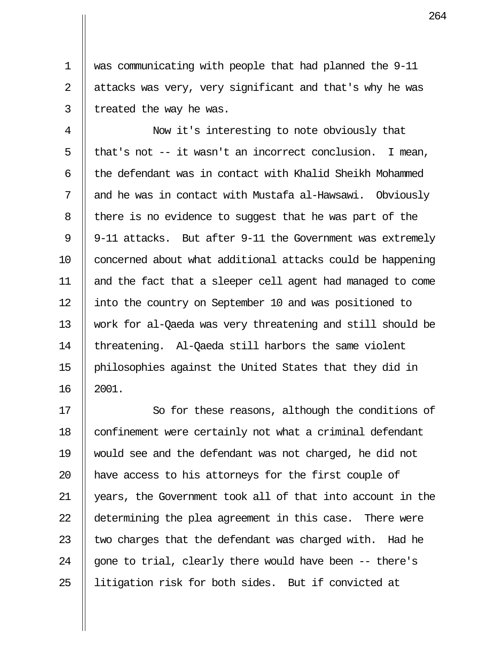1 was communicating with people that had planned the 9-11  $2 \parallel$  attacks was very, very significant and that's why he was  $3$  | treated the way he was.

4 || Now it's interesting to note obviously that 5 || that's not  $-$  it wasn't an incorrect conclusion. I mean, 6  $\parallel$  the defendant was in contact with Khalid Sheikh Mohammed  $7$   $\parallel$  and he was in contact with Mustafa al-Hawsawi. Obviously 8 | there is no evidence to suggest that he was part of the 9 || 9-11 attacks. But after 9-11 the Government was extremely 10 || concerned about what additional attacks could be happening 11 and the fact that a sleeper cell agent had managed to come 12 || into the country on September 10 and was positioned to 13 work for al-Qaeda was very threatening and still should be 14 || threatening. Al-Qaeda still harbors the same violent 15 philosophies against the United States that they did in 16 2001.

17 || So for these reasons, although the conditions of 18 || confinement were certainly not what a criminal defendant 19 would see and the defendant was not charged, he did not 20 || have access to his attorneys for the first couple of 21 years, the Government took all of that into account in the 22 determining the plea agreement in this case. There were 23  $\parallel$  two charges that the defendant was charged with. Had he 24  $\parallel$  gone to trial, clearly there would have been  $-$ - there's 25 || litigation risk for both sides. But if convicted at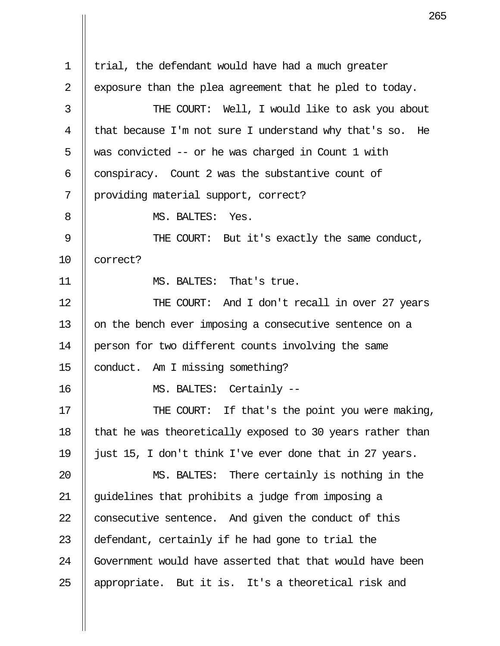|                | 2                                                         |
|----------------|-----------------------------------------------------------|
|                |                                                           |
| $\mathbf 1$    | trial, the defendant would have had a much greater        |
| $\overline{2}$ | exposure than the plea agreement that he pled to today.   |
| 3              | THE COURT: Well, I would like to ask you about            |
| 4              | that because I'm not sure I understand why that's so. He  |
| 5              | was convicted -- or he was charged in Count 1 with        |
| 6              | conspiracy. Count 2 was the substantive count of          |
| 7              | providing material support, correct?                      |
| 8              | MS. BALTES: Yes.                                          |
| 9              | THE COURT: But it's exactly the same conduct,             |
| 10             | correct?                                                  |
| 11             | MS. BALTES: That's true.                                  |
| 12             | THE COURT: And I don't recall in over 27 years            |
| 13             | on the bench ever imposing a consecutive sentence on a    |
| 14             | person for two different counts involving the same        |
| 15             | conduct. Am I missing something?                          |
| 16             | MS. BALTES: Certainly --                                  |
| 17             | THE COURT: If that's the point you were making,           |
| 18             | that he was theoretically exposed to 30 years rather than |
| 19             | just 15, I don't think I've ever done that in 27 years.   |
| 20             | MS. BALTES: There certainly is nothing in the             |
| 21             | guidelines that prohibits a judge from imposing a         |
| 22             | consecutive sentence. And given the conduct of this       |
| 23             | defendant, certainly if he had gone to trial the          |
| 24             | Government would have asserted that that would have been  |
| 25             | appropriate. But it is. It's a theoretical risk and       |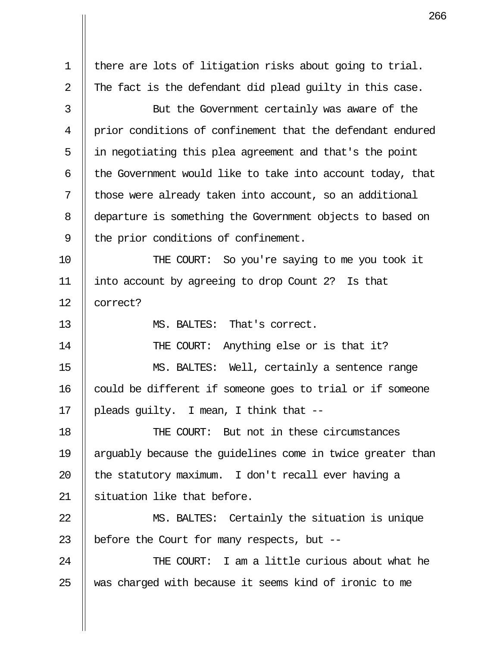1 | there are lots of litigation risks about going to trial. 2  $\parallel$  The fact is the defendant did plead quilty in this case. 3 || But the Government certainly was aware of the 4 || prior conditions of confinement that the defendant endured 5 in negotiating this plea agreement and that's the point 6  $\parallel$  the Government would like to take into account today, that 7 || those were already taken into account, so an additional 8 departure is something the Government objects to based on  $9$  || the prior conditions of confinement. 10 THE COURT: So you're saying to me you took it 11 into account by agreeing to drop Count 2? Is that 12 || correct? 13 MS. BALTES: That's correct. 14 || THE COURT: Anything else or is that it? 15 MS. BALTES: Well, certainly a sentence range  $16$  | could be different if someone goes to trial or if someone 17 || pleads guilty. I mean, I think that --18 THE COURT: But not in these circumstances 19 arguably because the guidelines come in twice greater than 20  $\parallel$  the statutory maximum. I don't recall ever having a 21 || situation like that before. 22 MS. BALTES: Certainly the situation is unique 23  $\parallel$  before the Court for many respects, but --24 THE COURT: I am a little curious about what he 25 We was charged with because it seems kind of ironic to me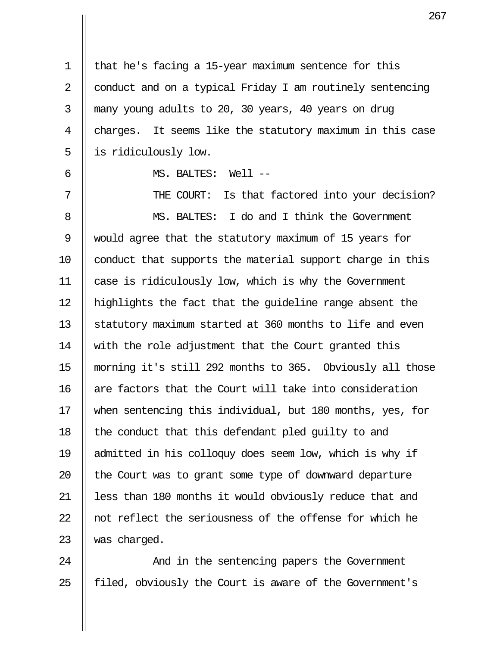1 | that he's facing a 15-year maximum sentence for this 2  $\parallel$  conduct and on a typical Friday I am routinely sentencing 3 many young adults to 20, 30 years, 40 years on drug 4  $\parallel$  charges. It seems like the statutory maximum in this case 5 || is ridiculously low.

6 MS. BALTES: Well --

7 || THE COURT: Is that factored into your decision? 8 MS. BALTES: I do and I think the Government 9 would agree that the statutory maximum of 15 years for 10 | conduct that supports the material support charge in this 11 case is ridiculously low, which is why the Government 12 highlights the fact that the guideline range absent the 13 Statutory maximum started at 360 months to life and even 14 || with the role adjustment that the Court granted this 15 morning it's still 292 months to 365. Obviously all those 16 || are factors that the Court will take into consideration 17 when sentencing this individual, but 180 months, yes, for 18 || the conduct that this defendant pled quilty to and 19 admitted in his colloquy does seem low, which is why if 20  $\parallel$  the Court was to grant some type of downward departure 21 || less than 180 months it would obviously reduce that and  $22$  || not reflect the seriousness of the offense for which he  $23$  || was charged.

24 And in the sentencing papers the Government 25 || filed, obviously the Court is aware of the Government's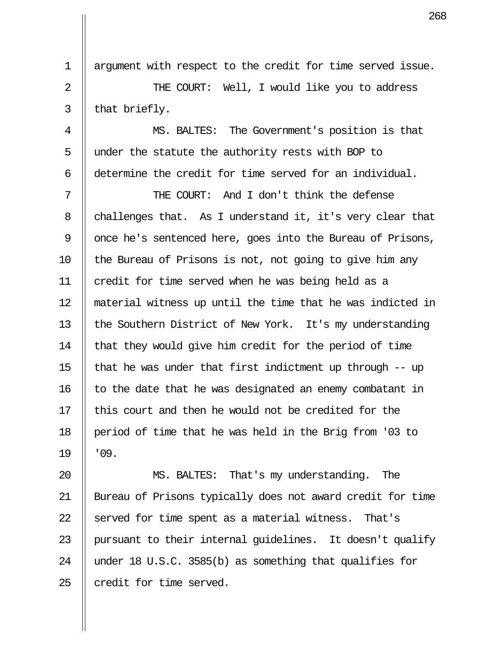1 | argument with respect to the credit for time served issue. 2 THE COURT: Well, I would like you to address  $3 \parallel$  that briefly. 4 MS. BALTES: The Government's position is that

5  $\parallel$  under the statute the authority rests with BOP to 6 determine the credit for time served for an individual.

 7 THE COURT: And I don't think the defense 8 challenges that. As I understand it, it's very clear that 9  $\parallel$  once he's sentenced here, goes into the Bureau of Prisons,  $10$  || the Bureau of Prisons is not, not going to give him any 11 || credit for time served when he was being held as a 12 material witness up until the time that he was indicted in 13 || the Southern District of New York. It's my understanding 14  $\parallel$  that they would give him credit for the period of time 15  $\parallel$  that he was under that first indictment up through -- up  $16$  || to the date that he was designated an enemy combatant in  $17$   $\parallel$  this court and then he would not be credited for the 18 period of time that he was held in the Brig from '03 to  $19$   $\parallel$   $09$ .

20 MS. BALTES: That's my understanding. The 21 Bureau of Prisons typically does not award credit for time 22  $\parallel$  served for time spent as a material witness. That's 23 || pursuant to their internal quidelines. It doesn't qualify 24 || under 18 U.S.C. 3585(b) as something that qualifies for  $25$  | credit for time served.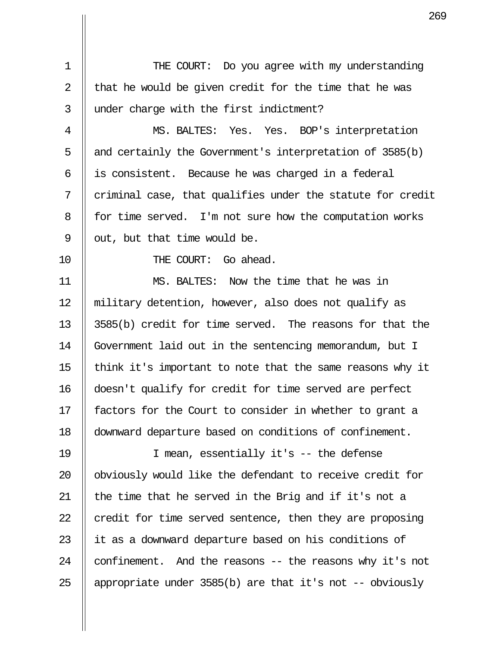1 || THE COURT: Do you agree with my understanding 2  $\parallel$  that he would be given credit for the time that he was 3 || under charge with the first indictment?

 4 MS. BALTES: Yes. Yes. BOP's interpretation 5  $\parallel$  and certainly the Government's interpretation of 3585(b)  $6 \parallel$  is consistent. Because he was charged in a federal  $7$   $\parallel$  criminal case, that qualifies under the statute for credit 8 | for time served. I'm not sure how the computation works 9  $\parallel$  out, but that time would be.

10 || THE COURT: Go ahead.

11 MS. BALTES: Now the time that he was in 12 military detention, however, also does not qualify as 13  $\parallel$  3585(b) credit for time served. The reasons for that the 14 Government laid out in the sentencing memorandum, but I 15  $\parallel$  think it's important to note that the same reasons why it 16 doesn't qualify for credit for time served are perfect 17 || factors for the Court to consider in whether to grant a 18 downward departure based on conditions of confinement.

19 I mean, essentially it's -- the defense 20 || obviously would like the defendant to receive credit for 21  $\parallel$  the time that he served in the Brig and if it's not a 22  $\parallel$  credit for time served sentence, then they are proposing 23 || it as a downward departure based on his conditions of 24  $\parallel$  confinement. And the reasons  $-$  the reasons why it's not 25  $\parallel$  appropriate under 3585(b) are that it's not -- obviously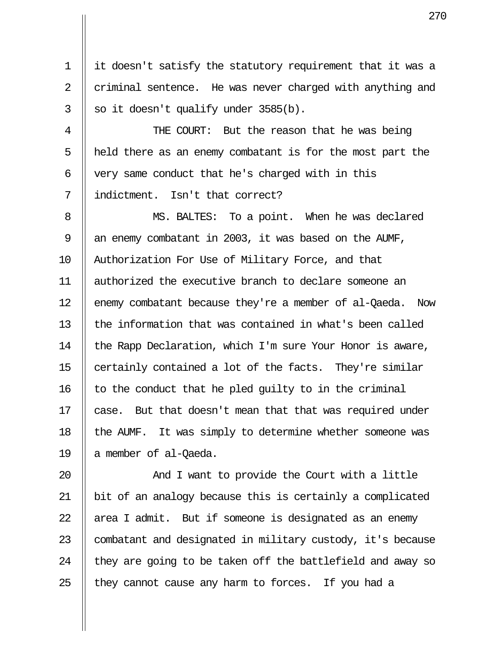1 it doesn't satisfy the statutory requirement that it was a 2 criminal sentence. He was never charged with anything and  $3 \parallel$  so it doesn't qualify under 3585(b).

4 || THE COURT: But the reason that he was being  $5$  || held there as an enemy combatant is for the most part the 6  $\parallel$  very same conduct that he's charged with in this 7 indictment. Isn't that correct?

8 || MS. BALTES: To a point. When he was declared 9  $\parallel$  an enemy combatant in 2003, it was based on the AUMF, 10 || Authorization For Use of Military Force, and that 11 authorized the executive branch to declare someone an 12 | enemy combatant because they're a member of al-Qaeda. Now  $13$   $\parallel$  the information that was contained in what's been called 14 | the Rapp Declaration, which I'm sure Your Honor is aware, 15  $\parallel$  certainly contained a lot of the facts. They're similar 16  $\parallel$  to the conduct that he pled quilty to in the criminal 17 || case. But that doesn't mean that that was required under 18 || the AUMF. It was simply to determine whether someone was 19 || a member of al-Qaeda.

20 || And I want to provide the Court with a little 21 bit of an analogy because this is certainly a complicated  $\parallel$  area I admit. But if someone is designated as an enemy  $\parallel$  combatant and designated in military custody, it's because  $\parallel$  they are going to be taken off the battlefield and away so  $\parallel$  they cannot cause any harm to forces. If you had a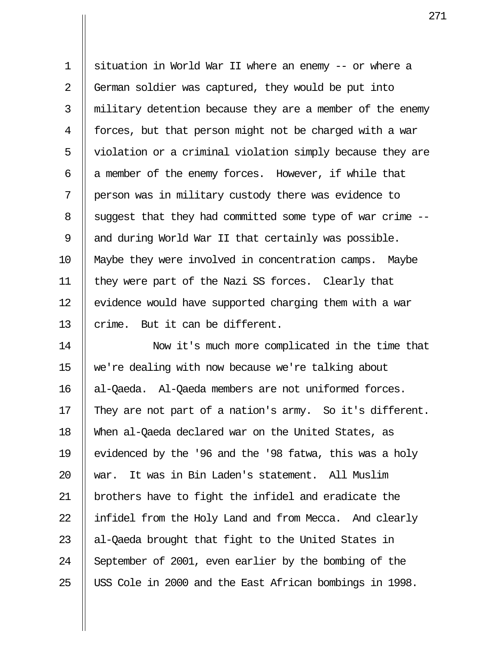1 || situation in World War II where an enemy -- or where a 2 German soldier was captured, they would be put into 3 || military detention because they are a member of the enemy 4 || forces, but that person might not be charged with a war 5 || violation or a criminal violation simply because they are 6  $\parallel$  a member of the enemy forces. However, if while that 7 person was in military custody there was evidence to 8 | suggest that they had committed some type of war crime  $-$ -9  $\parallel$  and during World War II that certainly was possible. 10 Maybe they were involved in concentration camps. Maybe 11 they were part of the Nazi SS forces. Clearly that 12  $\parallel$  evidence would have supported charging them with a war 13  $\parallel$  crime. But it can be different.

14 Now it's much more complicated in the time that 15 we're dealing with now because we're talking about 16 al-Qaeda. Al-Qaeda members are not uniformed forces. 17  $\parallel$  They are not part of a nation's army. So it's different. 18 When al-Qaeda declared war on the United States, as 19 || evidenced by the '96 and the '98 fatwa, this was a holy 20 war. It was in Bin Laden's statement. All Muslim 21 || brothers have to fight the infidel and eradicate the 22 || infidel from the Holy Land and from Mecca. And clearly 23  $\parallel$  al-Qaeda brought that fight to the United States in 24 September of 2001, even earlier by the bombing of the 25 || USS Cole in 2000 and the East African bombings in 1998.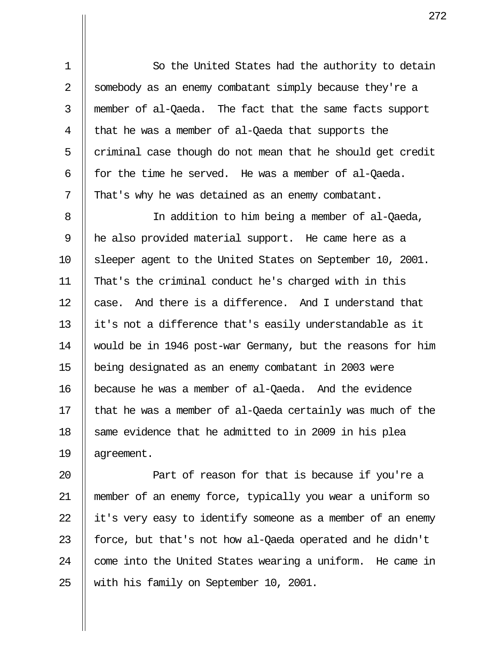1 || So the United States had the authority to detain 2 Somebody as an enemy combatant simply because they're a 3 member of al-Qaeda. The fact that the same facts support  $4 \parallel$  that he was a member of al-Qaeda that supports the  $5$  | criminal case though do not mean that he should get credit 6  $\parallel$  for the time he served. He was a member of al-Qaeda. 7  $\parallel$  That's why he was detained as an enemy combatant.

8 || In addition to him being a member of al-Qaeda, 9 he also provided material support. He came here as a 10 Sleeper agent to the United States on September 10, 2001. 11 That's the criminal conduct he's charged with in this 12  $\parallel$  case. And there is a difference. And I understand that 13 it's not a difference that's easily understandable as it 14 would be in 1946 post-war Germany, but the reasons for him 15 being designated as an enemy combatant in 2003 were 16 because he was a member of al-Qaeda. And the evidence 17  $\parallel$  that he was a member of al-Qaeda certainly was much of the 18 || same evidence that he admitted to in 2009 in his plea 19 agreement.

**Quart 1** Part of reason for that is because if you're a 21 member of an enemy force, typically you wear a uniform so  $\parallel$  it's very easy to identify someone as a member of an enemy  $\parallel$  force, but that's not how al-Qaeda operated and he didn't  $\parallel$  come into the United States wearing a uniform. He came in 25 || with his family on September 10, 2001.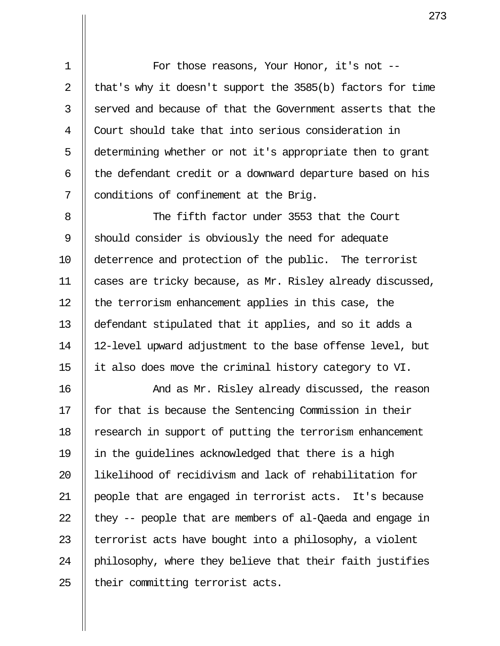1 || For those reasons, Your Honor, it's not --2 || that's why it doesn't support the  $3585(b)$  factors for time 3 Il served and because of that the Government asserts that the 4 Court should take that into serious consideration in 5 determining whether or not it's appropriate then to grant  $6$  || the defendant credit or a downward departure based on his 7 || conditions of confinement at the Brig.

8 || The fifth factor under 3553 that the Court 9 Should consider is obviously the need for adequate 10 deterrence and protection of the public. The terrorist 11 cases are tricky because, as Mr. Risley already discussed, 12 || the terrorism enhancement applies in this case, the 13 defendant stipulated that it applies, and so it adds a 14 12-level upward adjustment to the base offense level, but 15 it also does move the criminal history category to VI.

16 And as Mr. Risley already discussed, the reason 17 || for that is because the Sentencing Commission in their 18 || research in support of putting the terrorism enhancement 19 in the guidelines acknowledged that there is a high 20 likelihood of recidivism and lack of rehabilitation for 21 people that are engaged in terrorist acts. It's because 22  $\parallel$  they -- people that are members of al-Qaeda and engage in 23  $\parallel$  terrorist acts have bought into a philosophy, a violent 24  $\parallel$  philosophy, where they believe that their faith justifies  $25$  | their committing terrorist acts.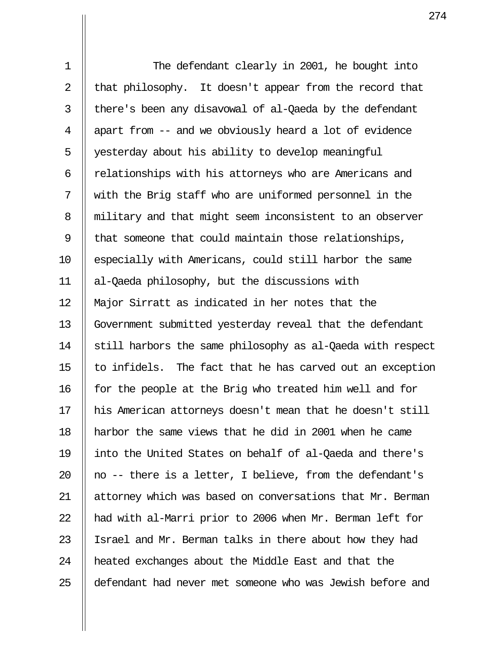1 || The defendant clearly in 2001, he bought into 2  $\parallel$  that philosophy. It doesn't appear from the record that 3 | there's been any disavowal of al-Qaeda by the defendant  $4 \parallel$  apart from  $-$  and we obviously heard a lot of evidence 5 || yesterday about his ability to develop meaningful 6  $\parallel$  relationships with his attorneys who are Americans and 7 with the Brig staff who are uniformed personnel in the 8 || military and that might seem inconsistent to an observer 9  $\parallel$  that someone that could maintain those relationships, 10 || especially with Americans, could still harbor the same 11 al-Qaeda philosophy, but the discussions with 12 Major Sirratt as indicated in her notes that the 13 || Government submitted yesterday reveal that the defendant 14 | still harbors the same philosophy as al-Qaeda with respect 15  $\parallel$  to infidels. The fact that he has carved out an exception 16 || for the people at the Brig who treated him well and for 17 his American attorneys doesn't mean that he doesn't still 18 harbor the same views that he did in 2001 when he came 19 into the United States on behalf of al-Qaeda and there's 20  $\parallel$  no -- there is a letter, I believe, from the defendant's 21 || attorney which was based on conversations that Mr. Berman 22  $\parallel$  had with al-Marri prior to 2006 when Mr. Berman left for 23 || Israel and Mr. Berman talks in there about how they had 24 | heated exchanges about the Middle East and that the 25 defendant had never met someone who was Jewish before and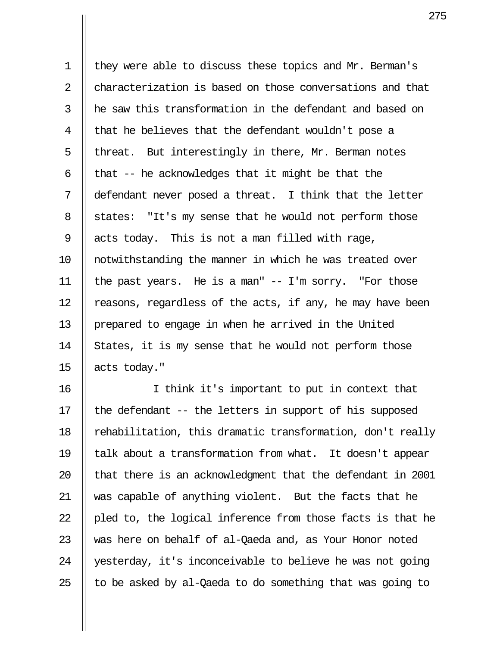1 | they were able to discuss these topics and Mr. Berman's 2 || characterization is based on those conversations and that  $3$   $\parallel$  he saw this transformation in the defendant and based on  $4 \parallel$  that he believes that the defendant wouldn't pose a 5 | threat. But interestingly in there, Mr. Berman notes 6  $\parallel$  that -- he acknowledges that it might be that the 7 defendant never posed a threat. I think that the letter 8 | states: "It's my sense that he would not perform those 9 | acts today. This is not a man filled with rage, 10 notwithstanding the manner in which he was treated over 11 the past years. He is a man" -- I'm sorry. "For those 12  $\parallel$  reasons, regardless of the acts, if any, he may have been 13 | prepared to engage in when he arrived in the United 14  $\parallel$  States, it is my sense that he would not perform those 15  $\parallel$  acts today."

16 I think it's important to put in context that 17  $\parallel$  the defendant -- the letters in support of his supposed 18 | rehabilitation, this dramatic transformation, don't really 19 talk about a transformation from what. It doesn't appear 20 || that there is an acknowledgment that the defendant in 2001 21 was capable of anything violent. But the facts that he 22  $\parallel$  pled to, the logical inference from those facts is that he 23 Was here on behalf of al-Qaeda and, as Your Honor noted 24 || yesterday, it's inconceivable to believe he was not going 25  $\parallel$  to be asked by al-Qaeda to do something that was going to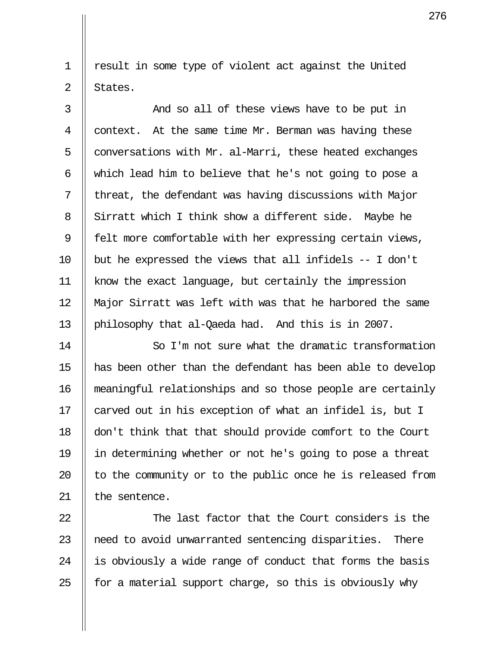1 || result in some type of violent act against the United  $2 \parallel$  States.

 3 And so all of these views have to be put in 4  $\parallel$  context. At the same time Mr. Berman was having these 5  $\parallel$  conversations with Mr. al-Marri, these heated exchanges 6  $\parallel$  which lead him to believe that he's not going to pose a  $7$  | threat, the defendant was having discussions with Major 8 Sirratt which I think show a different side. Maybe he 9  $\parallel$  felt more comfortable with her expressing certain views, 10  $\parallel$  but he expressed the views that all infidels -- I don't 11 know the exact language, but certainly the impression 12 Major Sirratt was left with was that he harbored the same 13 | philosophy that al-Qaeda had. And this is in 2007.

14 || So I'm not sure what the dramatic transformation 15 has been other than the defendant has been able to develop 16 meaningful relationships and so those people are certainly 17 || carved out in his exception of what an infidel is, but I 18 don't think that that should provide comfort to the Court 19 in determining whether or not he's going to pose a threat 20  $\parallel$  to the community or to the public once he is released from  $21$  | the sentence.

 $\parallel$  The last factor that the Court considers is the 23 || need to avoid unwarranted sentencing disparities. There  $\parallel$  is obviously a wide range of conduct that forms the basis  $\parallel$  for a material support charge, so this is obviously why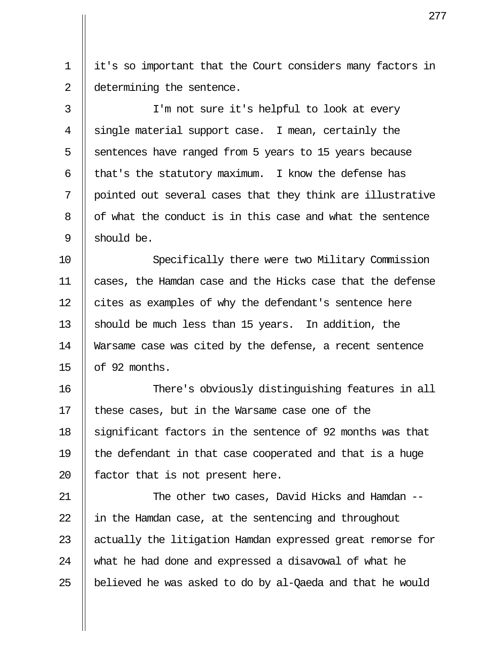1 it's so important that the Court considers many factors in 2 | determining the sentence.

3 || I'm not sure it's helpful to look at every 4  $\parallel$  single material support case. I mean, certainly the 5  $\parallel$  sentences have ranged from 5 years to 15 years because 6 || that's the statutory maximum. I know the defense has 7 || pointed out several cases that they think are illustrative 8 | of what the conduct is in this case and what the sentence 9 || should be.

10 Specifically there were two Military Commission 11 cases, the Hamdan case and the Hicks case that the defense 12 | cites as examples of why the defendant's sentence here 13 Should be much less than 15 years. In addition, the 14 Warsame case was cited by the defense, a recent sentence 15  $\parallel$  of 92 months.

16 There's obviously distinguishing features in all 17  $\parallel$  these cases, but in the Warsame case one of the 18 || significant factors in the sentence of 92 months was that 19  $\parallel$  the defendant in that case cooperated and that is a huge 20  $\parallel$  factor that is not present here.

21 || The other two cases, David Hicks and Hamdan --22  $\parallel$  in the Hamdan case, at the sentencing and throughout 23 || actually the litigation Hamdan expressed great remorse for 24 what he had done and expressed a disavowal of what he 25  $\parallel$  believed he was asked to do by al-Qaeda and that he would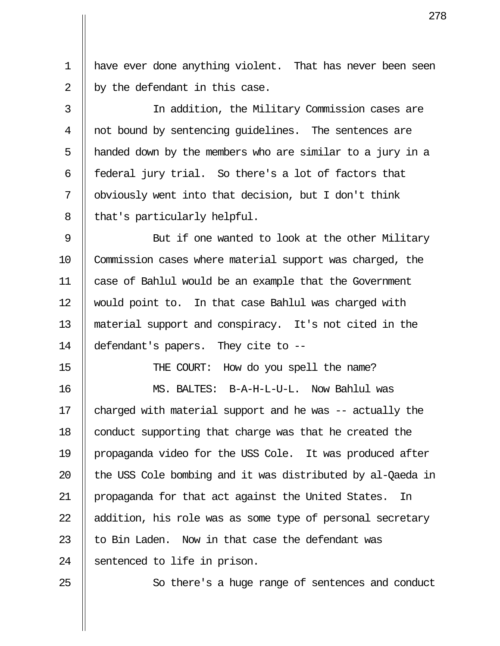1 have ever done anything violent. That has never been seen 2  $\parallel$  by the defendant in this case.

 3 In addition, the Military Commission cases are 4 || not bound by sentencing quidelines. The sentences are 5 || handed down by the members who are similar to a jury in a 6 || federal jury trial. So there's a lot of factors that 7 | obviously went into that decision, but I don't think  $8 \parallel$  that's particularly helpful.

9 || But if one wanted to look at the other Military 10 Commission cases where material support was charged, the 11 case of Bahlul would be an example that the Government 12 || would point to. In that case Bahlul was charged with 13 material support and conspiracy. It's not cited in the 14 defendant's papers. They cite to --

15 || THE COURT: How do you spell the name?

16 MS. BALTES: B-A-H-L-U-L. Now Bahlul was 17  $\parallel$  charged with material support and he was -- actually the 18 | conduct supporting that charge was that he created the 19 propaganda video for the USS Cole. It was produced after 20  $\parallel$  the USS Cole bombing and it was distributed by al-Qaeda in 21 || propaganda for that act against the United States. In  $22$  || addition, his role was as some type of personal secretary 23  $\parallel$  to Bin Laden. Now in that case the defendant was 24 Sentenced to life in prison.

25 || So there's a huge range of sentences and conduct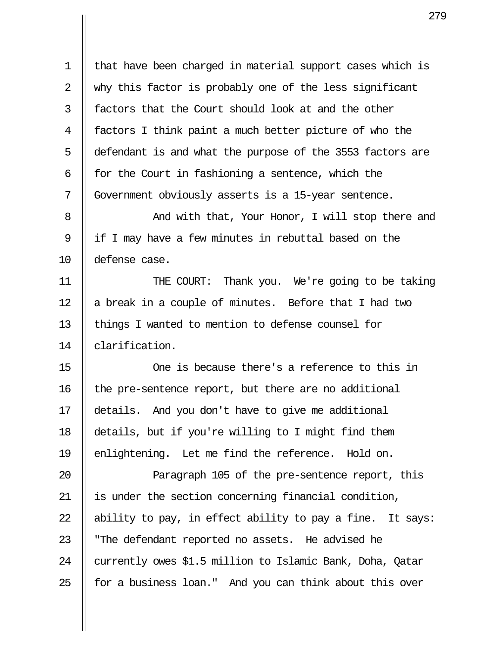1 || that have been charged in material support cases which is 2 || why this factor is probably one of the less significant 3 H factors that the Court should look at and the other 4 factors I think paint a much better picture of who the 5 defendant is and what the purpose of the 3553 factors are 6  $\parallel$  for the Court in fashioning a sentence, which the 7 Government obviously asserts is a 15-year sentence.

8 || The Mand with that, Your Honor, I will stop there and 9 || if I may have a few minutes in rebuttal based on the 10 defense case.

11 THE COURT: Thank you. We're going to be taking 12  $\parallel$  a break in a couple of minutes. Before that I had two 13 || things I wanted to mention to defense counsel for 14 || clarification.

15 One is because there's a reference to this in 16 | the pre-sentence report, but there are no additional 17 details. And you don't have to give me additional 18 details, but if you're willing to I might find them 19 || enlightening. Let me find the reference. Hold on.

20 || Paragraph 105 of the pre-sentence report, this 21 is under the section concerning financial condition, 22  $\parallel$  ability to pay, in effect ability to pay a fine. It says: 23 || "The defendant reported no assets. He advised he 24 Currently owes \$1.5 million to Islamic Bank, Doha, Qatar  $25$  || for a business loan." And you can think about this over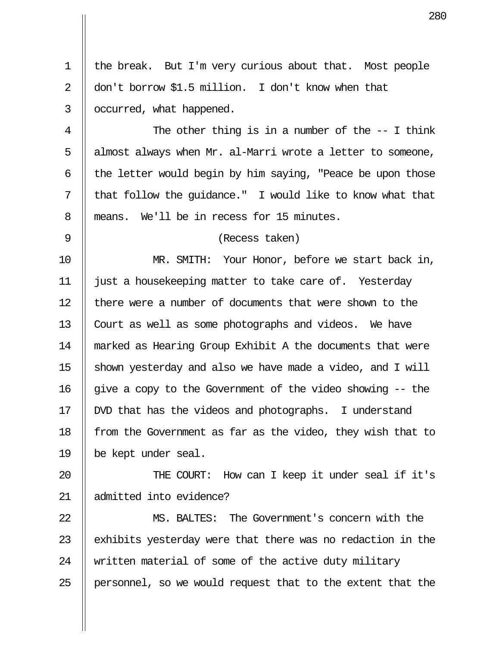1 || the break. But I'm very curious about that. Most people 2 don't borrow \$1.5 million. I don't know when that 3 | occurred, what happened. 4 || The other thing is in a number of the -- I think  $5$  | almost always when Mr. al-Marri wrote a letter to someone, 6  $\parallel$  the letter would begin by him saying, "Peace be upon those  $7 \parallel$  that follow the quidance." I would like to know what that 8 || means. We'll be in recess for 15 minutes. 9 (Recess taken) 10 MR. SMITH: Your Honor, before we start back in, 11 just a housekeeping matter to take care of. Yesterday 12 || there were a number of documents that were shown to the 13 || Court as well as some photographs and videos. We have 14 marked as Hearing Group Exhibit A the documents that were 15  $\parallel$  shown yesterday and also we have made a video, and I will 16  $\parallel$  give a copy to the Government of the video showing  $-$  the 17 DVD that has the videos and photographs. I understand 18 | from the Government as far as the video, they wish that to 19 be kept under seal. 20 || THE COURT: How can I keep it under seal if it's 21 admitted into evidence? 22 MS. BALTES: The Government's concern with the 23  $\parallel$  exhibits yesterday were that there was no redaction in the 24  $\parallel$  written material of some of the active duty military

25 || personnel, so we would request that to the extent that the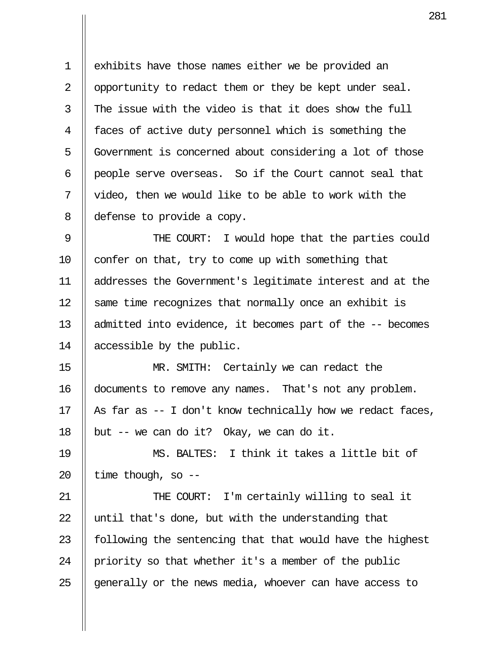1 exhibits have those names either we be provided an 2 | opportunity to redact them or they be kept under seal.  $3$   $\parallel$  The issue with the video is that it does show the full 4 || faces of active duty personnel which is something the 5 | Government is concerned about considering a lot of those 6 people serve overseas. So if the Court cannot seal that 7  $\parallel$  video, then we would like to be able to work with the 8 | defense to provide a copy.

9 || THE COURT: I would hope that the parties could 10  $\parallel$  confer on that, try to come up with something that 11 addresses the Government's legitimate interest and at the 12 Same time recognizes that normally once an exhibit is 13 admitted into evidence, it becomes part of the -- becomes 14 accessible by the public.

15 MR. SMITH: Certainly we can redact the 16 documents to remove any names. That's not any problem. 17 || As far as  $-$  I don't know technically how we redact faces, 18 | but  $-$  we can do it? Okay, we can do it.

19 MS. BALTES: I think it takes a little bit of 20  $\parallel$  time though, so --

21 || THE COURT: I'm certainly willing to seal it 22  $\parallel$  until that's done, but with the understanding that 23  $\parallel$  following the sentencing that that would have the highest 24 | priority so that whether it's a member of the public 25  $\parallel$  generally or the news media, whoever can have access to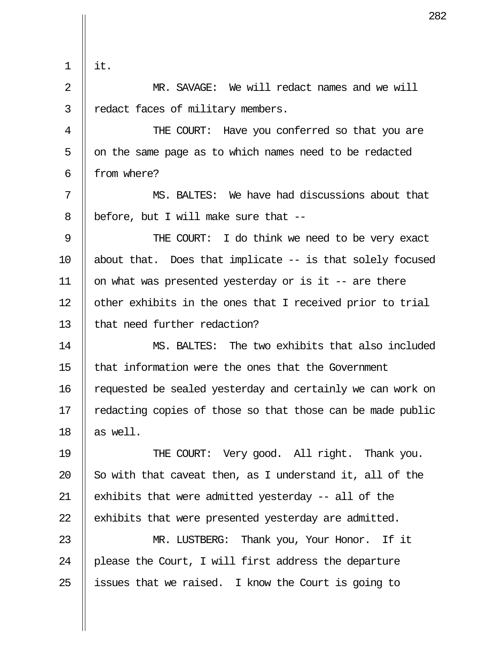|             | 28                                                         |
|-------------|------------------------------------------------------------|
| $\mathbf 1$ | it.                                                        |
| 2           | MR. SAVAGE: We will redact names and we will               |
| 3           | redact faces of military members.                          |
| 4           | THE COURT: Have you conferred so that you are              |
| 5           | on the same page as to which names need to be redacted     |
| 6           | from where?                                                |
| 7           | MS. BALTES: We have had discussions about that             |
| 8           | before, but I will make sure that --                       |
| 9           | THE COURT: I do think we need to be very exact             |
| 10          | about that. Does that implicate $-$ is that solely focused |
| 11          | on what was presented yesterday or is it -- are there      |
| 12          | other exhibits in the ones that I received prior to trial  |
| 13          | that need further redaction?                               |
| 14          | MS. BALTES: The two exhibits that also included            |
| 15          | that information were the ones that the Government         |
| 16          | requested be sealed yesterday and certainly we can work on |
| 17          | redacting copies of those so that those can be made public |
| 18          | as well.                                                   |
| 19          | THE COURT: Very good. All right. Thank you.                |
| 20          | So with that caveat then, as I understand it, all of the   |
| 21          | exhibits that were admitted yesterday -- all of the        |
| 22          | exhibits that were presented yesterday are admitted.       |
| 23          | MR. LUSTBERG: Thank you, Your Honor. If it                 |
| 24          | please the Court, I will first address the departure       |
| 25          | issues that we raised. I know the Court is going to        |

Ш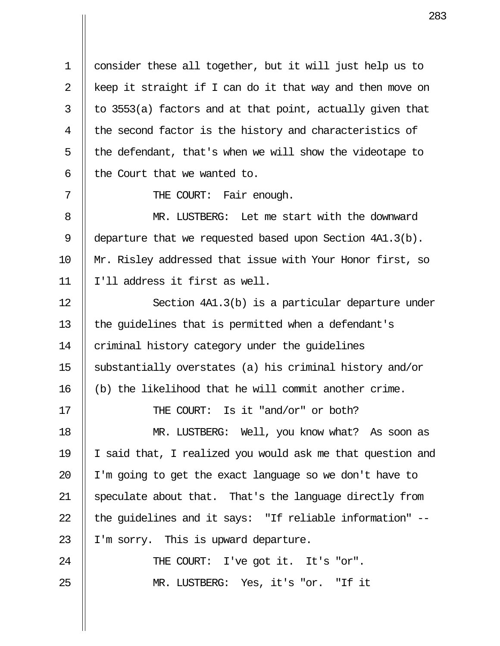1 consider these all together, but it will just help us to 2  $\parallel$  keep it straight if I can do it that way and then move on  $3 \parallel$  to 3553(a) factors and at that point, actually given that  $4 \parallel$  the second factor is the history and characteristics of  $5$  | the defendant, that's when we will show the videotape to  $6$  || the Court that we wanted to.

7 || THE COURT: Fair enough.

 8 MR. LUSTBERG: Let me start with the downward 9 | departure that we requested based upon Section 4A1.3(b). 10 Mr. Risley addressed that issue with Your Honor first, so 11 I'll address it first as well.

12 || Section 4A1.3(b) is a particular departure under 13 || the quidelines that is permitted when a defendant's 14 | criminal history category under the quidelines 15 substantially overstates (a) his criminal history and/or 16 (b) the likelihood that he will commit another crime.

17 || THE COURT: Is it "and/or" or both?

18 MR. LUSTBERG: Well, you know what? As soon as 19 I said that, I realized you would ask me that question and 20  $\parallel$  I'm going to get the exact language so we don't have to 21 || speculate about that. That's the language directly from 22  $\parallel$  the quidelines and it says: "If reliable information" --23  $\parallel$  I'm sorry. This is upward departure.

24 || THE COURT: I've got it. It's "or". 25 MR. LUSTBERG: Yes, it's "or. "If it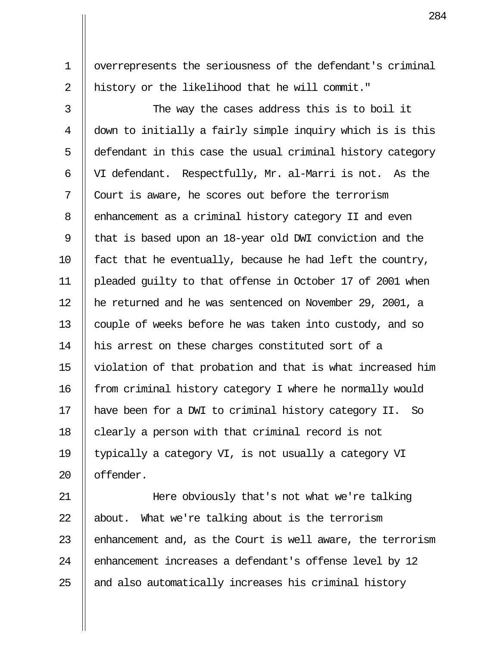1 overrepresents the seriousness of the defendant's criminal 2 || history or the likelihood that he will commit."

 $3$   $\parallel$  The way the cases address this is to boil it 4 down to initially a fairly simple inquiry which is is this 5 || defendant in this case the usual criminal history category 6 VI defendant. Respectfully, Mr. al-Marri is not. As the 7 Court is aware, he scores out before the terrorism 8 | enhancement as a criminal history category II and even 9 || that is based upon an 18-year old DWI conviction and the  $10$  | fact that he eventually, because he had left the country, 11 pleaded guilty to that offense in October 17 of 2001 when 12 he returned and he was sentenced on November 29, 2001, a 13 || couple of weeks before he was taken into custody, and so 14 || his arrest on these charges constituted sort of a 15 violation of that probation and that is what increased him 16 || from criminal history category I where he normally would 17 have been for a DWI to criminal history category II. So 18  $\parallel$  clearly a person with that criminal record is not 19 || typically a category VI, is not usually a category VI 20 offender.

21 Here obviously that's not what we're talking  $22$  || about. What we're talking about is the terrorism 23  $\parallel$  enhancement and, as the Court is well aware, the terrorism 24 || enhancement increases a defendant's offense level by 12  $25$   $\parallel$  and also automatically increases his criminal history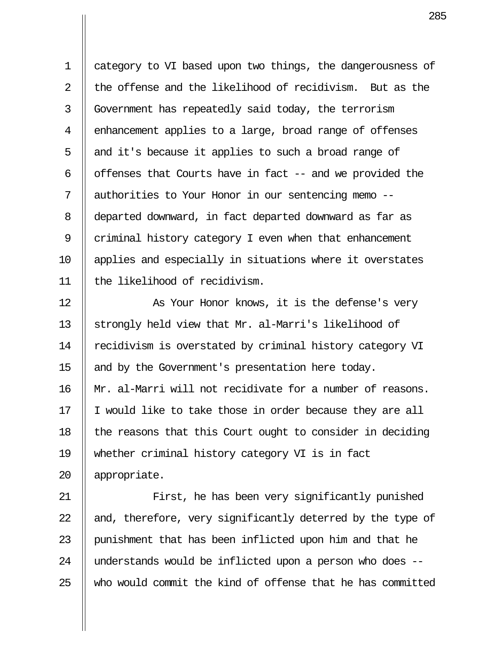1 | category to VI based upon two things, the dangerousness of  $2 \parallel$  the offense and the likelihood of recidivism. But as the 3 Government has repeatedly said today, the terrorism 4 | enhancement applies to a large, broad range of offenses 5  $\parallel$  and it's because it applies to such a broad range of 6 | offenses that Courts have in fact  $-$  and we provided the 7 authorities to Your Honor in our sentencing memo -- 8 departed downward, in fact departed downward as far as 9  $\parallel$  criminal history category I even when that enhancement 10 applies and especially in situations where it overstates 11 the likelihood of recidivism.

12 || As Your Honor knows, it is the defense's very 13 Strongly held view that Mr. al-Marri's likelihood of 14 || recidivism is overstated by criminal history category VI 15 || and by the Government's presentation here today. 16 || Mr. al-Marri will not recidivate for a number of reasons. 17  $\parallel$  I would like to take those in order because they are all 18  $\parallel$  the reasons that this Court ought to consider in deciding 19 whether criminal history category VI is in fact 20 appropriate.

21 || First, he has been very significantly punished 22  $\parallel$  and, therefore, very significantly deterred by the type of 23 || punishment that has been inflicted upon him and that he 24 || understands would be inflicted upon a person who does -- $25$   $\parallel$  who would commit the kind of offense that he has committed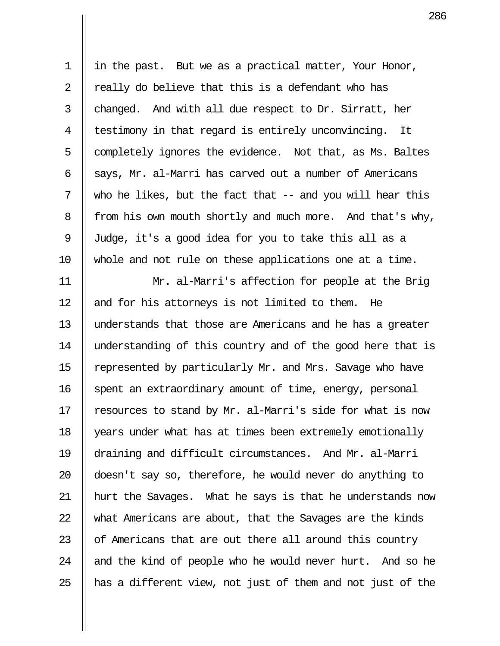1 in the past. But we as a practical matter, Your Honor, 2  $\parallel$  really do believe that this is a defendant who has 3  $\parallel$  changed. And with all due respect to Dr. Sirratt, her 4 || testimony in that regard is entirely unconvincing. It  $5$  | completely ignores the evidence. Not that, as Ms. Baltes 6  $\parallel$  says, Mr. al-Marri has carved out a number of Americans  $7 \parallel$  who he likes, but the fact that -- and you will hear this 8 | from his own mouth shortly and much more. And that's why, 9 Judge, it's a good idea for you to take this all as a 10 whole and not rule on these applications one at a time.

11 Mr. al-Marri's affection for people at the Brig  $12$  || and for his attorneys is not limited to them. He 13 understands that those are Americans and he has a greater 14 || understanding of this country and of the good here that is 15 | represented by particularly Mr. and Mrs. Savage who have 16 | spent an extraordinary amount of time, energy, personal 17  $\parallel$  resources to stand by Mr. al-Marri's side for what is now 18 | years under what has at times been extremely emotionally 19 draining and difficult circumstances. And Mr. al-Marri 20 doesn't say so, therefore, he would never do anything to 21 || hurt the Savages. What he says is that he understands now 22 What Americans are about, that the Savages are the kinds 23  $\parallel$  of Americans that are out there all around this country 24  $\parallel$  and the kind of people who he would never hurt. And so he 25  $\parallel$  has a different view, not just of them and not just of the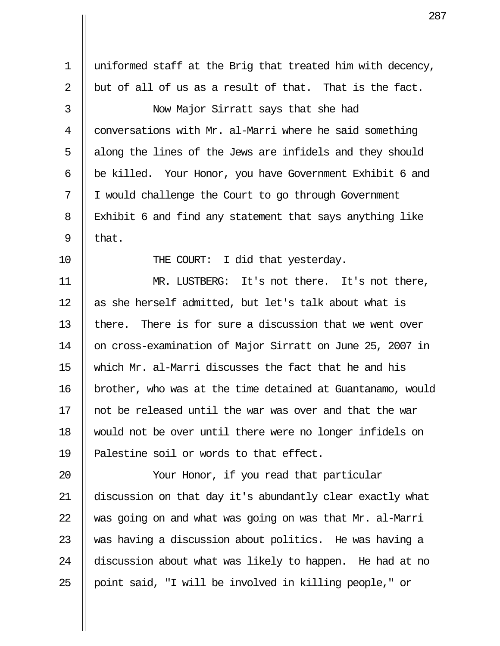1 uniformed staff at the Brig that treated him with decency, 2  $\parallel$  but of all of us as a result of that. That is the fact. 3 Now Major Sirratt says that she had 4 | conversations with Mr. al-Marri where he said something 5 || along the lines of the Jews are infidels and they should 6 be killed. Your Honor, you have Government Exhibit 6 and 7 I would challenge the Court to go through Government 8 Exhibit 6 and find any statement that says anything like  $9 \parallel$  that. 10 || THE COURT: I did that yesterday. 11 MR. LUSTBERG: It's not there. It's not there, 12  $\parallel$  as she herself admitted, but let's talk about what is 13  $\parallel$  there. There is for sure a discussion that we went over 14 || on cross-examination of Major Sirratt on June 25, 2007 in 15 which Mr. al-Marri discusses the fact that he and his 16 brother, who was at the time detained at Guantanamo, would  $17$   $\parallel$  not be released until the war was over and that the war 18 would not be over until there were no longer infidels on 19  $\parallel$  Palestine soil or words to that effect. 20 Your Honor, if you read that particular 21 discussion on that day it's abundantly clear exactly what  $22$   $\parallel$  was going on and what was going on was that Mr. al-Marri 23  $\parallel$  was having a discussion about politics. He was having a 24 discussion about what was likely to happen. He had at no 25 || point said, "I will be involved in killing people," or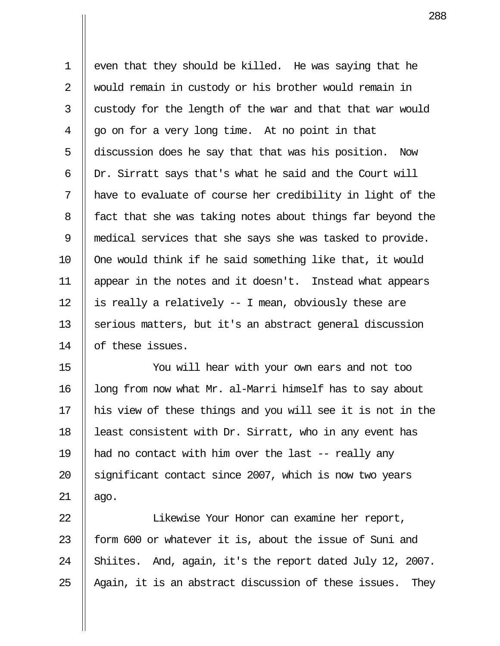1 | even that they should be killed. He was saying that he 2 || would remain in custody or his brother would remain in  $3$  || custody for the length of the war and that that war would  $4 \parallel qo$  on for a very long time. At no point in that 5 discussion does he say that that was his position. Now 6  $\parallel$  Dr. Sirratt says that's what he said and the Court will  $7$  || have to evaluate of course her credibility in light of the 8 | fact that she was taking notes about things far beyond the 9 medical services that she says she was tasked to provide.  $10$   $\parallel$  One would think if he said something like that, it would 11 appear in the notes and it doesn't. Instead what appears 12  $\parallel$  is really a relatively -- I mean, obviously these are 13 Serious matters, but it's an abstract general discussion 14 || of these issues.

15 You will hear with your own ears and not too  $16$  || long from now what Mr. al-Marri himself has to say about 17 his view of these things and you will see it is not in the 18 | least consistent with Dr. Sirratt, who in any event has 19  $\parallel$  had no contact with him over the last -- really any 20 || significant contact since 2007, which is now two years  $21$  | ago.

22 || Iikewise Your Honor can examine her report, 23  $\parallel$  form 600 or whatever it is, about the issue of Suni and 24 Shiites. And, again, it's the report dated July 12, 2007. 25  $\parallel$  Again, it is an abstract discussion of these issues. They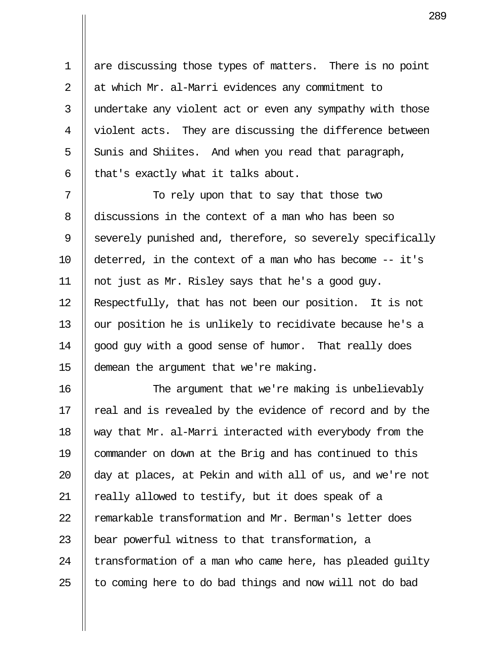1 | are discussing those types of matters. There is no point 2 at which Mr. al-Marri evidences any commitment to 3 || undertake any violent act or even any sympathy with those 4 || violent acts. They are discussing the difference between  $5 \parallel$  Sunis and Shiites. And when you read that paragraph, 6  $\parallel$  that's exactly what it talks about.

7 || To rely upon that to say that those two 8 discussions in the context of a man who has been so 9 Severely punished and, therefore, so severely specifically 10 deterred, in the context of a man who has become -- it's 11 not just as Mr. Risley says that he's a good guy. 12 Respectfully, that has not been our position. It is not 13 || our position he is unlikely to recidivate because he's a 14 || good guy with a good sense of humor. That really does 15 demean the argument that we're making.

16 The argument that we're making is unbelievably 17 || real and is revealed by the evidence of record and by the 18 way that Mr. al-Marri interacted with everybody from the 19 commander on down at the Brig and has continued to this 20  $\parallel$  day at places, at Pekin and with all of us, and we're not 21 || really allowed to testify, but it does speak of a 22 | remarkable transformation and Mr. Berman's letter does 23  $\parallel$  bear powerful witness to that transformation, a 24  $\parallel$  transformation of a man who came here, has pleaded quilty  $25$  || to coming here to do bad things and now will not do bad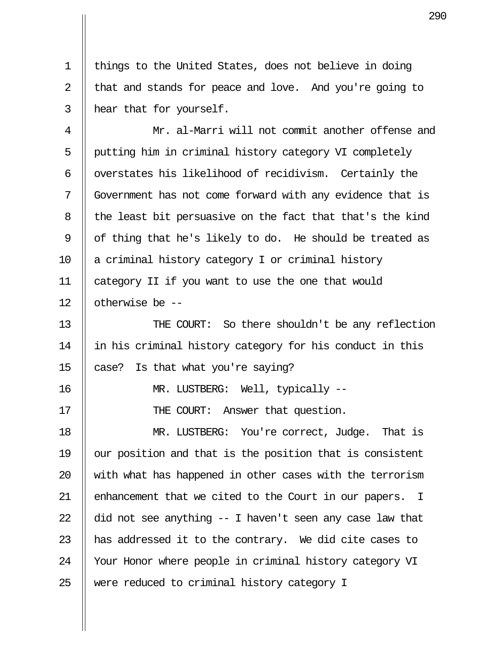1 | things to the United States, does not believe in doing 2  $\parallel$  that and stands for peace and love. And you're going to 3 | hear that for yourself.

 4 Mr. al-Marri will not commit another offense and 5 | putting him in criminal history category VI completely 6  $\parallel$  overstates his likelihood of recidivism. Certainly the 7 Government has not come forward with any evidence that is 8 || the least bit persuasive on the fact that that's the kind 9  $\parallel$  of thing that he's likely to do. He should be treated as  $10$  || a criminal history category I or criminal history 11 category II if you want to use the one that would 12 || otherwise be --

13 || THE COURT: So there shouldn't be any reflection 14 in his criminal history category for his conduct in this 15  $\parallel$  case? Is that what you're saying?

16 || MR. LUSTBERG: Well, typically --

17 || THE COURT: Answer that question.

18 || MR. LUSTBERG: You're correct, Judge. That is 19  $\parallel$  our position and that is the position that is consistent  $20$   $\parallel$  with what has happened in other cases with the terrorism 21 || enhancement that we cited to the Court in our papers. I 22  $\parallel$  did not see anything -- I haven't seen any case law that 23  $\parallel$  has addressed it to the contrary. We did cite cases to 24 || Your Honor where people in criminal history category VI 25 || were reduced to criminal history category I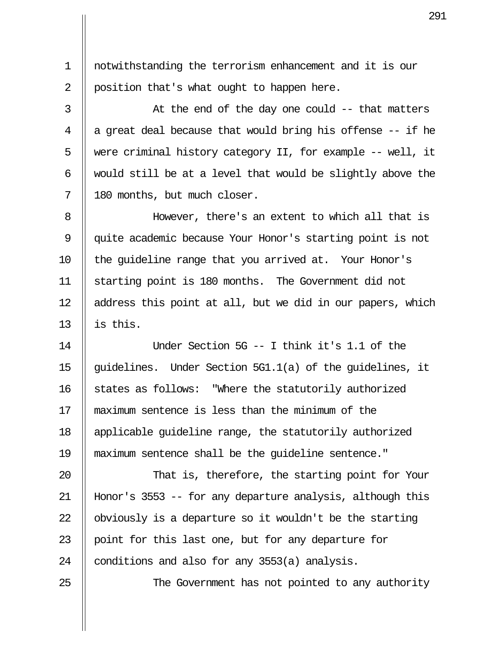1 notwithstanding the terrorism enhancement and it is our 2 | position that's what ought to happen here.

 3 At the end of the day one could -- that matters 4  $\parallel$  a great deal because that would bring his offense -- if he 5  $\parallel$  were criminal history category II, for example -- well, it 6  $\parallel$  would still be at a level that would be slightly above the 7 || 180 months, but much closer.

 8 However, there's an extent to which all that is 9 quite academic because Your Honor's starting point is not 10 || the quideline range that you arrived at. Your Honor's 11 starting point is 180 months. The Government did not  $12$  || address this point at all, but we did in our papers, which 13  $\parallel$  is this.

14 Under Section 5G -- I think it's 1.1 of the 15  $\parallel$  guidelines. Under Section 5G1.1(a) of the guidelines, it 16 States as follows: "Where the statutorily authorized 17 maximum sentence is less than the minimum of the 18 applicable guideline range, the statutorily authorized 19 maximum sentence shall be the guideline sentence."

20 || That is, therefore, the starting point for Your 21 Honor's 3553 -- for any departure analysis, although this 22  $\parallel$  obviously is a departure so it wouldn't be the starting 23 || point for this last one, but for any departure for 24  $\parallel$  conditions and also for any 3553(a) analysis.

25 || The Government has not pointed to any authority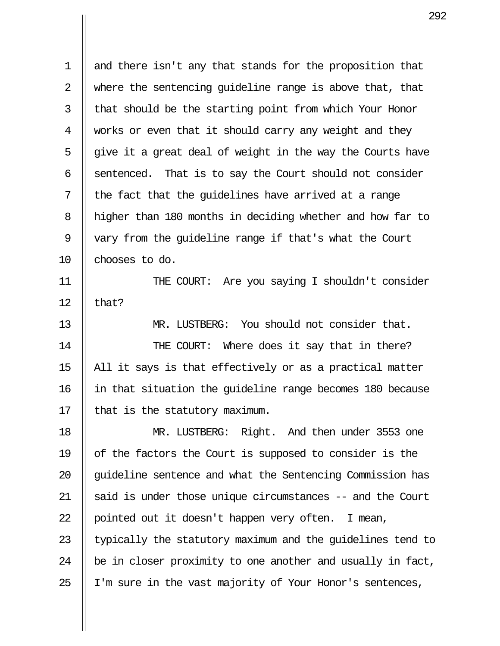1 || and there isn't any that stands for the proposition that 2  $\parallel$  where the sentencing quideline range is above that, that  $3$  || that should be the starting point from which Your Honor 4 Works or even that it should carry any weight and they  $5$  || give it a great deal of weight in the way the Courts have  $6$  || sentenced. That is to say the Court should not consider  $7$  || the fact that the quidelines have arrived at a range 8 | higher than 180 months in deciding whether and how far to 9 || vary from the quideline range if that's what the Court 10 || chooses to do.

11 THE COURT: Are you saying I shouldn't consider 12  $\parallel$  that?

13 MR. LUSTBERG: You should not consider that. 14 || THE COURT: Where does it say that in there? 15  $\parallel$  All it says is that effectively or as a practical matter 16 in that situation the guideline range becomes 180 because  $17$  | that is the statutory maximum.

18 MR. LUSTBERG: Right. And then under 3553 one 19 of the factors the Court is supposed to consider is the 20 || quideline sentence and what the Sentencing Commission has 21  $\parallel$  said is under those unique circumstances -- and the Court 22 || pointed out it doesn't happen very often. I mean, 23  $\parallel$  typically the statutory maximum and the quidelines tend to  $24$   $\parallel$  be in closer proximity to one another and usually in fact,  $25$  || I'm sure in the vast majority of Your Honor's sentences,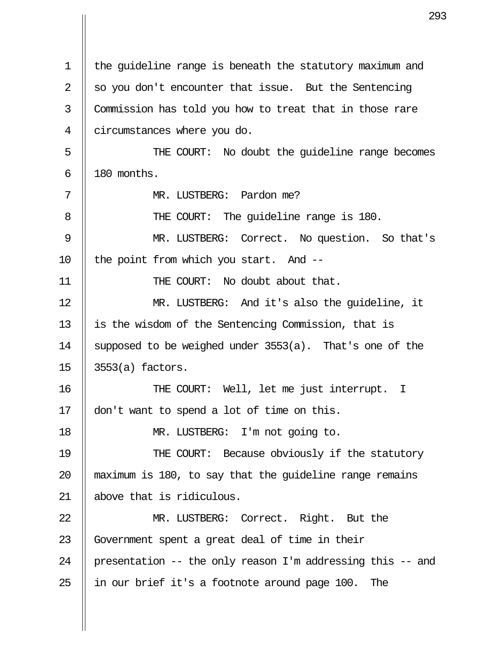1 the guideline range is beneath the statutory maximum and 2  $\parallel$  so you don't encounter that issue. But the Sentencing 3 || Commission has told you how to treat that in those rare 4 circumstances where you do. 5 THE COURT: No doubt the guideline range becomes  $6 \parallel 180$  months. 7 MR. LUSTBERG: Pardon me? 8 THE COURT: The guideline range is 180. 9 || MR. LUSTBERG: Correct. No question. So that's 10  $\parallel$  the point from which you start. And --11 || THE COURT: No doubt about that. 12 MR. LUSTBERG: And it's also the guideline, it 13 || is the wisdom of the Sentencing Commission, that is 14 || supposed to be weighed under  $3553(a)$ . That's one of the 15 3553(a) factors. 16 THE COURT: Well, let me just interrupt. I 17 don't want to spend a lot of time on this. 18 || MR. LUSTBERG: I'm not going to. 19 || THE COURT: Because obviously if the statutory 20  $\parallel$  maximum is 180, to say that the quideline range remains 21 above that is ridiculous. 22 || MR. LUSTBERG: Correct. Right. But the 23 Government spent a great deal of time in their 24 || presentation  $-$  the only reason I'm addressing this  $-$  and 25  $\parallel$  in our brief it's a footnote around page 100. The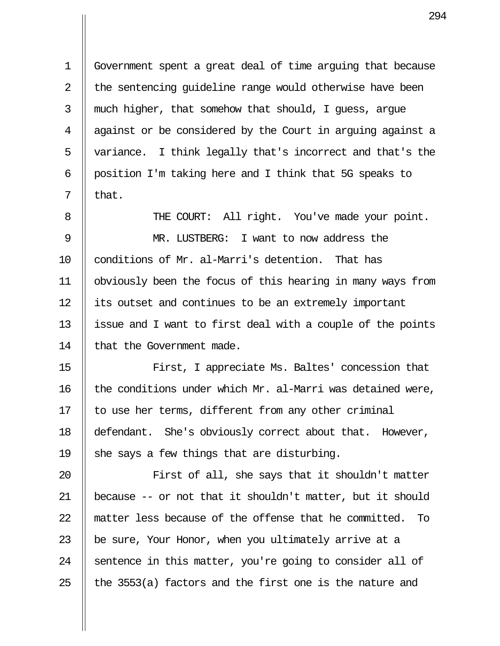1 Government spent a great deal of time arguing that because  $2 \parallel$  the sentencing quideline range would otherwise have been  $3$  || much higher, that somehow that should, I guess, argue 4 || against or be considered by the Court in arguing against a 5 || variance. I think legally that's incorrect and that's the 6 | position I'm taking here and I think that 5G speaks to  $7 \parallel$  that.

8 || THE COURT: All right. You've made your point. 9 MR. LUSTBERG: I want to now address the 10 conditions of Mr. al-Marri's detention. That has 11 obviously been the focus of this hearing in many ways from 12 || its outset and continues to be an extremely important 13  $\parallel$  issue and I want to first deal with a couple of the points 14 | that the Government made.

15 || First, I appreciate Ms. Baltes' concession that 16  $\parallel$  the conditions under which Mr. al-Marri was detained were, 17  $\parallel$  to use her terms, different from any other criminal 18 defendant. She's obviously correct about that. However, 19  $\parallel$  she says a few things that are disturbing.

20 || First of all, she says that it shouldn't matter 21 | because  $-$ - or not that it shouldn't matter, but it should 22 matter less because of the offense that he committed. To 23  $\parallel$  be sure, Your Honor, when you ultimately arrive at a 24  $\parallel$  sentence in this matter, you're going to consider all of 25  $\parallel$  the 3553(a) factors and the first one is the nature and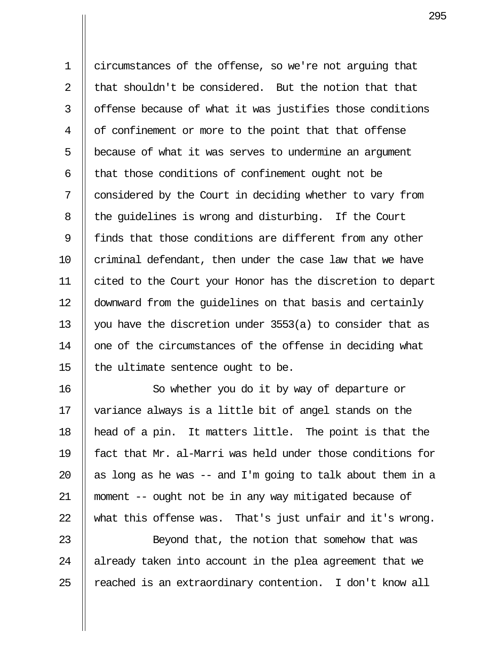1 circumstances of the offense, so we're not arguing that 2  $\parallel$  that shouldn't be considered. But the notion that that 3 | offense because of what it was justifies those conditions 4 | of confinement or more to the point that that offense 5 || because of what it was serves to undermine an argument 6  $\parallel$  that those conditions of confinement ought not be  $7 \parallel$  considered by the Court in deciding whether to vary from 8 || the guidelines is wrong and disturbing. If the Court 9 || finds that those conditions are different from any other  $10$  | criminal defendant, then under the case law that we have 11 cited to the Court your Honor has the discretion to depart 12 downward from the guidelines on that basis and certainly 13 || you have the discretion under  $3553(a)$  to consider that as 14 || one of the circumstances of the offense in deciding what 15  $\parallel$  the ultimate sentence ought to be.

16 || So whether you do it by way of departure or 17 variance always is a little bit of angel stands on the 18 head of a pin. It matters little. The point is that the 19 fact that Mr. al-Marri was held under those conditions for 20  $\parallel$  as long as he was -- and I'm going to talk about them in a 21 moment -- ought not be in any way mitigated because of 22  $\parallel$  what this offense was. That's just unfair and it's wrong.

23 || Beyond that, the notion that somehow that was  $24$  || already taken into account in the plea agreement that we  $25$  || reached is an extraordinary contention. I don't know all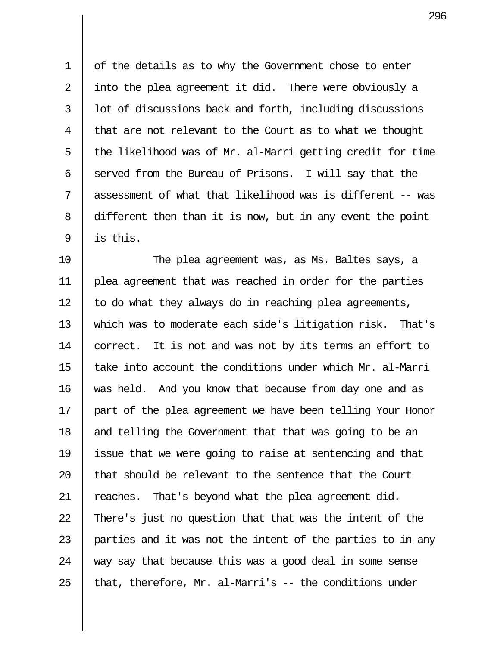1 | of the details as to why the Government chose to enter 2 || into the plea agreement it did. There were obviously a  $3$   $\parallel$  1ot of discussions back and forth, including discussions  $4 \parallel$  that are not relevant to the Court as to what we thought 5  $\parallel$  the likelihood was of Mr. al-Marri getting credit for time 6 Served from the Bureau of Prisons. I will say that the 7  $\parallel$  assessment of what that likelihood was is different -- was 8 different then than it is now, but in any event the point  $9$   $\parallel$  is this.

10 The plea agreement was, as Ms. Baltes says, a 11 plea agreement that was reached in order for the parties  $12$  || to do what they always do in reaching plea agreements, 13 which was to moderate each side's litigation risk. That's 14 | correct. It is not and was not by its terms an effort to 15  $\parallel$  take into account the conditions under which Mr. al-Marri 16 was held. And you know that because from day one and as 17 || part of the plea agreement we have been telling Your Honor 18 || and telling the Government that that was going to be an 19 issue that we were going to raise at sentencing and that 20  $\parallel$  that should be relevant to the sentence that the Court 21 || reaches. That's beyond what the plea agreement did. 22  $\parallel$  There's just no question that that was the intent of the 23  $\parallel$  parties and it was not the intent of the parties to in any 24  $\parallel$  way say that because this was a good deal in some sense 25  $\parallel$  that, therefore, Mr. al-Marri's -- the conditions under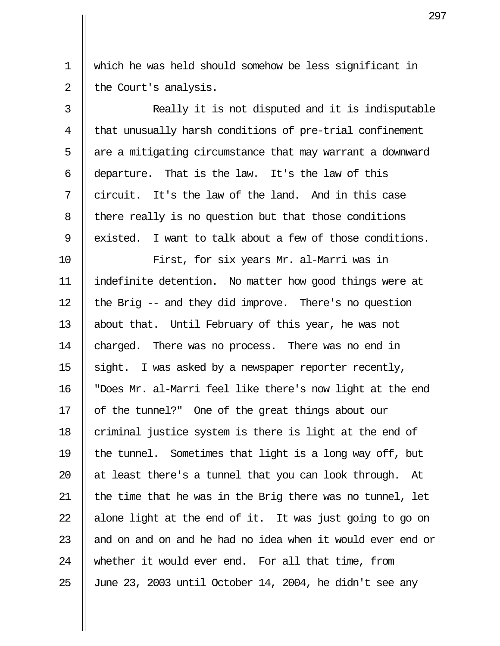1 which he was held should somehow be less significant in 2 | the Court's analysis.

3 || Really it is not disputed and it is indisputable 4 || that unusually harsh conditions of pre-trial confinement  $5$  || are a mitigating circumstance that may warrant a downward 6  $\parallel$  departure. That is the law. It's the law of this 7  $\parallel$  circuit. It's the law of the land. And in this case 8 | there really is no question but that those conditions 9 | existed. I want to talk about a few of those conditions.

10 First, for six years Mr. al-Marri was in 11 indefinite detention. No matter how good things were at 12  $\parallel$  the Brig -- and they did improve. There's no question 13 || about that. Until February of this year, he was not 14 | charged. There was no process. There was no end in 15  $\parallel$  sight. I was asked by a newspaper reporter recently, 16 "Does Mr. al-Marri feel like there's now light at the end 17 || of the tunnel?" One of the great things about our  $18$  | criminal justice system is there is light at the end of 19  $\parallel$  the tunnel. Sometimes that light is a long way off, but 20  $\parallel$  at least there's a tunnel that you can look through. At 21  $\parallel$  the time that he was in the Brig there was no tunnel, let 22  $\parallel$  alone light at the end of it. It was just going to go on 23  $\parallel$  and on and on and he had no idea when it would ever end or 24 whether it would ever end. For all that time, from 25 June 23, 2003 until October 14, 2004, he didn't see any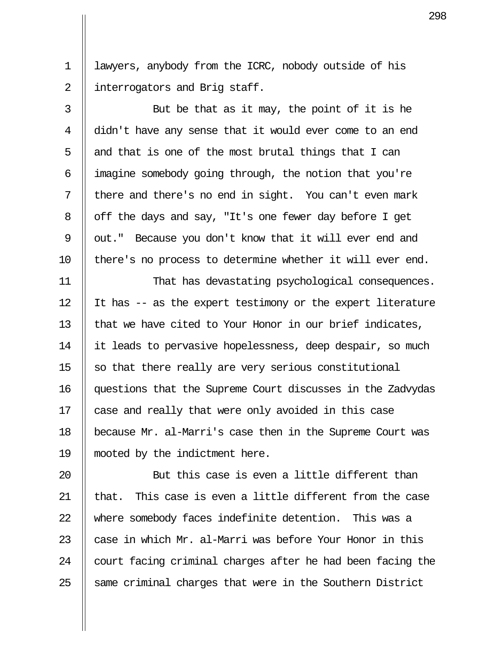1 | lawyers, anybody from the ICRC, nobody outside of his 2 | interrogators and Brig staff.

 $3 \parallel$  But be that as it may, the point of it is he 4 didn't have any sense that it would ever come to an end 5  $\parallel$  and that is one of the most brutal things that I can 6  $\parallel$  imagine somebody going through, the notion that you're  $7 \parallel$  there and there's no end in sight. You can't even mark 8 | off the days and say, "It's one fewer day before I get 9 || out." Because you don't know that it will ever end and 10 || there's no process to determine whether it will ever end.

11 That has devastating psychological consequences. 12  $\parallel$  It has -- as the expert testimony or the expert literature 13  $\parallel$  that we have cited to Your Honor in our brief indicates, 14 it leads to pervasive hopelessness, deep despair, so much 15  $\parallel$  so that there really are very serious constitutional 16 questions that the Supreme Court discusses in the Zadvydas 17 || case and really that were only avoided in this case 18 because Mr. al-Marri's case then in the Supreme Court was 19 mooted by the indictment here.

 $\parallel$  But this case is even a little different than  $\parallel$  that. This case is even a little different from the case 22 Where somebody faces indefinite detention. This was a  $\parallel$  case in which Mr. al-Marri was before Your Honor in this  $\parallel$  court facing criminal charges after he had been facing the  $\parallel$  same criminal charges that were in the Southern District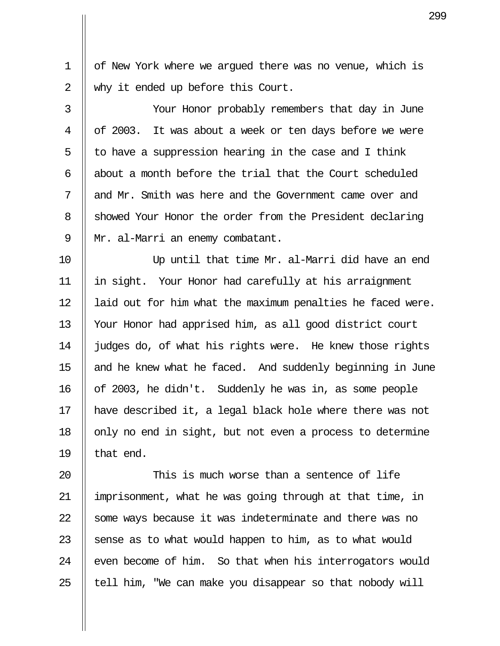1 | of New York where we arqued there was no venue, which is 2 || why it ended up before this Court.

 3 Your Honor probably remembers that day in June 4 || of 2003. It was about a week or ten days before we were 5  $\parallel$  to have a suppression hearing in the case and I think 6  $\parallel$  about a month before the trial that the Court scheduled 7 II and Mr. Smith was here and the Government came over and 8 Showed Your Honor the order from the President declaring 9 || Mr. al-Marri an enemy combatant.

10 Up until that time Mr. al-Marri did have an end 11 in sight. Your Honor had carefully at his arraignment 12 | laid out for him what the maximum penalties he faced were. 13 Your Honor had apprised him, as all good district court 14 | judges do, of what his rights were. He knew those rights 15 || and he knew what he faced. And suddenly beginning in June 16 of 2003, he didn't. Suddenly he was in, as some people 17 have described it, a legal black hole where there was not 18  $\parallel$  only no end in sight, but not even a process to determine 19  $\parallel$  that end.

 $\parallel$  This is much worse than a sentence of life 21 imprisonment, what he was going through at that time, in 22 Some ways because it was indeterminate and there was no  $\parallel$  sense as to what would happen to him, as to what would || even become of him. So that when his interrogators would || tell him, "We can make you disappear so that nobody will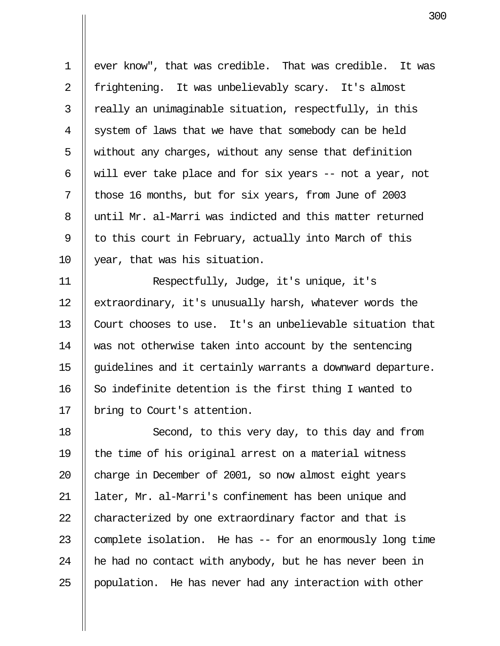1 | ever know", that was credible. That was credible. It was 2 || frightening. It was unbelievably scary. It's almost  $3 \parallel$  really an unimaginable situation, respectfully, in this  $4 \parallel$  system of laws that we have that somebody can be held 5  $\parallel$  without any charges, without any sense that definition 6 || will ever take place and for six years  $-$  not a year, not 7 || those 16 months, but for six years, from June of 2003 8 || until Mr. al-Marri was indicted and this matter returned 9 || to this court in February, actually into March of this 10 year, that was his situation.

11 Respectfully, Judge, it's unique, it's 12 extraordinary, it's unusually harsh, whatever words the 13 Court chooses to use. It's an unbelievable situation that 14 was not otherwise taken into account by the sentencing 15 | quidelines and it certainly warrants a downward departure.  $16$  So indefinite detention is the first thing I wanted to 17 || bring to Court's attention.

18 || Second, to this very day, to this day and from 19  $\parallel$  the time of his original arrest on a material witness 20 || charge in December of 2001, so now almost eight years 21 || later, Mr. al-Marri's confinement has been unique and 22 characterized by one extraordinary factor and that is 23  $\parallel$  complete isolation. He has  $-$  for an enormously long time 24  $\parallel$  he had no contact with anybody, but he has never been in 25 || population. He has never had any interaction with other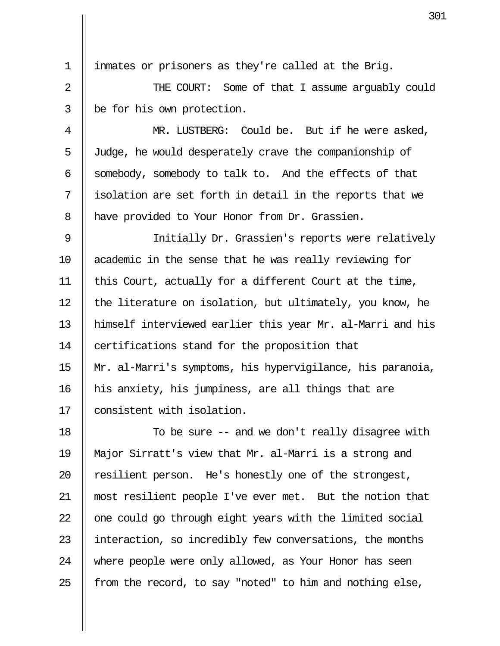1 inmates or prisoners as they're called at the Brig.

 2 THE COURT: Some of that I assume arguably could  $3$  | be for his own protection.

4 || MR. LUSTBERG: Could be. But if he were asked, 5 Judge, he would desperately crave the companionship of 6 Somebody, somebody to talk to. And the effects of that  $7$  || isolation are set forth in detail in the reports that we 8 | have provided to Your Honor from Dr. Grassien.

 9 Initially Dr. Grassien's reports were relatively 10 academic in the sense that he was really reviewing for 11 || this Court, actually for a different Court at the time, 12  $\parallel$  the literature on isolation, but ultimately, you know, he 13 himself interviewed earlier this year Mr. al-Marri and his 14 | certifications stand for the proposition that 15 Mr. al-Marri's symptoms, his hypervigilance, his paranoia, 16 his anxiety, his jumpiness, are all things that are 17 || consistent with isolation.

18 || To be sure -- and we don't really disagree with 19 Major Sirratt's view that Mr. al-Marri is a strong and 20 || resilient person. He's honestly one of the strongest, 21 most resilient people I've ever met. But the notion that  $22$   $\parallel$  one could go through eight years with the limited social 23 || interaction, so incredibly few conversations, the months 24 where people were only allowed, as Your Honor has seen 25  $\parallel$  from the record, to say "noted" to him and nothing else,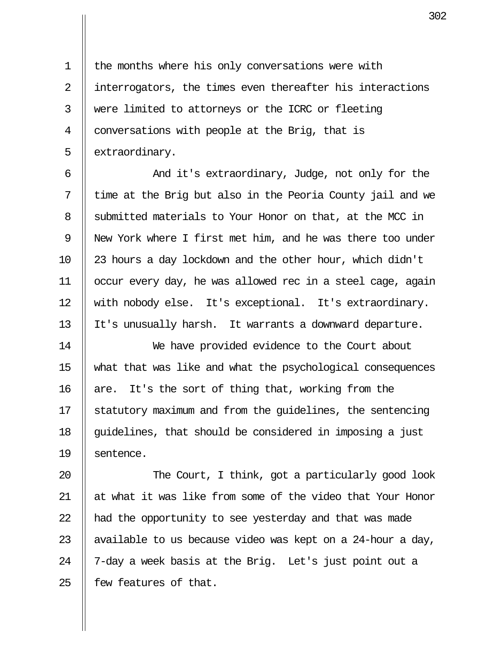1 | the months where his only conversations were with 2 || interrogators, the times even thereafter his interactions 3 were limited to attorneys or the ICRC or fleeting 4  $\parallel$  conversations with people at the Brig, that is 5 | extraordinary.

 6 And it's extraordinary, Judge, not only for the  $7$   $\parallel$  time at the Brig but also in the Peoria County jail and we 8 Submitted materials to Your Honor on that, at the MCC in 9 || New York where I first met him, and he was there too under 10 23 hours a day lockdown and the other hour, which didn't 11 occur every day, he was allowed rec in a steel cage, again 12 || with nobody else. It's exceptional. It's extraordinary. 13 || It's unusually harsh. It warrants a downward departure.

14 We have provided evidence to the Court about 15 what that was like and what the psychological consequences 16  $\parallel$  are. It's the sort of thing that, working from the 17  $\parallel$  statutory maximum and from the quidelines, the sentencing 18  $\parallel$  quidelines, that should be considered in imposing a just 19 || sentence.

20 || The Court, I think, got a particularly good look 21 || at what it was like from some of the video that Your Honor 22  $\parallel$  had the opportunity to see yesterday and that was made 23 || available to us because video was kept on a 24-hour a day, 24 | 7-day a week basis at the Brig. Let's just point out a  $25$  | few features of that.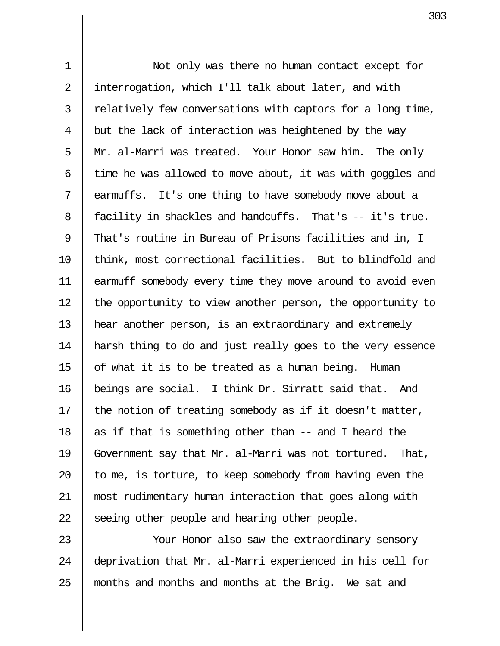1 Not only was there no human contact except for 2 || interrogation, which I'll talk about later, and with  $3$  | relatively few conversations with captors for a long time, 4  $\parallel$  but the lack of interaction was heightened by the way 5  $\parallel$  Mr. al-Marri was treated. Your Honor saw him. The only 6  $\parallel$  time he was allowed to move about, it was with goggles and 7 || earmuffs. It's one thing to have somebody move about a 8 | facility in shackles and handcuffs. That's -- it's true. 9 || That's routine in Bureau of Prisons facilities and in, I 10 || think, most correctional facilities. But to blindfold and 11 earmuff somebody every time they move around to avoid even 12 | the opportunity to view another person, the opportunity to 13 hear another person, is an extraordinary and extremely 14 harsh thing to do and just really goes to the very essence 15  $\parallel$  of what it is to be treated as a human being. Human 16 beings are social. I think Dr. Sirratt said that. And 17  $\parallel$  the notion of treating somebody as if it doesn't matter, 18  $\parallel$  as if that is something other than -- and I heard the 19 Government say that Mr. al-Marri was not tortured. That, 20  $\parallel$  to me, is torture, to keep somebody from having even the 21 most rudimentary human interaction that goes along with 22  $\parallel$  seeing other people and hearing other people.

23 Your Honor also saw the extraordinary sensory 24 deprivation that Mr. al-Marri experienced in his cell for 25 || months and months and months at the Brig. We sat and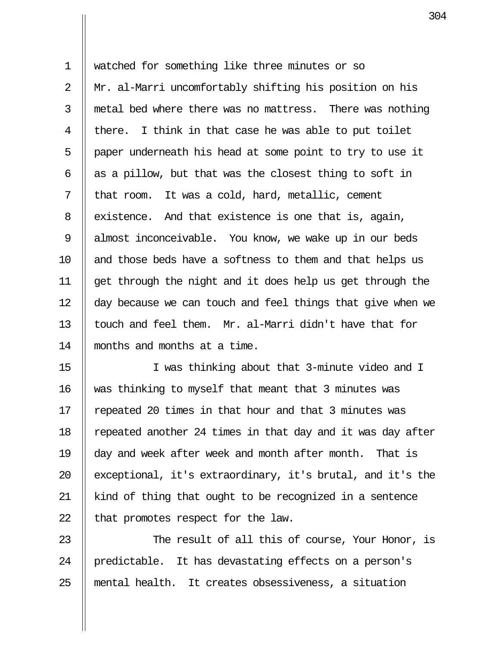1 watched for something like three minutes or so 2 Mr. al-Marri uncomfortably shifting his position on his  $3$   $\parallel$  metal bed where there was no mattress. There was nothing 4 || there. I think in that case he was able to put toilet  $5$  | paper underneath his head at some point to try to use it 6  $\parallel$  as a pillow, but that was the closest thing to soft in  $7 \parallel$  that room. It was a cold, hard, metallic, cement 8 existence. And that existence is one that is, again, 9 || almost inconceivable. You know, we wake up in our beds 10 || and those beds have a softness to them and that helps us 11 get through the night and it does help us get through the 12 || day because we can touch and feel things that give when we 13  $\parallel$  touch and feel them. Mr. al-Marri didn't have that for 14 months and months at a time.

15 I was thinking about that 3-minute video and I 16 || was thinking to myself that meant that 3 minutes was 17 || repeated 20 times in that hour and that 3 minutes was 18 || repeated another 24 times in that day and it was day after 19 day and week after week and month after month. That is 20  $\parallel$  exceptional, it's extraordinary, it's brutal, and it's the 21 kind of thing that ought to be recognized in a sentence 22  $\parallel$  that promotes respect for the law.

23  $\parallel$  The result of all this of course, Your Honor, is 24 || predictable. It has devastating effects on a person's 25 mental health. It creates obsessiveness, a situation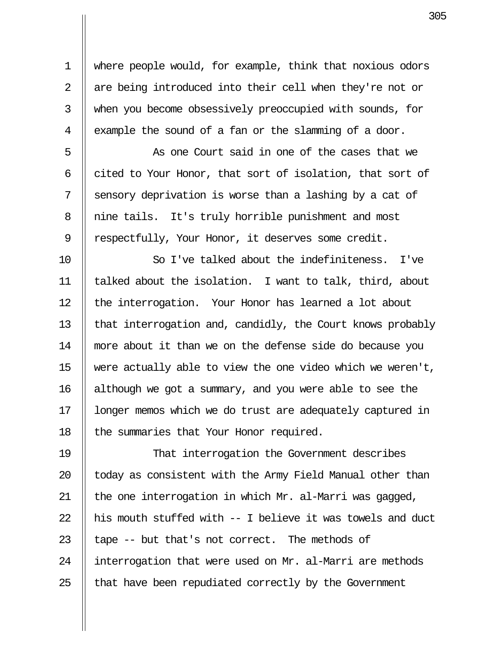1 where people would, for example, think that noxious odors 2  $\parallel$  are being introduced into their cell when they're not or 3 When you become obsessively preoccupied with sounds, for 4  $\parallel$  example the sound of a fan or the slamming of a door.

5 || As one Court said in one of the cases that we  $6 \parallel$  cited to Your Honor, that sort of isolation, that sort of  $7 \parallel$  sensory deprivation is worse than a lashing by a cat of 8 || nine tails. It's truly horrible punishment and most 9 | respectfully, Your Honor, it deserves some credit.

10 So I've talked about the indefiniteness. I've 11 talked about the isolation. I want to talk, third, about 12 || the interrogation. Your Honor has learned a lot about 13 | that interrogation and, candidly, the Court knows probably 14 more about it than we on the defense side do because you 15  $\parallel$  were actually able to view the one video which we weren't, 16 although we got a summary, and you were able to see the 17 || longer memos which we do trust are adequately captured in 18 | the summaries that Your Honor required.

19 That interrogation the Government describes  $\parallel$  today as consistent with the Army Field Manual other than  $\parallel$  the one interrogation in which Mr. al-Marri was gagged,  $\parallel$  his mouth stuffed with  $-$  I believe it was towels and duct  $\parallel$  tape -- but that's not correct. The methods of 24 | interrogation that were used on Mr. al-Marri are methods  $\parallel$  that have been repudiated correctly by the Government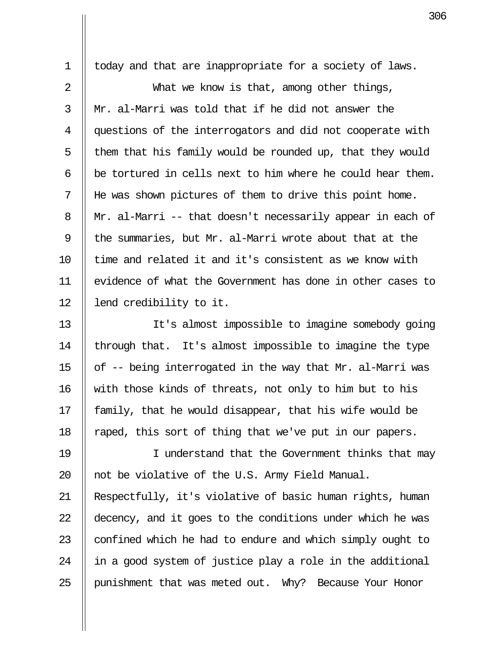1 || today and that are inappropriate for a society of laws.

2 || What we know is that, among other things,  $3 \parallel$  Mr. al-Marri was told that if he did not answer the 4 | questions of the interrogators and did not cooperate with  $5$  || them that his family would be rounded up, that they would  $6$  | be tortured in cells next to him where he could hear them. 7 He was shown pictures of them to drive this point home. 8 || Mr. al-Marri -- that doesn't necessarily appear in each of 9  $\parallel$  the summaries, but Mr. al-Marri wrote about that at the  $10$   $\parallel$  time and related it and it's consistent as we know with 11 evidence of what the Government has done in other cases to 12 || lend credibility to it.

13 It's almost impossible to imagine somebody going  $\parallel$  through that. It's almost impossible to imagine the type  $\parallel$  of -- being interrogated in the way that Mr. al-Marri was 16 with those kinds of threats, not only to him but to his  $\parallel$  family, that he would disappear, that his wife would be  $\parallel$  raped, this sort of thing that we've put in our papers.

19 || I understand that the Government thinks that may 20  $\parallel$  not be violative of the U.S. Army Field Manual.

21 Respectfully, it's violative of basic human rights, human 22 || decency, and it goes to the conditions under which he was 23  $\parallel$  confined which he had to endure and which simply ought to  $24$  || in a good system of justice play a role in the additional 25 | punishment that was meted out. Why? Because Your Honor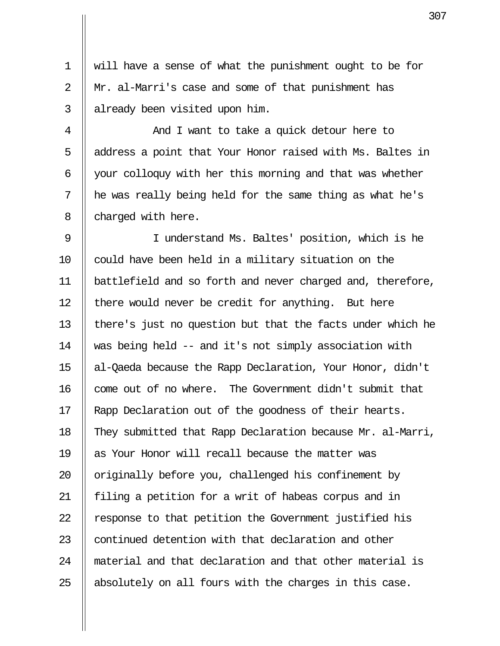1 will have a sense of what the punishment ought to be for 2 || Mr. al-Marri's case and some of that punishment has  $3$  || already been visited upon him.

 4 And I want to take a quick detour here to 5 || address a point that Your Honor raised with Ms. Baltes in 6  $\parallel$  your colloquy with her this morning and that was whether  $7$  || he was really being held for the same thing as what he's 8 || charged with here.

9 || I understand Ms. Baltes' position, which is he 10 || could have been held in a military situation on the 11 battlefield and so forth and never charged and, therefore, 12  $\parallel$  there would never be credit for anything. But here 13 there's just no question but that the facts under which he 14 was being held -- and it's not simply association with 15 al-Qaeda because the Rapp Declaration, Your Honor, didn't 16 || come out of no where. The Government didn't submit that 17 || Rapp Declaration out of the goodness of their hearts. 18 They submitted that Rapp Declaration because Mr. al-Marri, 19 || as Your Honor will recall because the matter was 20  $\parallel$  originally before you, challenged his confinement by 21 || filing a petition for a writ of habeas corpus and in 22 | response to that petition the Government justified his 23 || continued detention with that declaration and other 24 material and that declaration and that other material is 25  $\parallel$  absolutely on all fours with the charges in this case.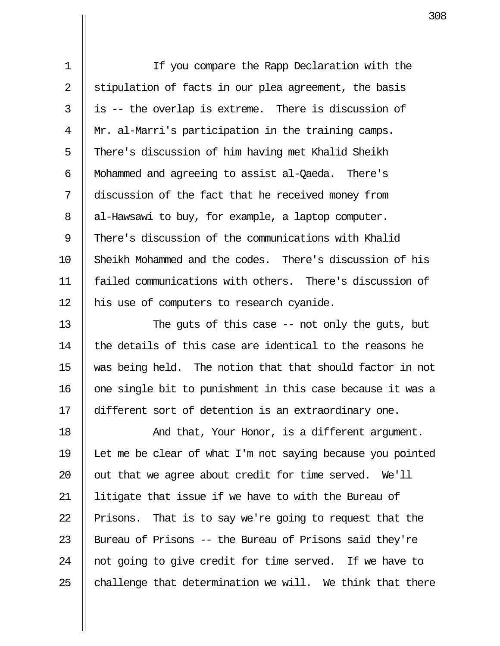1 If you compare the Rapp Declaration with the 2  $\parallel$  stipulation of facts in our plea agreement, the basis  $3 \parallel$  is -- the overlap is extreme. There is discussion of 4 Mr. al-Marri's participation in the training camps. 5 || There's discussion of him having met Khalid Sheikh 6 | Mohammed and agreeing to assist al-Qaeda. There's 7 | discussion of the fact that he received money from  $8$  | al-Hawsawi to buy, for example, a laptop computer. 9 There's discussion of the communications with Khalid 10 Sheikh Mohammed and the codes. There's discussion of his 11 failed communications with others. There's discussion of 12 || his use of computers to research cyanide.

13 || The guts of this case -- not only the guts, but  $14$  || the details of this case are identical to the reasons he  $15$  was being held. The notion that that should factor in not 16 || one single bit to punishment in this case because it was a 17 different sort of detention is an extraordinary one.

18 || And that, Your Honor, is a different argument. 19 Let me be clear of what I'm not saying because you pointed 20  $\parallel$  out that we agree about credit for time served. We'll 21 || litigate that issue if we have to with the Bureau of 22 || Prisons. That is to say we're going to request that the 23 || Bureau of Prisons -- the Bureau of Prisons said they're 24 || not going to give credit for time served. If we have to 25  $\parallel$  challenge that determination we will. We think that there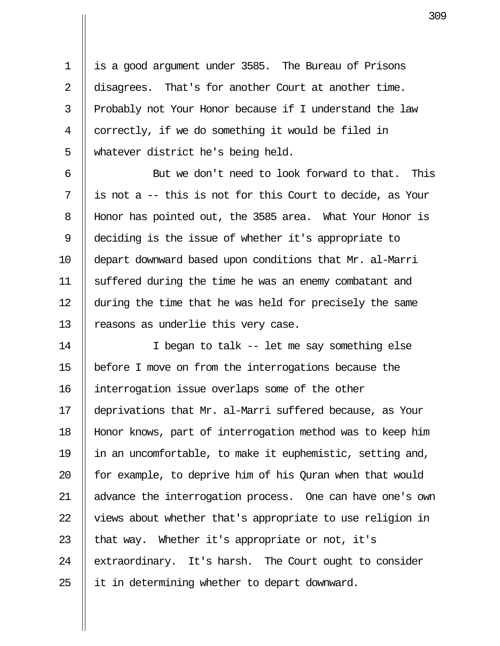1 | is a good argument under 3585. The Bureau of Prisons 2 disagrees. That's for another Court at another time. 3 || Probably not Your Honor because if I understand the law 4 || correctly, if we do something it would be filed in 5 || whatever district he's being held.

6 || But we don't need to look forward to that. This  $7 \parallel$  is not a -- this is not for this Court to decide, as Your 8 Honor has pointed out, the 3585 area. What Your Honor is 9 deciding is the issue of whether it's appropriate to 10 depart downward based upon conditions that Mr. al-Marri 11 suffered during the time he was an enemy combatant and 12 during the time that he was held for precisely the same 13 || reasons as underlie this very case.

14 || I began to talk -- let me say something else 15 before I move on from the interrogations because the 16 interrogation issue overlaps some of the other 17 deprivations that Mr. al-Marri suffered because, as Your 18 Honor knows, part of interrogation method was to keep him 19 in an uncomfortable, to make it euphemistic, setting and, 20  $\parallel$  for example, to deprive him of his Quran when that would 21 || advance the interrogation process. One can have one's own  $22$   $\parallel$  views about whether that's appropriate to use religion in 23  $\parallel$  that way. Whether it's appropriate or not, it's 24 | extraordinary. It's harsh. The Court ought to consider 25  $\parallel$  it in determining whether to depart downward.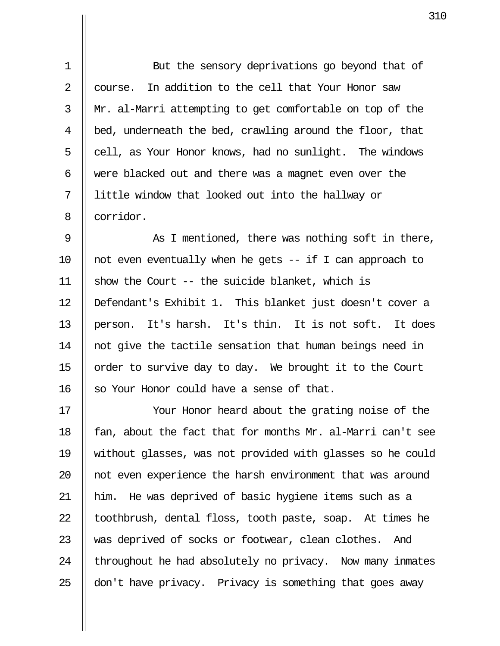1 || But the sensory deprivations go beyond that of 2  $\parallel$  course. In addition to the cell that Your Honor saw 3 Mr. al-Marri attempting to get comfortable on top of the 4  $\parallel$  bed, underneath the bed, crawling around the floor, that  $5 \parallel$  cell, as Your Honor knows, had no sunlight. The windows 6  $\parallel$  were blacked out and there was a magnet even over the 7 little window that looked out into the hallway or 8 || corridor.

9 || As I mentioned, there was nothing soft in there, 10  $\parallel$  not even eventually when he gets -- if I can approach to 11  $\parallel$  show the Court -- the suicide blanket, which is 12 Defendant's Exhibit 1. This blanket just doesn't cover a 13 || person. It's harsh. It's thin. It is not soft. It does 14 || not give the tactile sensation that human beings need in 15 || order to survive day to day. We brought it to the Court 16 || so Your Honor could have a sense of that.

17 || Your Honor heard about the grating noise of the 18  $\parallel$  fan, about the fact that for months Mr. al-Marri can't see 19 without glasses, was not provided with glasses so he could 20 || not even experience the harsh environment that was around 21 him. He was deprived of basic hygiene items such as a 22  $\parallel$  toothbrush, dental floss, tooth paste, soap. At times he 23 Was deprived of socks or footwear, clean clothes. And  $24$  | throughout he had absolutely no privacy. Now many inmates 25  $\parallel$  don't have privacy. Privacy is something that goes away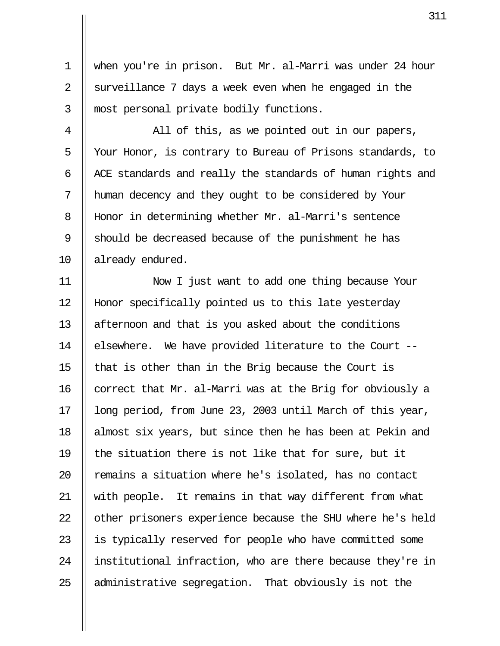1 when you're in prison. But Mr. al-Marri was under 24 hour 2 || surveillance 7 days a week even when he engaged in the 3 || most personal private bodily functions.

 $4 \parallel$  All of this, as we pointed out in our papers, 5 Your Honor, is contrary to Bureau of Prisons standards, to 6  $\parallel$  ACE standards and really the standards of human rights and 7 human decency and they ought to be considered by Your 8 | Honor in determining whether Mr. al-Marri's sentence 9 Should be decreased because of the punishment he has 10 || already endured.

11 Now I just want to add one thing because Your 12 Honor specifically pointed us to this late yesterday 13 | afternoon and that is you asked about the conditions 14 | elsewhere. We have provided literature to the Court --15  $\parallel$  that is other than in the Brig because the Court is 16  $\parallel$  correct that Mr. al-Marri was at the Brig for obviously a 17 || long period, from June 23, 2003 until March of this year, 18 || almost six years, but since then he has been at Pekin and 19  $\parallel$  the situation there is not like that for sure, but it  $20$   $\parallel$  remains a situation where he's isolated, has no contact 21 || with people. It remains in that way different from what 22 | other prisoners experience because the SHU where he's held 23 || is typically reserved for people who have committed some 24 || institutional infraction, who are there because they're in 25 || administrative segregation. That obviously is not the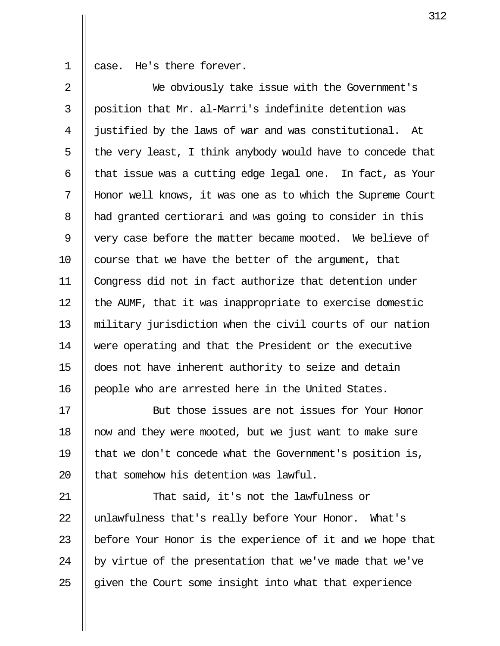1 case. He's there forever.

 2 We obviously take issue with the Government's 3  $\parallel$  position that Mr. al-Marri's indefinite detention was 4 justified by the laws of war and was constitutional. At 5  $\parallel$  the very least, I think anybody would have to concede that  $6$  || that issue was a cutting edge legal one. In fact, as Your 7 Honor well knows, it was one as to which the Supreme Court 8 || had granted certiorari and was going to consider in this 9 || very case before the matter became mooted. We believe of 10  $\parallel$  course that we have the better of the argument, that 11 Congress did not in fact authorize that detention under 12  $\parallel$  the AUMF, that it was inappropriate to exercise domestic 13 military jurisdiction when the civil courts of our nation 14 were operating and that the President or the executive 15 does not have inherent authority to seize and detain 16 | people who are arrested here in the United States.

17 But those issues are not issues for Your Honor 18 now and they were mooted, but we just want to make sure 19  $\parallel$  that we don't concede what the Government's position is, 20 Il that somehow his detention was lawful.

21 || That said, it's not the lawfulness or 22 || unlawfulness that's really before Your Honor. What's 23 || before Your Honor is the experience of it and we hope that 24  $\parallel$  by virtue of the presentation that we've made that we've  $25$  || given the Court some insight into what that experience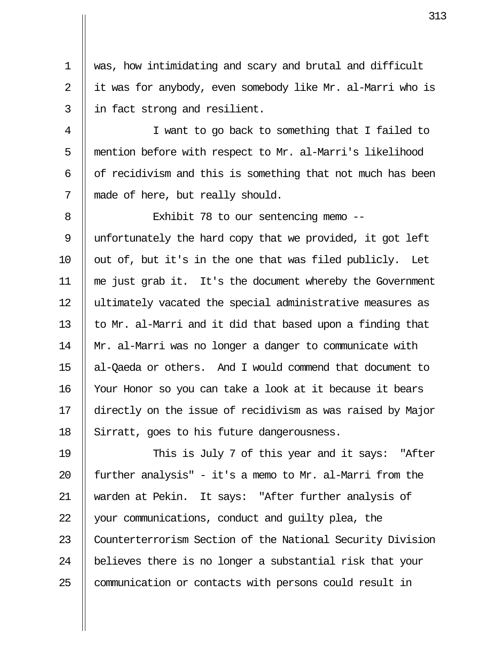1 was, how intimidating and scary and brutal and difficult 2 || it was for anybody, even somebody like Mr. al-Marri who is 3 || in fact strong and resilient.

 4 I want to go back to something that I failed to 5 | mention before with respect to Mr. al-Marri's likelihood  $6$  || of recidivism and this is something that not much has been 7 || made of here, but really should.

8 || Exhibit 78 to our sentencing memo -- 9 unfortunately the hard copy that we provided, it got left  $10$  || out of, but it's in the one that was filed publicly. Let 11 me just grab it. It's the document whereby the Government 12 || ultimately vacated the special administrative measures as 13  $\parallel$  to Mr. al-Marri and it did that based upon a finding that 14 Mr. al-Marri was no longer a danger to communicate with 15 al-Qaeda or others. And I would commend that document to 16 Your Honor so you can take a look at it because it bears 17 directly on the issue of recidivism as was raised by Major 18 Sirratt, goes to his future dangerousness.

19 || This is July 7 of this year and it says: "After 20  $\parallel$  further analysis" - it's a memo to Mr. al-Marri from the 21 warden at Pekin. It says: "After further analysis of 22 | your communications, conduct and quilty plea, the 23 | Counterterrorism Section of the National Security Division 24 || believes there is no longer a substantial risk that your 25 | communication or contacts with persons could result in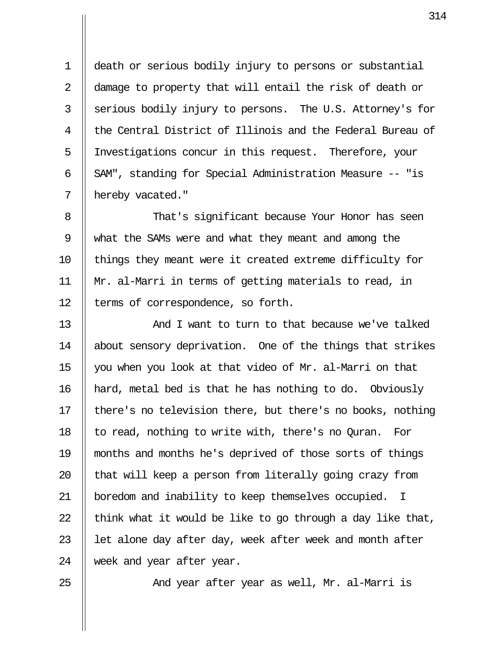1 death or serious bodily injury to persons or substantial 2 || damage to property that will entail the risk of death or 3 Serious bodily injury to persons. The U.S. Attorney's for 4 || the Central District of Illinois and the Federal Bureau of 5 Investigations concur in this request. Therefore, your 6 || SAM", standing for Special Administration Measure -- "is 7 | hereby vacated."

8 || That's significant because Your Honor has seen 9 what the SAMs were and what they meant and among the 10 || things they meant were it created extreme difficulty for 11 Mr. al-Marri in terms of getting materials to read, in 12 | terms of correspondence, so forth.

13 And I want to turn to that because we've talked 14 | about sensory deprivation. One of the things that strikes 15 you when you look at that video of Mr. al-Marri on that 16 hard, metal bed is that he has nothing to do. Obviously 17 | there's no television there, but there's no books, nothing 18  $\parallel$  to read, nothing to write with, there's no Quran. For 19 months and months he's deprived of those sorts of things 20  $\parallel$  that will keep a person from literally going crazy from 21 | boredom and inability to keep themselves occupied. I 22  $\parallel$  think what it would be like to go through a day like that, 23  $\parallel$  let alone day after day, week after week and month after 24 week and year after year.

25 || And year after year as well, Mr. al-Marri is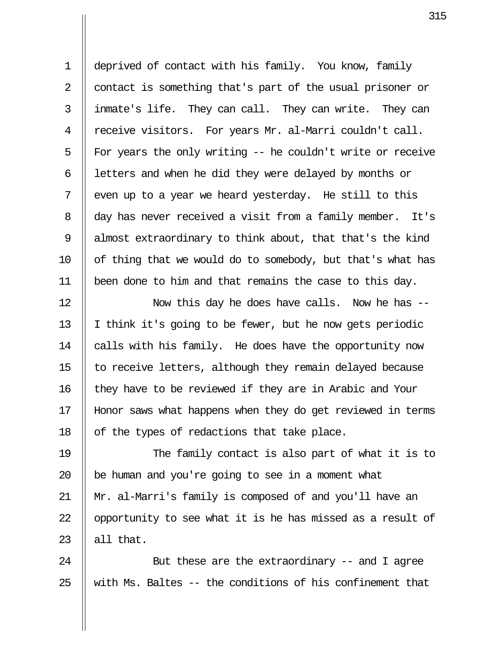1 deprived of contact with his family. You know, family 2 || contact is something that's part of the usual prisoner or 3 inmate's life. They can call. They can write. They can 4 || receive visitors. For years Mr. al-Marri couldn't call. 5  $\parallel$  For years the only writing -- he couldn't write or receive 6  $\parallel$  letters and when he did they were delayed by months or  $7 \parallel$  even up to a year we heard yesterday. He still to this 8 day has never received a visit from a family member. It's 9 || almost extraordinary to think about, that that's the kind 10  $\parallel$  of thing that we would do to somebody, but that's what has 11 been done to him and that remains the case to this day.

12 || Now this day he does have calls. Now he has --13  $\parallel$  I think it's going to be fewer, but he now gets periodic 14 | calls with his family. He does have the opportunity now 15  $\parallel$  to receive letters, although they remain delayed because 16 | they have to be reviewed if they are in Arabic and Your 17 Honor saws what happens when they do get reviewed in terms 18  $\parallel$  of the types of redactions that take place.

19 The family contact is also part of what it is to 20  $\parallel$  be human and you're going to see in a moment what 21 Mr. al-Marri's family is composed of and you'll have an 22  $\parallel$  opportunity to see what it is he has missed as a result of 23  $\parallel$  all that.

24 || But these are the extraordinary -- and I agree 25  $\parallel$  with Ms. Baltes -- the conditions of his confinement that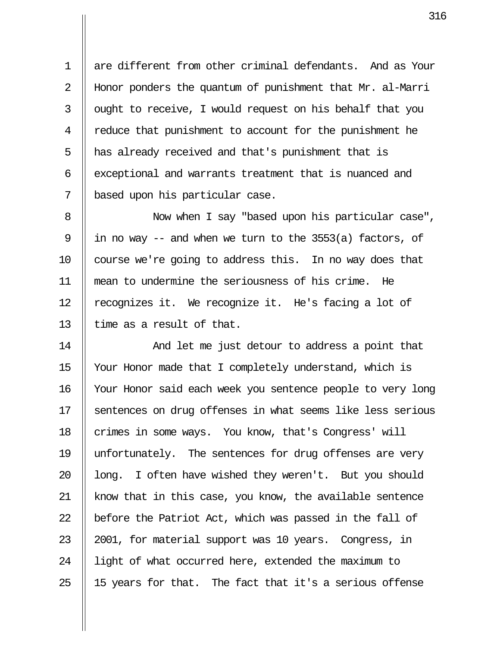1 are different from other criminal defendants. And as Your 2 Honor ponders the quantum of punishment that Mr. al-Marri  $3$  | ought to receive, I would request on his behalf that you 4 T reduce that punishment to account for the punishment he 5 || has already received and that's punishment that is 6 || exceptional and warrants treatment that is nuanced and 7 || based upon his particular case.

8 || Now when I say "based upon his particular case", 9 || in no way  $-$  and when we turn to the 3553(a) factors, of 10 || course we're going to address this. In no way does that 11 mean to undermine the seriousness of his crime. He 12 || recognizes it. We recognize it. He's facing a lot of 13  $\parallel$  time as a result of that.

14 And let me just detour to address a point that 15 Your Honor made that I completely understand, which is 16 | Your Honor said each week you sentence people to very long 17 Sentences on drug offenses in what seems like less serious 18 | crimes in some ways. You know, that's Congress' will 19 unfortunately. The sentences for drug offenses are very 20  $\parallel$  long. I often have wished they weren't. But you should 21 || know that in this case, you know, the available sentence 22  $\parallel$  before the Patriot Act, which was passed in the fall of 23 || 2001, for material support was 10 years. Congress, in 24 || light of what occurred here, extended the maximum to 25  $\parallel$  15 years for that. The fact that it's a serious offense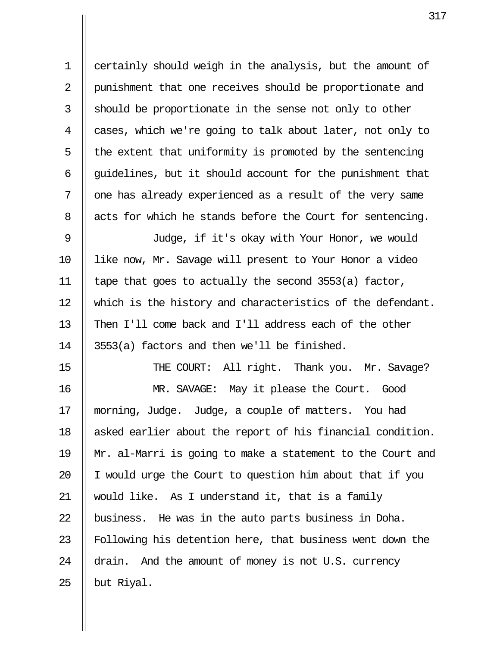1 certainly should weigh in the analysis, but the amount of 2 | punishment that one receives should be proportionate and  $3 \parallel$  should be proportionate in the sense not only to other 4 || cases, which we're going to talk about later, not only to  $5 \parallel$  the extent that uniformity is promoted by the sentencing 6  $\parallel$  guidelines, but it should account for the punishment that  $7$   $\parallel$  one has already experienced as a result of the very same 8 | acts for which he stands before the Court for sentencing. 9 Judge, if it's okay with Your Honor, we would 10 like now, Mr. Savage will present to Your Honor a video 11 | tape that goes to actually the second  $3553(a)$  factor, 12 || which is the history and characteristics of the defendant. 13 || Then I'll come back and I'll address each of the other 14  $\parallel$  3553(a) factors and then we'll be finished. 15 || THE COURT: All right. Thank you. Mr. Savage? 16 MR. SAVAGE: May it please the Court. Good 17 morning, Judge. Judge, a couple of matters. You had 18 || asked earlier about the report of his financial condition. 19 Mr. al-Marri is going to make a statement to the Court and 20  $\parallel$  I would urge the Court to question him about that if you

21 would like. As I understand it, that is a family 22  $\parallel$  business. He was in the auto parts business in Doha. 23 || Following his detention here, that business went down the 24 drain. And the amount of money is not U.S. currency 25  $\parallel$  but Riyal.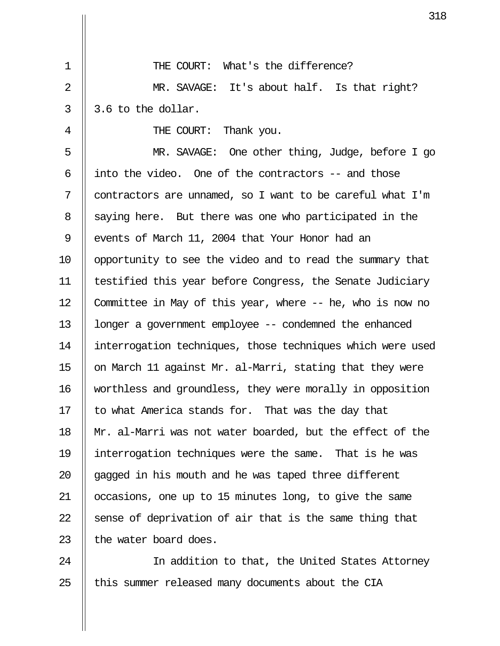1 || THE COURT: What's the difference? 2 || MR. SAVAGE: It's about half. Is that right?  $3 \parallel 3.6$  to the dollar. 4 || THE COURT: Thank you. 5 MR. SAVAGE: One other thing, Judge, before I go 6  $\parallel$  into the video. One of the contractors -- and those 7 || contractors are unnamed, so I want to be careful what I'm 8 Saying here. But there was one who participated in the 9 || events of March 11, 2004 that Your Honor had an 10 || opportunity to see the video and to read the summary that 11 testified this year before Congress, the Senate Judiciary 12  $\parallel$  Committee in May of this year, where -- he, who is now no 13 longer a government employee -- condemned the enhanced 14 interrogation techniques, those techniques which were used 15  $\parallel$  on March 11 against Mr. al-Marri, stating that they were 16 worthless and groundless, they were morally in opposition 17  $\parallel$  to what America stands for. That was the day that 18 Mr. al-Marri was not water boarded, but the effect of the 19 interrogation techniques were the same. That is he was 20  $\parallel$  gagged in his mouth and he was taped three different 21 occasions, one up to 15 minutes long, to give the same 22  $\parallel$  sense of deprivation of air that is the same thing that 23  $\parallel$  the water board does.

24 || In addition to that, the United States Attorney  $25$  || this summer released many documents about the CIA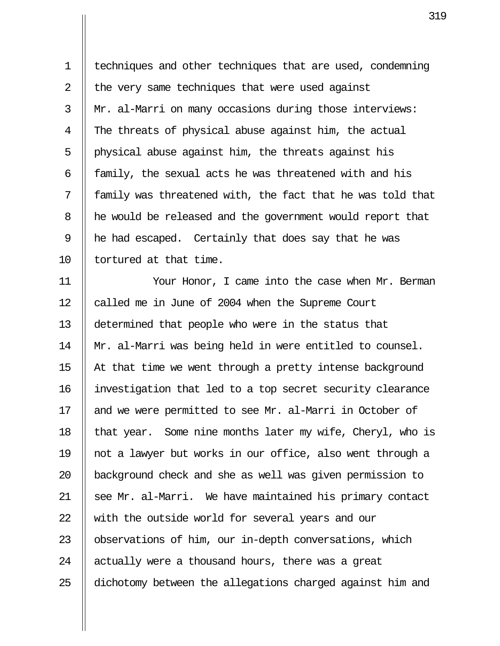1 techniques and other techniques that are used, condemning 2  $\parallel$  the very same techniques that were used against 3 Mr. al-Marri on many occasions during those interviews: 4 The threats of physical abuse against him, the actual 5 || physical abuse against him, the threats against his 6  $\parallel$  family, the sexual acts he was threatened with and his  $7$  || family was threatened with, the fact that he was told that 8 | he would be released and the government would report that 9 || he had escaped. Certainly that does say that he was 10 || tortured at that time.

11 Your Honor, I came into the case when Mr. Berman 12 | called me in June of 2004 when the Supreme Court 13 determined that people who were in the status that 14 Mr. al-Marri was being held in were entitled to counsel. 15  $\parallel$  At that time we went through a pretty intense background 16 investigation that led to a top secret security clearance 17 || and we were permitted to see Mr. al-Marri in October of 18  $\parallel$  that year. Some nine months later my wife, Cheryl, who is 19 not a lawyer but works in our office, also went through a 20 || background check and she as well was given permission to  $21$  || see Mr. al-Marri. We have maintained his primary contact 22 W with the outside world for several years and our 23 | observations of him, our in-depth conversations, which 24  $\parallel$  actually were a thousand hours, there was a great 25 dichotomy between the allegations charged against him and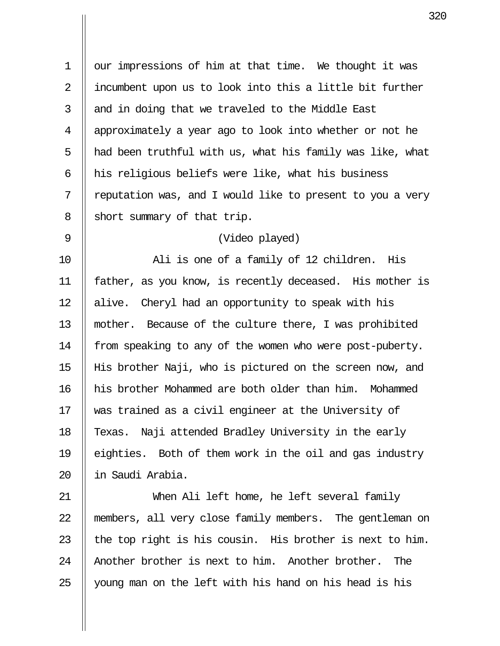1 | our impressions of him at that time. We thought it was 2 || incumbent upon us to look into this a little bit further  $3$  || and in doing that we traveled to the Middle East 4 approximately a year ago to look into whether or not he 5  $\parallel$  had been truthful with us, what his family was like, what 6  $\parallel$  his religious beliefs were like, what his business  $7 \parallel$  reputation was, and I would like to present to you a very  $8 \parallel$  short summary of that trip.

## 9 (Video played)

10 Ali is one of a family of 12 children. His 11 father, as you know, is recently deceased. His mother is 12 || alive. Cheryl had an opportunity to speak with his 13 mother. Because of the culture there, I was prohibited 14 | from speaking to any of the women who were post-puberty. 15 His brother Naji, who is pictured on the screen now, and 16 his brother Mohammed are both older than him. Mohammed 17 was trained as a civil engineer at the University of 18 || Texas. Naji attended Bradley University in the early 19 eighties. Both of them work in the oil and gas industry 20 in Saudi Arabia.

21 When Ali left home, he left several family 22 members, all very close family members. The gentleman on 23  $\parallel$  the top right is his cousin. His brother is next to him. 24 || Another brother is next to him. Another brother. The 25 young man on the left with his hand on his head is his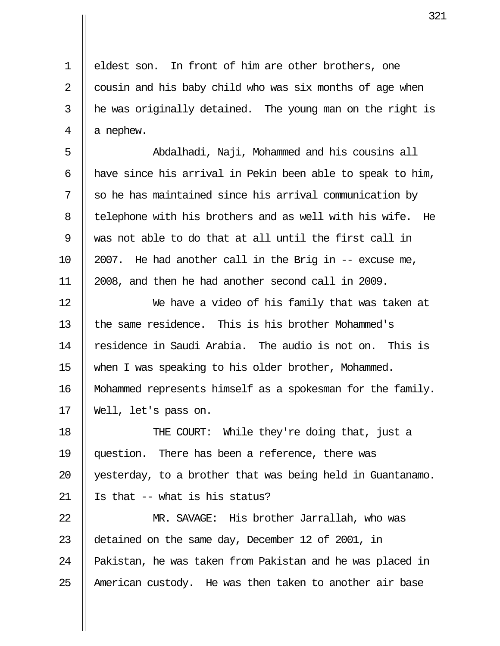1 || eldest son. In front of him are other brothers, one 2  $\parallel$  cousin and his baby child who was six months of age when  $3$  | he was originally detained. The young man on the right is  $4 \parallel a$  nephew.

 5 Abdalhadi, Naji, Mohammed and his cousins all 6  $\parallel$  have since his arrival in Pekin been able to speak to him,  $7 \parallel$  so he has maintained since his arrival communication by 8 || telephone with his brothers and as well with his wife. He 9 was not able to do that at all until the first call in 10  $\parallel$  2007. He had another call in the Brig in  $-$  excuse me, 11 2008, and then he had another second call in 2009.

12 We have a video of his family that was taken at 13 the same residence. This is his brother Mohammed's  $14$   $\parallel$  residence in Saudi Arabia. The audio is not on. This is 15 when I was speaking to his older brother, Mohammed. 16 || Mohammed represents himself as a spokesman for the family. 17 Well, let's pass on.

18 || THE COURT: While they're doing that, just a 19 question. There has been a reference, there was 20 || yesterday, to a brother that was being held in Guantanamo. 21  $\parallel$  Is that -- what is his status?

22 MR. SAVAGE: His brother Jarrallah, who was 23 detained on the same day, December 12 of 2001, in 24 || Pakistan, he was taken from Pakistan and he was placed in  $25$  || American custody. He was then taken to another air base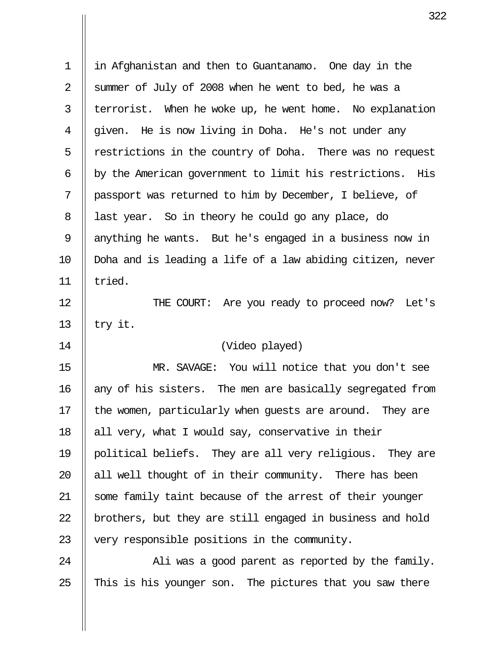| $\mathbf 1$ | in Afghanistan and then to Guantanamo. One day in the       |
|-------------|-------------------------------------------------------------|
| 2           | summer of July of 2008 when he went to bed, he was a        |
| 3           | terrorist. When he woke up, he went home. No explanation    |
| 4           | given. He is now living in Doha. He's not under any         |
| 5           | restrictions in the country of Doha. There was no request   |
| 6           | by the American government to limit his restrictions. His   |
| 7           | passport was returned to him by December, I believe, of     |
| 8           | last year. So in theory he could go any place, do           |
| 9           | anything he wants. But he's engaged in a business now in    |
| 10          | Doha and is leading a life of a law abiding citizen, never  |
| 11          | tried.                                                      |
| 12          | THE COURT: Are you ready to proceed now? Let's              |
| 13          | try it.                                                     |
| 14          | (Video played)                                              |
| 15          | MR. SAVAGE: You will notice that you don't see              |
| 16          | any of his sisters. The men are basically segregated from   |
| 17          | the women, particularly when guests are around.<br>They are |
| 18          | all very, what I would say, conservative in their           |
| 19          | political beliefs. They are all very religious. They are    |
| 20          | all well thought of in their community. There has been      |
| 21          | some family taint because of the arrest of their younger    |
| 22          | brothers, but they are still engaged in business and hold   |
| 23          | very responsible positions in the community.                |
| 24          | Ali was a good parent as reported by the family.            |
| 25          | This is his younger son. The pictures that you saw there    |
|             |                                                             |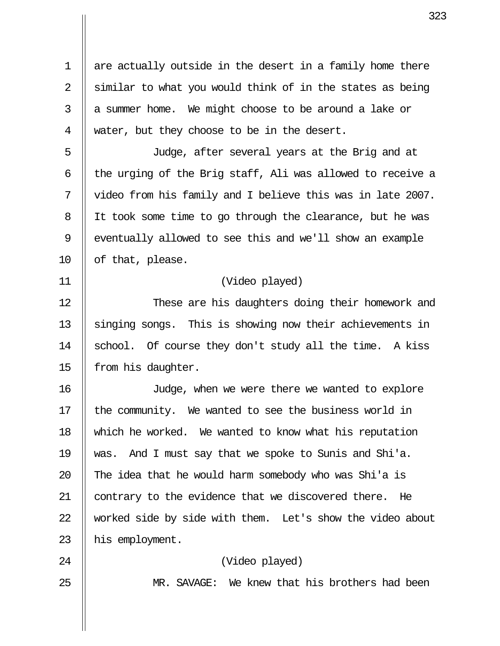1 || are actually outside in the desert in a family home there 2  $\parallel$  similar to what you would think of in the states as being  $3 \parallel a$  summer home. We might choose to be around a lake or 4 || water, but they choose to be in the desert.

 5 Judge, after several years at the Brig and at  $6$   $\parallel$  the urging of the Brig staff, Ali was allowed to receive a 7 video from his family and I believe this was in late 2007. 8 | It took some time to go through the clearance, but he was 9 || eventually allowed to see this and we'll show an example 10  $\parallel$  of that, please.

## 11 (Video played)

12 || These are his daughters doing their homework and  $13$  | singing songs. This is showing now their achievements in 14 || school. Of course they don't study all the time. A kiss 15 || from his daughter.

16 Judge, when we were there we wanted to explore 17 || the community. We wanted to see the business world in 18 which he worked. We wanted to know what his reputation 19 was. And I must say that we spoke to Sunis and Shi'a. 20  $\parallel$  The idea that he would harm somebody who was Shi'a is 21 || contrary to the evidence that we discovered there. He 22 Worked side by side with them. Let's show the video about 23 | his employment.

## 24 (Video played)

25 || MR. SAVAGE: We knew that his brothers had been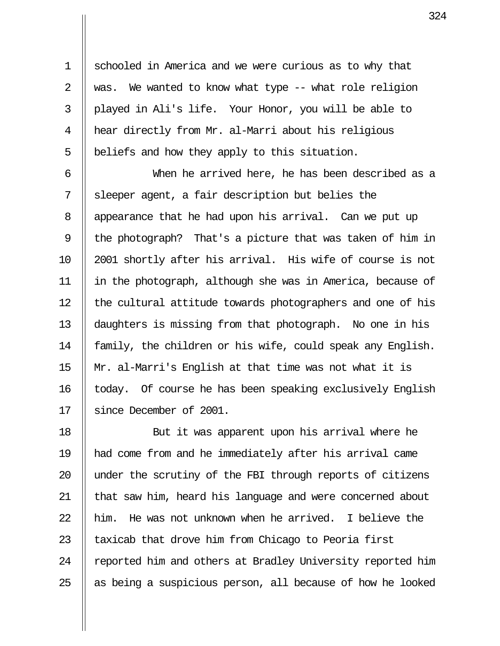1 Schooled in America and we were curious as to why that 2  $\parallel$  was. We wanted to know what type -- what role religion 3 played in Ali's life. Your Honor, you will be able to 4 hear directly from Mr. al-Marri about his religious  $5$  | beliefs and how they apply to this situation.

 6 When he arrived here, he has been described as a  $7 \parallel$  sleeper agent, a fair description but belies the 8 | appearance that he had upon his arrival. Can we put up 9 || the photograph? That's a picture that was taken of him in 10 2001 shortly after his arrival. His wife of course is not 11 in the photograph, although she was in America, because of 12 || the cultural attitude towards photographers and one of his 13 daughters is missing from that photograph. No one in his 14 || family, the children or his wife, could speak any English. 15  $\parallel$  Mr. al-Marri's English at that time was not what it is 16 || today. Of course he has been speaking exclusively English 17 Since December of 2001.

18 || But it was apparent upon his arrival where he 19 had come from and he immediately after his arrival came 20 || under the scrutiny of the FBI through reports of citizens 21 || that saw him, heard his language and were concerned about 22  $\parallel$  him. He was not unknown when he arrived. I believe the 23  $\parallel$  taxicab that drove him from Chicago to Peoria first 24 | reported him and others at Bradley University reported him 25  $\parallel$  as being a suspicious person, all because of how he looked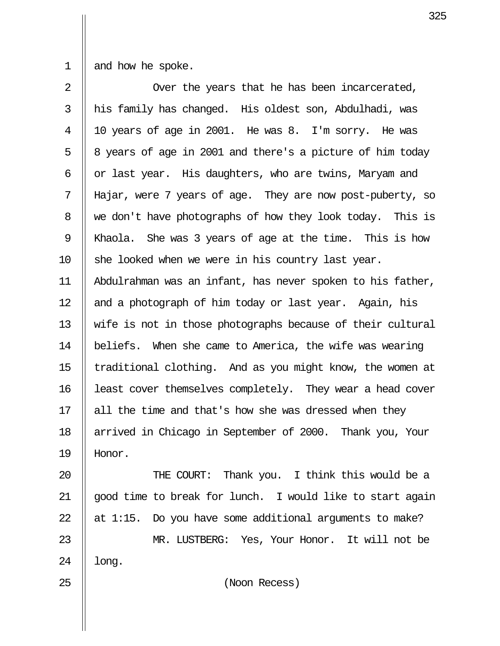1  $\parallel$  and how he spoke.

| $\overline{2}$ | Over the years that he has been incarcerated,              |
|----------------|------------------------------------------------------------|
| 3              | his family has changed. His oldest son, Abdulhadi, was     |
| $\overline{4}$ | 10 years of age in 2001. He was 8. I'm sorry. He was       |
| 5              | 8 years of age in 2001 and there's a picture of him today  |
| 6              | or last year. His daughters, who are twins, Maryam and     |
| 7              | Hajar, were 7 years of age. They are now post-puberty, so  |
| 8              | we don't have photographs of how they look today. This is  |
| 9              | Khaola. She was 3 years of age at the time. This is how    |
| 10             | she looked when we were in his country last year.          |
| 11             | Abdulrahman was an infant, has never spoken to his father, |
| 12             | and a photograph of him today or last year. Again, his     |
| 13             | wife is not in those photographs because of their cultural |
| 14             | beliefs. When she came to America, the wife was wearing    |
| 15             | traditional clothing. And as you might know, the women at  |
| 16             | least cover themselves completely. They wear a head cover  |
| 17             | all the time and that's how she was dressed when they      |
| 18             | arrived in Chicago in September of 2000. Thank you, Your   |
| 19             | Honor.                                                     |
|                |                                                            |

20 || THE COURT: Thank you. I think this would be a 21  $\parallel$  good time to break for lunch. I would like to start again 22  $\parallel$  at 1:15. Do you have some additional arguments to make? 23 || MR. LUSTBERG: Yes, Your Honor. It will not be 24 |  $long.$ 

25 (Noon Recess)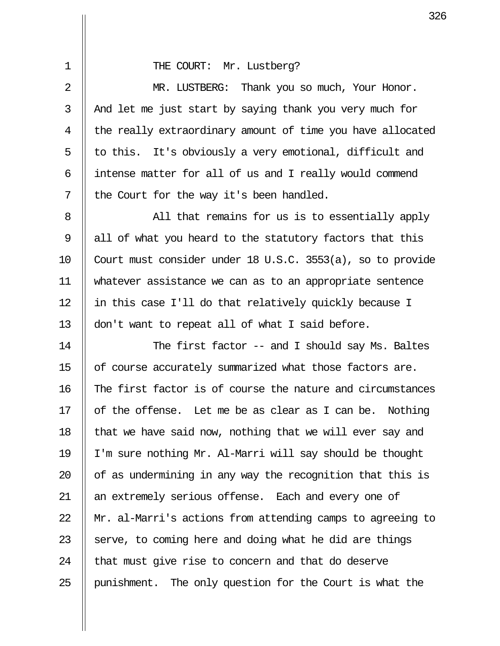|  |  | THE COURT: Mr. Lustberg? |  |  |
|--|--|--------------------------|--|--|
|--|--|--------------------------|--|--|

 2 MR. LUSTBERG: Thank you so much, Your Honor.  $3$  | And let me just start by saying thank you very much for 4 || the really extraordinary amount of time you have allocated  $5 \parallel$  to this. It's obviously a very emotional, difficult and  $6$  || intense matter for all of us and I really would commend  $7 \parallel$  the Court for the way it's been handled.

 8 All that remains for us is to essentially apply 9  $\parallel$  all of what you heard to the statutory factors that this 10 Court must consider under 18 U.S.C. 3553(a), so to provide 11 whatever assistance we can as to an appropriate sentence 12 || in this case I'll do that relatively quickly because I 13 || don't want to repeat all of what I said before.

14 || The first factor -- and I should say Ms. Baltes 15 | of course accurately summarized what those factors are. 16 || The first factor is of course the nature and circumstances 17  $\parallel$  of the offense. Let me be as clear as I can be. Nothing 18  $\parallel$  that we have said now, nothing that we will ever say and 19 I'm sure nothing Mr. Al-Marri will say should be thought 20  $\parallel$  of as undermining in any way the recognition that this is 21 || an extremely serious offense. Each and every one of 22 Mr. al-Marri's actions from attending camps to agreeing to 23  $\parallel$  serve, to coming here and doing what he did are things 24  $\parallel$  that must give rise to concern and that do deserve 25 punishment. The only question for the Court is what the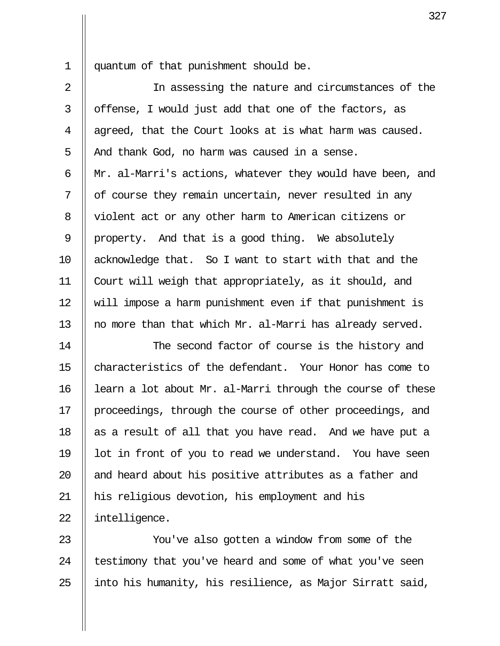1 quantum of that punishment should be.

2 || In assessing the nature and circumstances of the  $3 \parallel$  offense, I would just add that one of the factors, as  $4$  || agreed, that the Court looks at is what harm was caused.  $5$  | And thank God, no harm was caused in a sense.  $6$  || Mr. al-Marri's actions, whatever they would have been, and  $7 \parallel$  of course they remain uncertain, never resulted in any 8 || violent act or any other harm to American citizens or 9 | property. And that is a good thing. We absolutely 10 acknowledge that. So I want to start with that and the 11 Court will weigh that appropriately, as it should, and 12 will impose a harm punishment even if that punishment is 13  $\parallel$  no more than that which Mr. al-Marri has already served.

14 || The second factor of course is the history and 15 || characteristics of the defendant. Your Honor has come to 16 | learn a lot about Mr. al-Marri through the course of these 17 || proceedings, through the course of other proceedings, and 18  $\parallel$  as a result of all that you have read. And we have put a 19  $\parallel$  lot in front of you to read we understand. You have seen 20 || and heard about his positive attributes as a father and 21 his religious devotion, his employment and his 22 | intelligence.

23 || You've also gotten a window from some of the  $24$  | testimony that you've heard and some of what you've seen 25  $\parallel$  into his humanity, his resilience, as Major Sirratt said,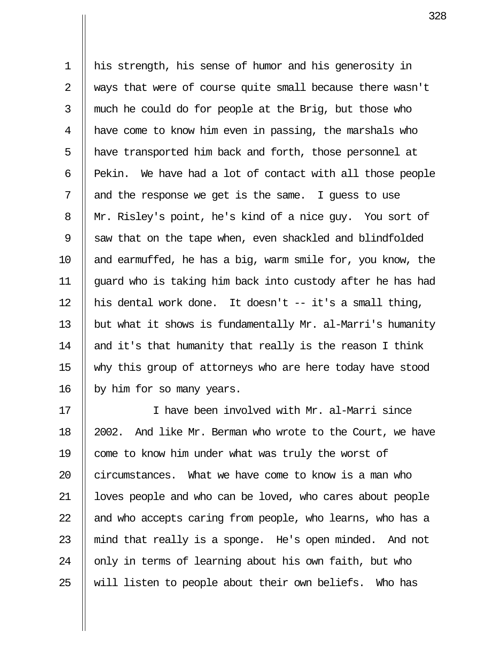1 his strength, his sense of humor and his generosity in 2 || ways that were of course quite small because there wasn't  $3 \parallel$  much he could do for people at the Brig, but those who 4 have come to know him even in passing, the marshals who 5 || have transported him back and forth, those personnel at  $6$  || Pekin. We have had a lot of contact with all those people 7  $\parallel$  and the response we get is the same. I guess to use 8 || Mr. Risley's point, he's kind of a nice guy. You sort of 9  $\parallel$  saw that on the tape when, even shackled and blindfolded 10  $\parallel$  and earmuffed, he has a big, warm smile for, you know, the 11 guard who is taking him back into custody after he has had 12 || his dental work done. It doesn't  $-$  it's a small thing, 13 | but what it shows is fundamentally Mr. al-Marri's humanity 14  $\parallel$  and it's that humanity that really is the reason I think 15 why this group of attorneys who are here today have stood 16 || by him for so many years.

17 I have been involved with Mr. al-Marri since 18  $\parallel$  2002. And like Mr. Berman who wrote to the Court, we have 19 || come to know him under what was truly the worst of 20 circumstances. What we have come to know is a man who 21 | loves people and who can be loved, who cares about people 22  $\parallel$  and who accepts caring from people, who learns, who has a 23  $\parallel$  mind that really is a sponge. He's open minded. And not 24  $\parallel$  only in terms of learning about his own faith, but who 25  $\parallel$  will listen to people about their own beliefs. Who has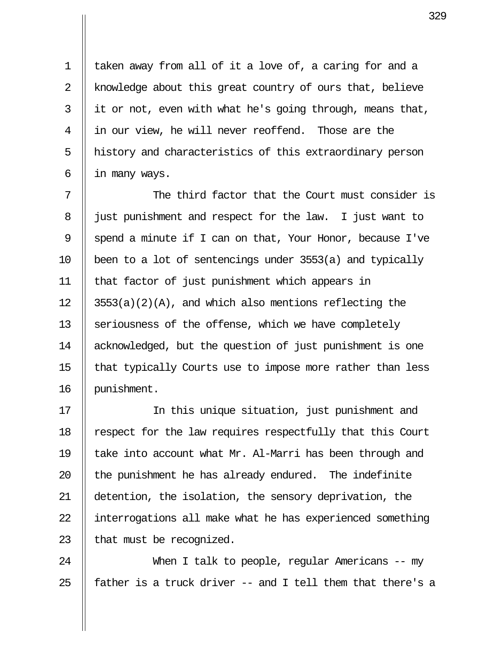1 || taken away from all of it a love of, a caring for and a 2 || knowledge about this great country of ours that, believe  $3 \parallel$  it or not, even with what he's going through, means that, 4 || in our view, he will never reoffend. Those are the 5 || history and characteristics of this extraordinary person 6  $\parallel$  in many ways.

7  $\parallel$  The third factor that the Court must consider is 8 || just punishment and respect for the law. I just want to 9  $\parallel$  spend a minute if I can on that, Your Honor, because I've 10  $\parallel$  been to a lot of sentencings under 3553(a) and typically 11 that factor of just punishment which appears in 12  $\parallel$  3553(a)(2)(A), and which also mentions reflecting the 13  $\parallel$  seriousness of the offense, which we have completely 14 acknowledged, but the question of just punishment is one 15  $\parallel$  that typically Courts use to impose more rather than less 16 punishment.

17 In this unique situation, just punishment and 18 | respect for the law requires respectfully that this Court 19 || take into account what Mr. Al-Marri has been through and 20  $\parallel$  the punishment he has already endured. The indefinite 21 detention, the isolation, the sensory deprivation, the 22 | interrogations all make what he has experienced something 23  $\parallel$  that must be recognized.

24 When I talk to people, regular Americans -- my 25  $\parallel$  father is a truck driver -- and I tell them that there's a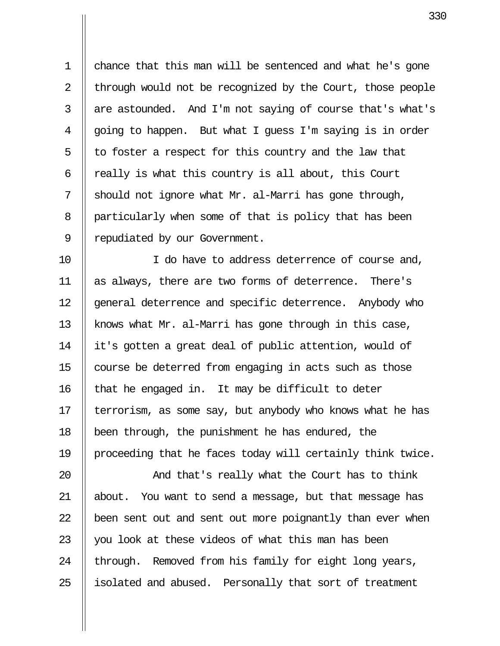1 chance that this man will be sentenced and what he's gone 2 | through would not be recognized by the Court, those people  $3$  | are astounded. And I'm not saying of course that's what's  $4 \parallel$  going to happen. But what I guess I'm saying is in order 5  $\parallel$  to foster a respect for this country and the law that 6  $\parallel$  really is what this country is all about, this Court 7 || should not ignore what Mr. al-Marri has gone through, 8 | particularly when some of that is policy that has been 9 | repudiated by our Government.

10 || I do have to address deterrence of course and, 11 as always, there are two forms of deterrence. There's 12 || general deterrence and specific deterrence. Anybody who 13 | knows what Mr. al-Marri has gone through in this case, 14 it's gotten a great deal of public attention, would of 15 | course be deterred from engaging in acts such as those  $16$  || that he engaged in. It may be difficult to deter 17 terrorism, as some say, but anybody who knows what he has 18 been through, the punishment he has endured, the 19 proceeding that he faces today will certainly think twice.

20 And that's really what the Court has to think 21 about. You want to send a message, but that message has  $22$  || been sent out and sent out more poignantly than ever when 23  $\parallel$  you look at these videos of what this man has been 24  $\parallel$  through. Removed from his family for eight long years, 25 || isolated and abused. Personally that sort of treatment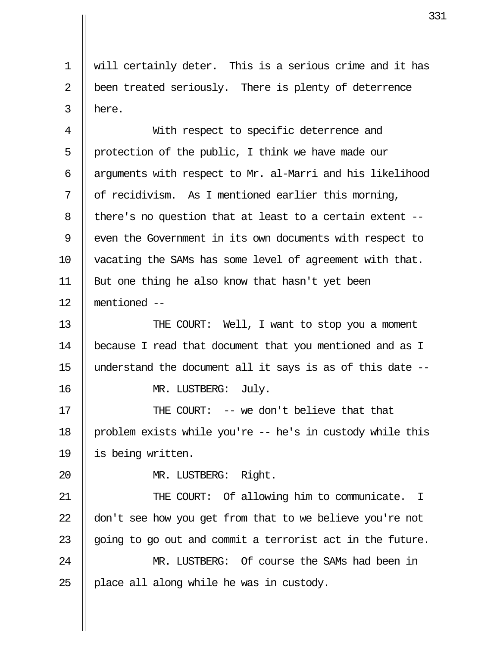1 will certainly deter. This is a serious crime and it has 2 || been treated seriously. There is plenty of deterrence  $3 \parallel$  here.

 4 With respect to specific deterrence and 5 || protection of the public, I think we have made our 6  $\parallel$  arguments with respect to Mr. al-Marri and his likelihood 7  $\parallel$  of recidivism. As I mentioned earlier this morning,  $8$  || there's no question that at least to a certain extent --9 || even the Government in its own documents with respect to 10 vacating the SAMs has some level of agreement with that. 11 || But one thing he also know that hasn't yet been 12 mentioned --

13 || THE COURT: Well, I want to stop you a moment 14 because I read that document that you mentioned and as I 15  $\parallel$  understand the document all it says is as of this date --16 || MR. LUSTBERG: July.

17 THE COURT: -- we don't believe that that 18 | problem exists while you're -- he's in custody while this 19 is being written.

20 || MR. LUSTBERG: Right.

21 THE COURT: Of allowing him to communicate. I 22  $\parallel$  don't see how you get from that to we believe you're not 23  $\parallel$  going to go out and commit a terrorist act in the future. 24 MR. LUSTBERG: Of course the SAMs had been in 25  $\parallel$  place all along while he was in custody.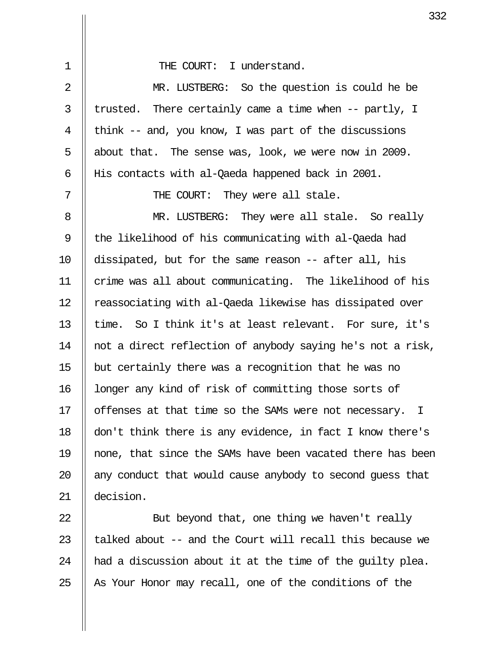| $\mathbf 1$ | THE COURT: I understand.                                              |
|-------------|-----------------------------------------------------------------------|
| 2           | MR. LUSTBERG: So the question is could he be                          |
| 3           | trusted. There certainly came a time when -- partly, I                |
| 4           | think -- and, you know, I was part of the discussions                 |
| 5           | about that. The sense was, look, we were now in 2009.                 |
| 6           | His contacts with al-Qaeda happened back in 2001.                     |
| 7           | THE COURT: They were all stale.                                       |
| 8           | MR. LUSTBERG: They were all stale. So really                          |
| 9           | the likelihood of his communicating with al-Qaeda had                 |
| 10          | dissipated, but for the same reason -- after all, his                 |
| 11          | crime was all about communicating. The likelihood of his              |
| 12          | reassociating with al-Qaeda likewise has dissipated over              |
| 13          | time. So I think it's at least relevant. For sure, it's               |
| 14          | not a direct reflection of anybody saying he's not a risk,            |
| 15          | but certainly there was a recognition that he was no                  |
| 16          | longer any kind of risk of committing those sorts of                  |
| 17          | offenses at that time so the SAMs were not necessary.<br>$\mathbb{I}$ |
| 18          | don't think there is any evidence, in fact I know there's             |
| 19          | none, that since the SAMs have been vacated there has been            |
| 20          | any conduct that would cause anybody to second guess that             |
| 21          | decision.                                                             |
|             |                                                                       |

 $\parallel$  But beyond that, one thing we haven't really  $\parallel$  talked about -- and the Court will recall this because we  $\parallel$  had a discussion about it at the time of the guilty plea.  $\parallel$  As Your Honor may recall, one of the conditions of the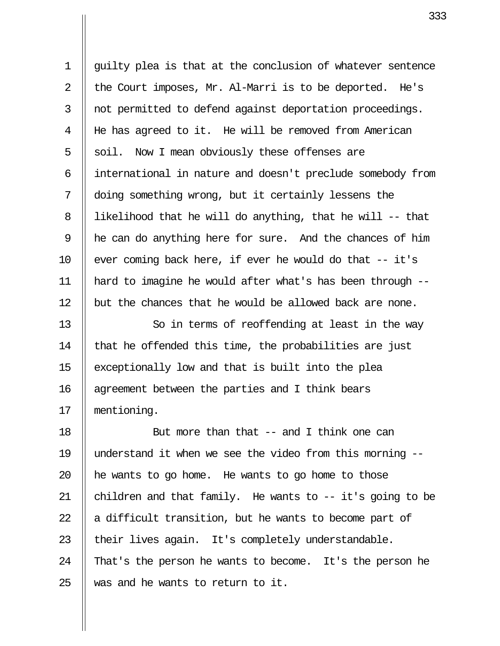1 guilty plea is that at the conclusion of whatever sentence 2  $\parallel$  the Court imposes, Mr. Al-Marri is to be deported. He's 3 || not permitted to defend against deportation proceedings. 4 He has agreed to it. He will be removed from American  $5 \parallel$  soil. Now I mean obviously these offenses are 6 international in nature and doesn't preclude somebody from 7 doing something wrong, but it certainly lessens the 8 | likelihood that he will do anything, that he will  $-$ -that 9 he can do anything here for sure. And the chances of him 10  $\parallel$  ever coming back here, if ever he would do that  $-$  it's 11 hard to imagine he would after what's has been through --  $12$  but the chances that he would be allowed back are none.

13 || So in terms of reoffending at least in the way 14  $\parallel$  that he offended this time, the probabilities are just 15 exceptionally low and that is built into the plea 16 || agreement between the parties and I think bears 17 mentioning.

18 || But more than that -- and I think one can 19 understand it when we see the video from this morning --  $\parallel$  he wants to go home. He wants to go home to those  $\parallel$  children and that family. He wants to -- it's going to be  $\parallel$  a difficult transition, but he wants to become part of  $\parallel$  their lives again. It's completely understandable.  $\parallel$  That's the person he wants to become. It's the person he  $\parallel$  was and he wants to return to it.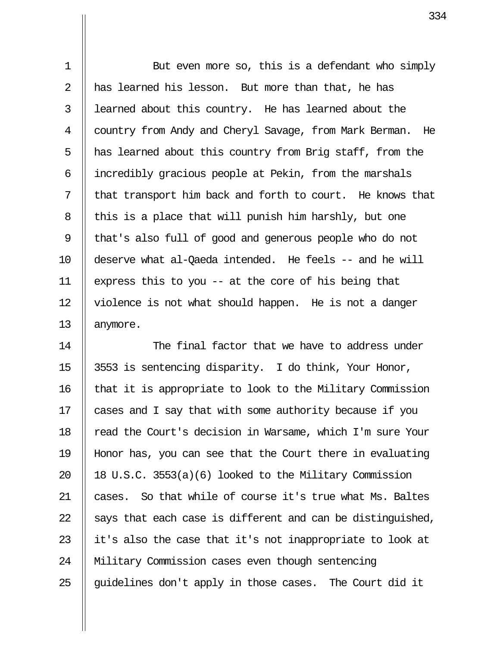1 || But even more so, this is a defendant who simply 2  $\parallel$  has learned his lesson. But more than that, he has  $3$   $\parallel$  learned about this country. He has learned about the 4 Country from Andy and Cheryl Savage, from Mark Berman. He 5  $\parallel$  has learned about this country from Brig staff, from the 6 || incredibly gracious people at Pekin, from the marshals  $7$  || that transport him back and forth to court. He knows that 8 || this is a place that will punish him harshly, but one 9 || that's also full of good and generous people who do not 10 deserve what al-Qaeda intended. He feels -- and he will 11 || express this to you  $-$  at the core of his being that 12 | violence is not what should happen. He is not a danger 13 || anymore.

14 The final factor that we have to address under 15 || 3553 is sentencing disparity. I do think, Your Honor,  $16$  || that it is appropriate to look to the Military Commission 17 || cases and I say that with some authority because if you 18 || read the Court's decision in Warsame, which I'm sure Your 19 Honor has, you can see that the Court there in evaluating 20  $\parallel$  18 U.S.C. 3553(a)(6) looked to the Military Commission 21 cases. So that while of course it's true what Ms. Baltes 22  $\parallel$  says that each case is different and can be distinguished, 23  $\parallel$  it's also the case that it's not inappropriate to look at 24 Military Commission cases even though sentencing 25  $\parallel$  guidelines don't apply in those cases. The Court did it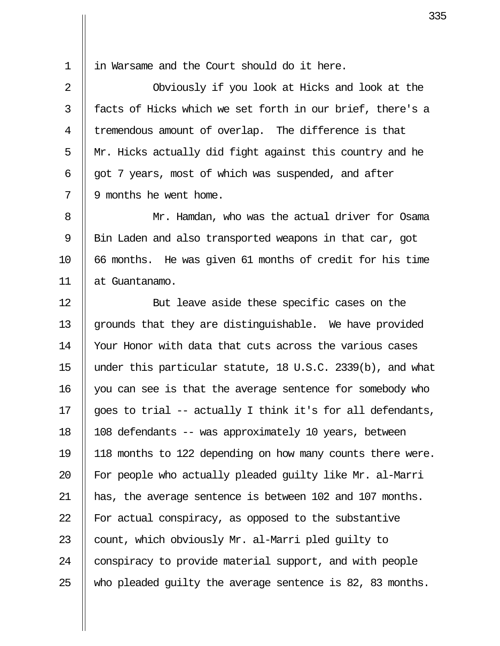1 || in Warsame and the Court should do it here.

2 || Obviously if you look at Hicks and look at the 3 || facts of Hicks which we set forth in our brief, there's a 4 || tremendous amount of overlap. The difference is that 5  $\parallel$  Mr. Hicks actually did fight against this country and he  $6$  || got 7 years, most of which was suspended, and after  $7 \parallel 9$  months he went home.

 8 Mr. Hamdan, who was the actual driver for Osama 9 | Bin Laden and also transported weapons in that car, got  $10$  || 66 months. He was given 61 months of credit for his time 11 at Guantanamo.

12 || But leave aside these specific cases on the 13 || grounds that they are distinguishable. We have provided 14 | Your Honor with data that cuts across the various cases 15 under this particular statute, 18 U.S.C. 2339(b), and what 16 || you can see is that the average sentence for somebody who 17  $\parallel$  goes to trial -- actually I think it's for all defendants, 18 108 defendants -- was approximately 10 years, between 19 118 months to 122 depending on how many counts there were. 20 || For people who actually pleaded quilty like Mr. al-Marri 21 has, the average sentence is between 102 and 107 months. 22  $\parallel$  For actual conspiracy, as opposed to the substantive 23  $\parallel$  count, which obviously Mr. al-Marri pled quilty to 24 | conspiracy to provide material support, and with people 25  $\parallel$  who pleaded quilty the average sentence is 82, 83 months.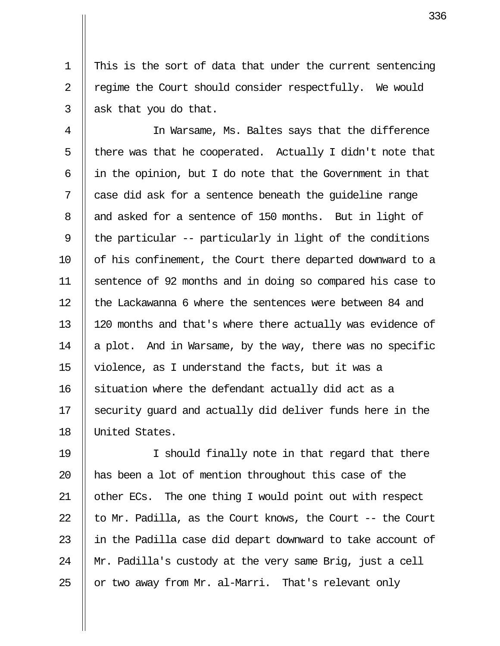1 This is the sort of data that under the current sentencing 2 | regime the Court should consider respectfully. We would  $3 \parallel$  ask that you do that.

 4 In Warsame, Ms. Baltes says that the difference  $5$  || there was that he cooperated. Actually I didn't note that  $6 \parallel$  in the opinion, but I do note that the Government in that 7 || case did ask for a sentence beneath the quideline range 8 and asked for a sentence of 150 months. But in light of 9 || the particular -- particularly in light of the conditions 10 || of his confinement, the Court there departed downward to a 11 sentence of 92 months and in doing so compared his case to 12 Ithe Lackawanna 6 where the sentences were between 84 and 13 120 months and that's where there actually was evidence of 14  $\parallel$  a plot. And in Warsame, by the way, there was no specific 15 violence, as I understand the facts, but it was a 16 || situation where the defendant actually did act as a 17 Security guard and actually did deliver funds here in the 18 United States.

19 I should finally note in that regard that there 20 || has been a lot of mention throughout this case of the 21 || other ECs. The one thing I would point out with respect 22  $\parallel$  to Mr. Padilla, as the Court knows, the Court -- the Court 23 || in the Padilla case did depart downward to take account of 24  $\parallel$  Mr. Padilla's custody at the very same Brig, just a cell 25  $\parallel$  or two away from Mr. al-Marri. That's relevant only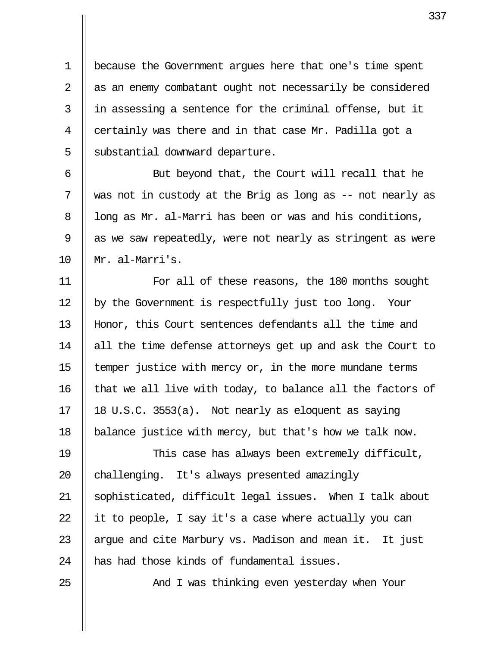1 because the Government argues here that one's time spent 2 || as an enemy combatant ought not necessarily be considered  $3$  || in assessing a sentence for the criminal offense, but it 4  $\parallel$  certainly was there and in that case Mr. Padilla got a  $5$  | substantial downward departure.

6 || But beyond that, the Court will recall that he 7  $\parallel$  was not in custody at the Brig as long as -- not nearly as  $8$  || long as Mr. al-Marri has been or was and his conditions,  $9$  | as we saw repeatedly, were not nearly as stringent as were 10 Mr. al-Marri's.

11 || For all of these reasons, the 180 months sought 12 | by the Government is respectfully just too long. Your 13 Honor, this Court sentences defendants all the time and 14 || all the time defense attorneys get up and ask the Court to 15  $\parallel$  temper justice with mercy or, in the more mundane terms 16  $\parallel$  that we all live with today, to balance all the factors of 17 || 18 U.S.C. 3553(a). Not nearly as eloquent as saying 18 balance justice with mercy, but that's how we talk now.

19 This case has always been extremely difficult,  $20$  | challenging. It's always presented amazingly 21 sophisticated, difficult legal issues. When I talk about 22  $\parallel$  it to people, I say it's a case where actually you can 23  $\parallel$  arque and cite Marbury vs. Madison and mean it. It just 24 || has had those kinds of fundamental issues.

25 And I was thinking even yesterday when Your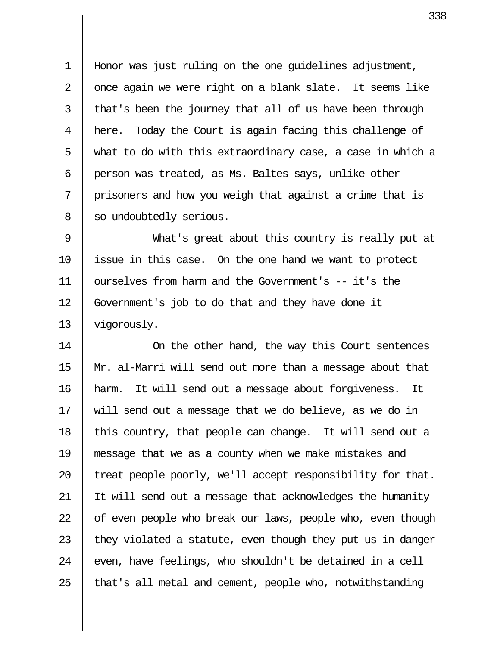1 Honor was just ruling on the one guidelines adjustment, 2  $\parallel$  once again we were right on a blank slate. It seems like  $3$  || that's been the journey that all of us have been through 4 here. Today the Court is again facing this challenge of 5 what to do with this extraordinary case, a case in which a 6 | person was treated, as Ms. Baltes says, unlike other  $7$  | prisoners and how you weigh that against a crime that is 8 | so undoubtedly serious.

 9 What's great about this country is really put at 10 || issue in this case. On the one hand we want to protect 11 ourselves from harm and the Government's -- it's the 12 Government's job to do that and they have done it 13 vigorously.

14 || On the other hand, the way this Court sentences 15 Mr. al-Marri will send out more than a message about that 16 harm. It will send out a message about forgiveness. It 17 will send out a message that we do believe, as we do in 18 || this country, that people can change. It will send out a 19 message that we as a county when we make mistakes and 20  $\parallel$  treat people poorly, we'll accept responsibility for that. 21 It will send out a message that acknowledges the humanity  $22$  || of even people who break our laws, people who, even though 23  $\parallel$  they violated a statute, even though they put us in danger  $24$  | even, have feelings, who shouldn't be detained in a cell  $25$  || that's all metal and cement, people who, notwithstanding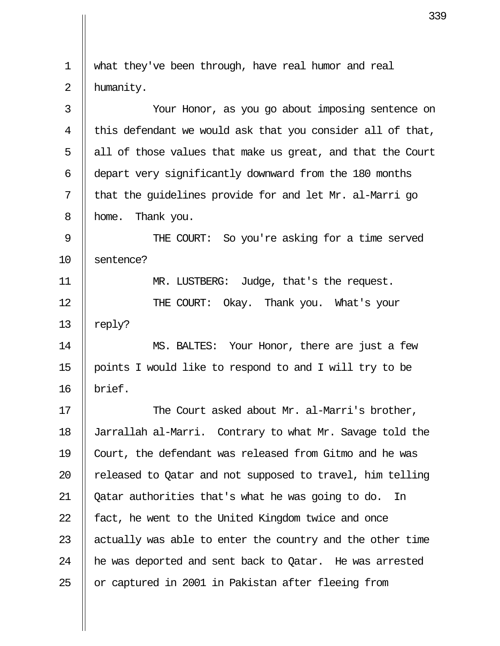| 1  | what they've been through, have real humor and real        |
|----|------------------------------------------------------------|
| 2  | humanity.                                                  |
| 3  | Your Honor, as you go about imposing sentence on           |
| 4  | this defendant we would ask that you consider all of that, |
| 5  | all of those values that make us great, and that the Court |
| 6  | depart very significantly downward from the 180 months     |
| 7  | that the guidelines provide for and let Mr. al-Marri go    |
| 8  | Thank you.<br>home.                                        |
| 9  | THE COURT: So you're asking for a time served              |
| 10 | sentence?                                                  |
| 11 | MR. LUSTBERG: Judge, that's the request.                   |
| 12 | THE COURT: Okay. Thank you. What's your                    |
| 13 | reply?                                                     |
| 14 | MS. BALTES: Your Honor, there are just a few               |
| 15 | points I would like to respond to and I will try to be     |
| 16 | brief.                                                     |
| 17 | The Court asked about Mr. al-Marri's brother,              |
| 18 | Jarrallah al-Marri. Contrary to what Mr. Savage told the   |
| 19 | Court, the defendant was released from Gitmo and he was    |
| 20 | released to Qatar and not supposed to travel, him telling  |
| 21 | Qatar authorities that's what he was going to do.<br>- In  |
| 22 | fact, he went to the United Kingdom twice and once         |
| 23 | actually was able to enter the country and the other time  |
| 24 | he was deported and sent back to Qatar. He was arrested    |
| 25 | or captured in 2001 in Pakistan after fleeing from         |
|    |                                                            |

 $\mathbf{II}$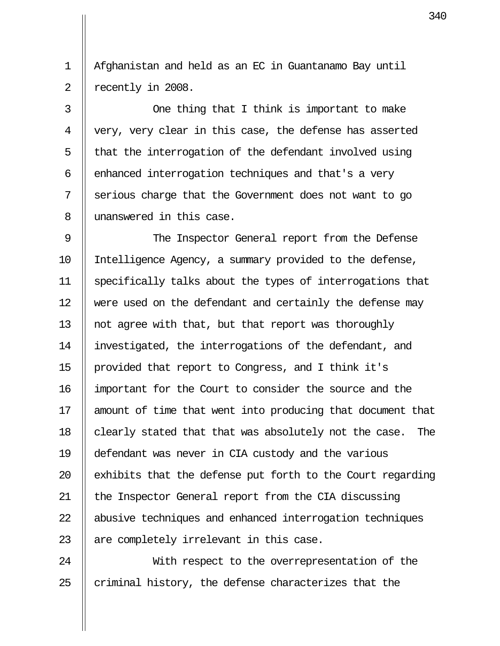1 Afghanistan and held as an EC in Guantanamo Bay until 2 | recently in 2008.

3 || One thing that I think is important to make 4 || very, very clear in this case, the defense has asserted  $5$  || that the interrogation of the defendant involved using  $6$  || enhanced interrogation techniques and that's a very 7 || serious charge that the Government does not want to go 8 || unanswered in this case.

9 || The Inspector General report from the Defense 10 Intelligence Agency, a summary provided to the defense, 11 specifically talks about the types of interrogations that 12 were used on the defendant and certainly the defense may 13  $\parallel$  not agree with that, but that report was thoroughly 14 investigated, the interrogations of the defendant, and 15 provided that report to Congress, and I think it's 16 important for the Court to consider the source and the 17 || amount of time that went into producing that document that 18  $\parallel$  clearly stated that that was absolutely not the case. The 19 defendant was never in CIA custody and the various 20  $\parallel$  exhibits that the defense put forth to the Court regarding 21 | the Inspector General report from the CIA discussing 22 || abusive techniques and enhanced interrogation techniques  $23$  || are completely irrelevant in this case.

24 || With respect to the overrepresentation of the 25  $\parallel$  criminal history, the defense characterizes that the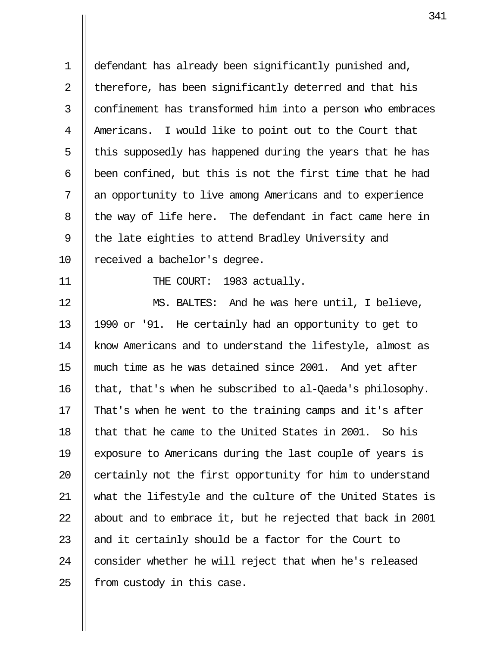1 defendant has already been significantly punished and, 2 || therefore, has been significantly deterred and that his 3 || confinement has transformed him into a person who embraces 4 || Americans. I would like to point out to the Court that  $5$  || this supposedly has happened during the years that he has 6  $\parallel$  been confined, but this is not the first time that he had 7 || an opportunity to live among Americans and to experience  $8$  || the way of life here. The defendant in fact came here in 9  $\parallel$  the late eighties to attend Bradley University and 10 || received a bachelor's degree.

11 || THE COURT: 1983 actually.

12 MS. BALTES: And he was here until, I believe, 13 1990 or '91. He certainly had an opportunity to get to 14 | know Americans and to understand the lifestyle, almost as 15 || much time as he was detained since 2001. And yet after 16 that, that's when he subscribed to al-Qaeda's philosophy. 17  $\parallel$  That's when he went to the training camps and it's after 18  $\parallel$  that that he came to the United States in 2001. So his 19 exposure to Americans during the last couple of years is 20  $\parallel$  certainly not the first opportunity for him to understand 21 what the lifestyle and the culture of the United States is 22  $\parallel$  about and to embrace it, but he rejected that back in 2001 23  $\parallel$  and it certainly should be a factor for the Court to  $24$  | consider whether he will reject that when he's released  $25$  | from custody in this case.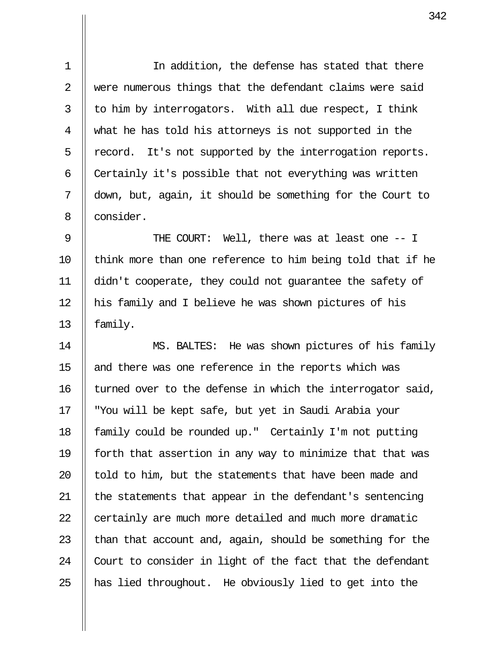1 In addition, the defense has stated that there 2 || were numerous things that the defendant claims were said  $3 \parallel$  to him by interrogators. With all due respect, I think 4 what he has told his attorneys is not supported in the  $5 \parallel$  record. It's not supported by the interrogation reports.  $6$  || Certainly it's possible that not everything was written 7 down, but, again, it should be something for the Court to 8 || consider.

9 || THE COURT: Well, there was at least one -- I 10  $\parallel$  think more than one reference to him being told that if he 11 didn't cooperate, they could not guarantee the safety of 12 || his family and I believe he was shown pictures of his 13  $\parallel$  family.

14 MS. BALTES: He was shown pictures of his family 15  $\parallel$  and there was one reference in the reports which was 16  $\parallel$  turned over to the defense in which the interrogator said, 17 "You will be kept safe, but yet in Saudi Arabia your 18 | family could be rounded up." Certainly I'm not putting 19 forth that assertion in any way to minimize that that was 20  $\parallel$  told to him, but the statements that have been made and 21 || the statements that appear in the defendant's sentencing 22 | certainly are much more detailed and much more dramatic 23  $\parallel$  than that account and, again, should be something for the 24 || Court to consider in light of the fact that the defendant 25  $\parallel$  has lied throughout. He obviously lied to get into the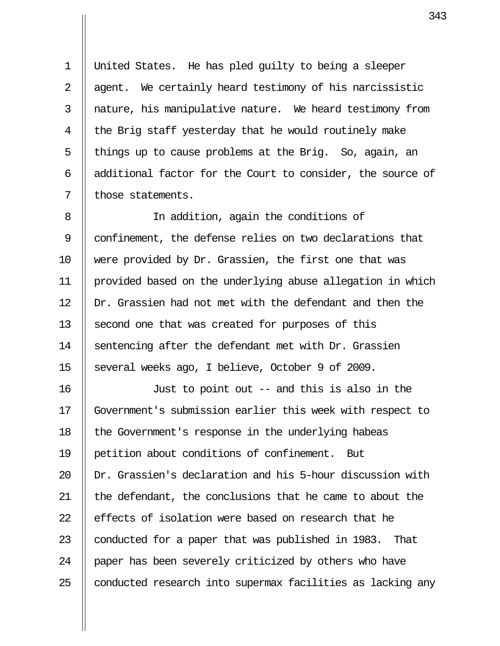1 United States. He has pled guilty to being a sleeper 2  $\parallel$  agent. We certainly heard testimony of his narcissistic 3 || nature, his manipulative nature. We heard testimony from 4  $\parallel$  the Brig staff yesterday that he would routinely make 5 || things up to cause problems at the Brig. So, again, an 6  $\parallel$  additional factor for the Court to consider, the source of  $7$  | those statements.

8 || In addition, again the conditions of 9 | confinement, the defense relies on two declarations that 10 were provided by Dr. Grassien, the first one that was 11 provided based on the underlying abuse allegation in which  $12$   $\parallel$  Dr. Grassien had not met with the defendant and then the 13 Second one that was created for purposes of this 14  $\parallel$  sentencing after the defendant met with Dr. Grassien 15 Several weeks ago, I believe, October 9 of 2009.

16 Just to point out -- and this is also in the 17 Government's submission earlier this week with respect to 18 || the Government's response in the underlying habeas 19 petition about conditions of confinement. But 20 Dr. Grassien's declaration and his 5-hour discussion with 21 || the defendant, the conclusions that he came to about the  $22$  | effects of isolation were based on research that he 23  $\parallel$  conducted for a paper that was published in 1983. That 24 | paper has been severely criticized by others who have  $25$  || conducted research into supermax facilities as lacking any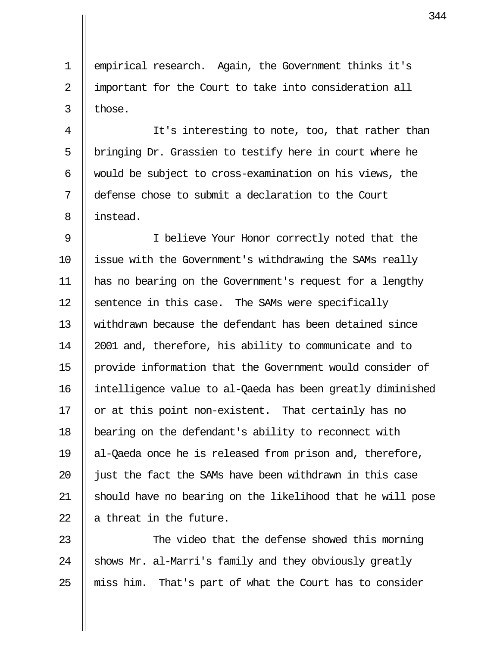1 | empirical research. Again, the Government thinks it's 2 || important for the Court to take into consideration all  $3 \parallel$  those.

4 || It's interesting to note, too, that rather than  $5$  | bringing Dr. Grassien to testify here in court where he 6  $\parallel$  would be subject to cross-examination on his views, the 7 defense chose to submit a declaration to the Court 8 || instead.

9 || I believe Your Honor correctly noted that the 10 | issue with the Government's withdrawing the SAMs really 11 has no bearing on the Government's request for a lengthy  $12$  | sentence in this case. The SAMs were specifically 13 withdrawn because the defendant has been detained since 14 2001 and, therefore, his ability to communicate and to 15 provide information that the Government would consider of 16 intelligence value to al-Qaeda has been greatly diminished 17  $\parallel$  or at this point non-existent. That certainly has no 18 bearing on the defendant's ability to reconnect with 19 al-Qaeda once he is released from prison and, therefore, 20  $\parallel$  just the fact the SAMs have been withdrawn in this case 21 should have no bearing on the likelihood that he will pose 22  $\parallel$  a threat in the future.

23  $\parallel$  The video that the defense showed this morning 24  $\parallel$  shows Mr. al-Marri's family and they obviously greatly  $25$  || miss him. That's part of what the Court has to consider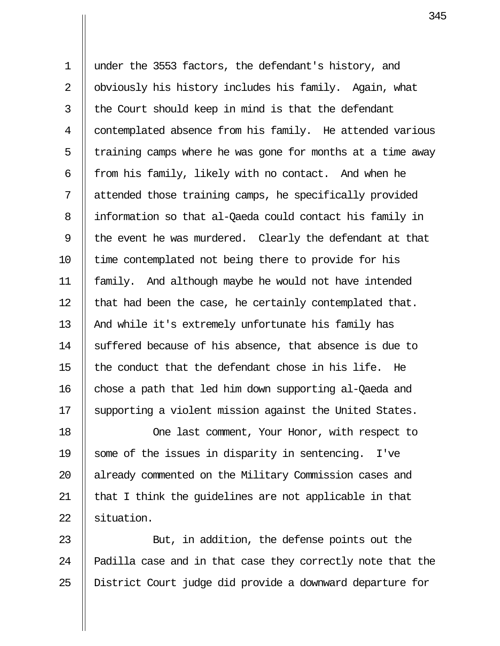1 under the 3553 factors, the defendant's history, and 2 || obviously his history includes his family. Again, what  $3$  || the Court should keep in mind is that the defendant 4 || contemplated absence from his family. He attended various  $5$  || training camps where he was gone for months at a time away 6  $\parallel$  from his family, likely with no contact. And when he 7 attended those training camps, he specifically provided 8 || information so that al-Qaeda could contact his family in 9  $\parallel$  the event he was murdered. Clearly the defendant at that 10 || time contemplated not being there to provide for his 11 family. And although maybe he would not have intended 12  $\parallel$  that had been the case, he certainly contemplated that. 13 || And while it's extremely unfortunate his family has 14 Suffered because of his absence, that absence is due to 15  $\parallel$  the conduct that the defendant chose in his life. He  $16$  chose a path that led him down supporting al-Qaeda and 17 Supporting a violent mission against the United States.

18 || One last comment, Your Honor, with respect to 19 Some of the issues in disparity in sentencing. I've 20 || already commented on the Military Commission cases and  $21$  || that I think the guidelines are not applicable in that 22 Situation.

23 || But, in addition, the defense points out the 24 || Padilla case and in that case they correctly note that the 25 District Court judge did provide a downward departure for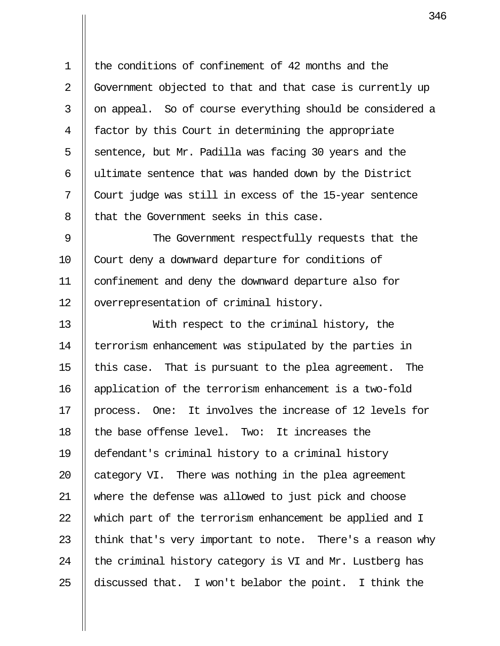1 the conditions of confinement of 42 months and the 2 Government objected to that and that case is currently up 3 || on appeal. So of course everything should be considered a 4 factor by this Court in determining the appropriate 5  $\parallel$  sentence, but Mr. Padilla was facing 30 years and the 6 || ultimate sentence that was handed down by the District 7 Court judge was still in excess of the 15-year sentence 8 || that the Government seeks in this case.

9 || The Government respectfully requests that the 10 || Court deny a downward departure for conditions of 11 confinement and deny the downward departure also for 12 | overrepresentation of criminal history.

13 With respect to the criminal history, the 14 | terrorism enhancement was stipulated by the parties in 15  $\parallel$  this case. That is pursuant to the plea agreement. The 16 application of the terrorism enhancement is a two-fold  $17$  || process. One: It involves the increase of 12 levels for  $18$   $\parallel$  the base offense level. Two: It increases the 19 defendant's criminal history to a criminal history 20  $\parallel$  category VI. There was nothing in the plea agreement 21 where the defense was allowed to just pick and choose 22 Which part of the terrorism enhancement be applied and I 23  $\parallel$  think that's very important to note. There's a reason why 24  $\parallel$  the criminal history category is VI and Mr. Lustberg has 25  $\parallel$  discussed that. I won't belabor the point. I think the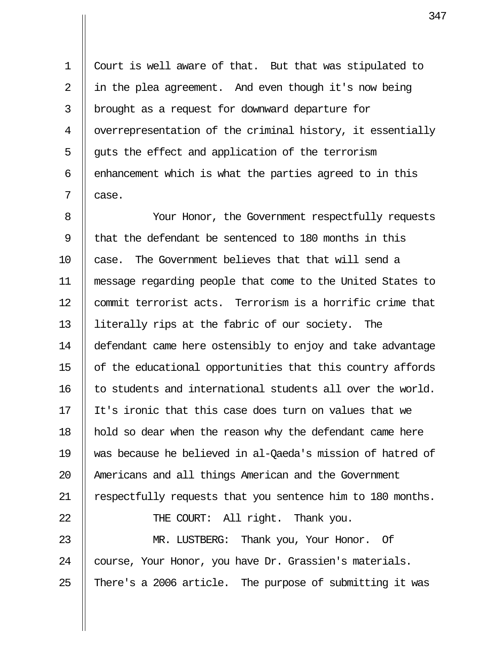1 Court is well aware of that. But that was stipulated to 2  $\parallel$  in the plea agreement. And even though it's now being 3 brought as a request for downward departure for 4 | overrepresentation of the criminal history, it essentially  $5 \parallel$  guts the effect and application of the terrorism 6  $\parallel$  enhancement which is what the parties agreed to in this  $7 \parallel$  case.

8 || Your Honor, the Government respectfully requests 9  $\parallel$  that the defendant be sentenced to 180 months in this 10 case. The Government believes that that will send a 11 message regarding people that come to the United States to 12 || commit terrorist acts. Terrorism is a horrific crime that 13 literally rips at the fabric of our society. The 14 defendant came here ostensibly to enjoy and take advantage 15  $\parallel$  of the educational opportunities that this country affords 16 || to students and international students all over the world. 17 It's ironic that this case does turn on values that we 18 || hold so dear when the reason why the defendant came here 19 was because he believed in al-Qaeda's mission of hatred of 20 || Americans and all things American and the Government 21 | respectfully requests that you sentence him to 180 months. 22 || THE COURT: All right. Thank you. 23 MR. LUSTBERG: Thank you, Your Honor. Of 24 Course, Your Honor, you have Dr. Grassien's materials.

25  $\parallel$  There's a 2006 article. The purpose of submitting it was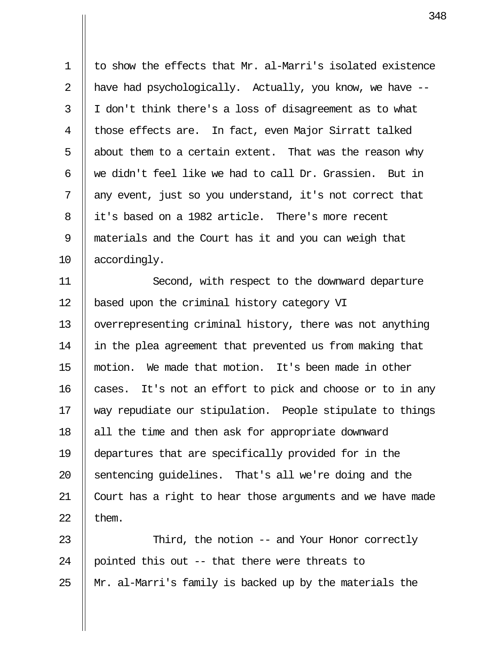1 | to show the effects that Mr. al-Marri's isolated existence 2 || have had psychologically. Actually, you know, we have  $3 \parallel I$  don't think there's a loss of disagreement as to what 4 || those effects are. In fact, even Major Sirratt talked 5  $\parallel$  about them to a certain extent. That was the reason why 6  $\parallel$  we didn't feel like we had to call Dr. Grassien. But in  $7$  || any event, just so you understand, it's not correct that 8 || it's based on a 1982 article. There's more recent 9 materials and the Court has it and you can weigh that 10 || accordingly.

11 || Second, with respect to the downward departure 12 | based upon the criminal history category VI 13 || overrepresenting criminal history, there was not anything 14 || in the plea agreement that prevented us from making that 15 motion. We made that motion. It's been made in other  $16$  | cases. It's not an effort to pick and choose or to in any 17 way repudiate our stipulation. People stipulate to things 18 || all the time and then ask for appropriate downward 19 departures that are specifically provided for in the 20 Sentencing quidelines. That's all we're doing and the 21 Court has a right to hear those arguments and we have made 22  $\parallel$  them.

23 || Third, the notion -- and Your Honor correctly 24 || pointed this out  $-$ - that there were threats to 25 Mr. al-Marri's family is backed up by the materials the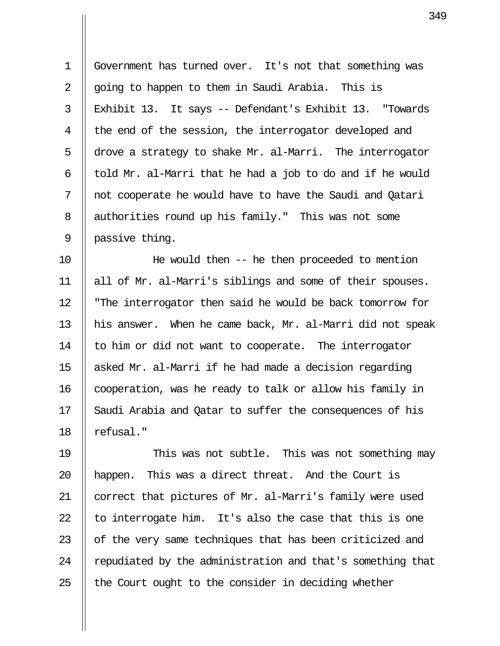1 Government has turned over. It's not that something was 2  $\parallel$  going to happen to them in Saudi Arabia. This is 3 Exhibit 13. It says -- Defendant's Exhibit 13. "Towards 4 || the end of the session, the interrogator developed and 5 drove a strategy to shake Mr. al-Marri. The interrogator 6  $\parallel$  told Mr. al-Marri that he had a job to do and if he would 7 || not cooperate he would have to have the Saudi and Qatari 8 | authorities round up his family." This was not some  $9$  | passive thing.

10 He would then -- he then proceeded to mention 11 all of Mr. al-Marri's siblings and some of their spouses. 12 "The interrogator then said he would be back tomorrow for 13 his answer. When he came back, Mr. al-Marri did not speak 14  $\parallel$  to him or did not want to cooperate. The interrogator 15  $\parallel$  asked Mr. al-Marri if he had made a decision regarding 16 | cooperation, was he ready to talk or allow his family in 17 Saudi Arabia and Qatar to suffer the consequences of his 18 || refusal."

19 This was not subtle. This was not something may 20 happen. This was a direct threat. And the Court is 21 correct that pictures of Mr. al-Marri's family were used 22  $\parallel$  to interrogate him. It's also the case that this is one  $23$   $\parallel$  of the very same techniques that has been criticized and 24 | repudiated by the administration and that's something that 25  $\parallel$  the Court ought to the consider in deciding whether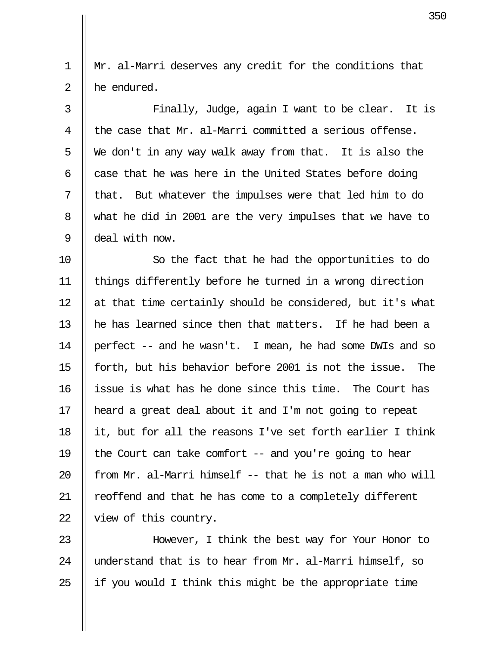1 Mr. al-Marri deserves any credit for the conditions that 2 || he endured.

3 || Finally, Judge, again I want to be clear. It is 4  $\parallel$  the case that Mr. al-Marri committed a serious offense. 5  $\parallel$  We don't in any way walk away from that. It is also the 6  $\parallel$  case that he was here in the United States before doing  $7$  || that. But whatever the impulses were that led him to do 8 What he did in 2001 are the very impulses that we have to 9 deal with now.

10 || So the fact that he had the opportunities to do 11 things differently before he turned in a wrong direction 12  $\parallel$  at that time certainly should be considered, but it's what 13  $\parallel$  he has learned since then that matters. If he had been a 14 perfect -- and he wasn't. I mean, he had some DWIs and so 15 forth, but his behavior before 2001 is not the issue. The 16 issue is what has he done since this time. The Court has 17 heard a great deal about it and I'm not going to repeat 18  $\parallel$  it, but for all the reasons I've set forth earlier I think 19  $\parallel$  the Court can take comfort -- and you're going to hear 20  $\parallel$  from Mr. al-Marri himself -- that he is not a man who will 21 || reoffend and that he has come to a completely different 22 | view of this country.

23 However, I think the best way for Your Honor to 24 || understand that is to hear from Mr. al-Marri himself, so 25  $\parallel$  if you would I think this might be the appropriate time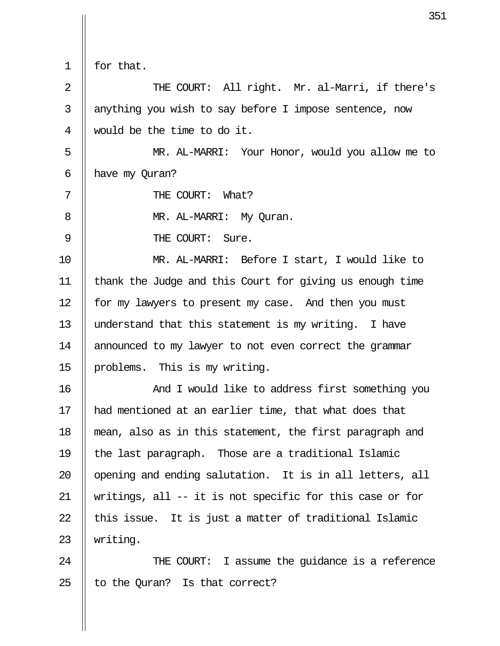1 for that.

2 || THE COURT: All right. Mr. al-Marri, if there's 3 || anything you wish to say before I impose sentence, now 4 would be the time to do it.

5 || MR. AL-MARRI: Your Honor, would you allow me to 6  $\parallel$  have my Quran?

7 || THE COURT: What?

8 || MR. AL-MARRI: My Ouran.

9 || THE COURT: Sure.

10 MR. AL-MARRI: Before I start, I would like to 11 thank the Judge and this Court for giving us enough time 12 | for my lawyers to present my case. And then you must 13 understand that this statement is my writing. I have 14 | announced to my lawyer to not even correct the grammar 15 problems. This is my writing.

16 || And I would like to address first something you 17 had mentioned at an earlier time, that what does that 18 mean, also as in this statement, the first paragraph and 19  $\parallel$  the last paragraph. Those are a traditional Islamic  $20$   $\parallel$  opening and ending salutation. It is in all letters, all 21 writings, all -- it is not specific for this case or for  $22$  || this issue. It is just a matter of traditional Islamic 23 writing.

24 || THE COURT: I assume the quidance is a reference 25  $\parallel$  to the Quran? Is that correct?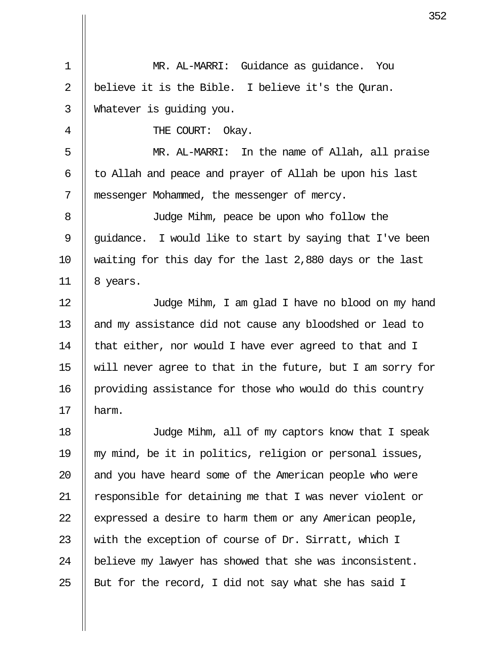1 MR. AL-MARRI: Guidance as guidance. You 2 || believe it is the Bible. I believe it's the Quran. 3 Whatever is guiding you. 4 **FILE COURT:** Okay. 5 MR. AL-MARRI: In the name of Allah, all praise  $6$  || to Allah and peace and prayer of Allah be upon his last 7 messenger Mohammed, the messenger of mercy. 8 Judge Mihm, peace be upon who follow the 9  $\parallel$  quidance. I would like to start by saying that I've been 10 waiting for this day for the last 2,880 days or the last  $11 \parallel 8 \text{ years}.$ 12 Judge Mihm, I am glad I have no blood on my hand 13 || and my assistance did not cause any bloodshed or lead to 14  $\parallel$  that either, nor would I have ever agreed to that and I 15 will never agree to that in the future, but I am sorry for 16 || providing assistance for those who would do this country  $17$  | harm. 18 Judge Mihm, all of my captors know that I speak 19 my mind, be it in politics, religion or personal issues,  $20$  || and you have heard some of the American people who were 21  $\parallel$  responsible for detaining me that I was never violent or 22  $\parallel$  expressed a desire to harm them or any American people, 23  $\parallel$  with the exception of course of Dr. Sirratt, which I

25  $\parallel$  But for the record, I did not say what she has said I

24 | believe my lawyer has showed that she was inconsistent.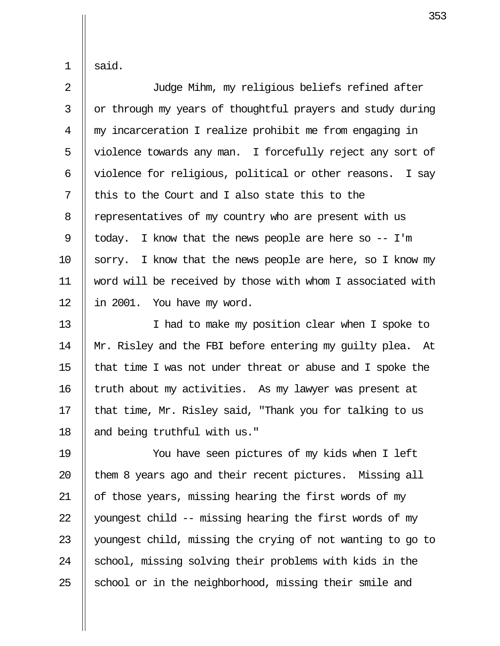$1 \parallel$  said.

 2 Judge Mihm, my religious beliefs refined after  $3 \parallel$  or through my years of thoughtful prayers and study during 4 my incarceration I realize prohibit me from engaging in 5 || violence towards any man. I forcefully reject any sort of 6 || violence for religious, political or other reasons. I say  $7$   $\parallel$  this to the Court and I also state this to the 8 | representatives of my country who are present with us 9 | today. I know that the news people are here so  $-$  I'm 10  $\parallel$  sorry. I know that the news people are here, so I know my 11 word will be received by those with whom I associated with  $12$  || in 2001. You have my word.

13 || I had to make my position clear when I spoke to 14 Mr. Risley and the FBI before entering my guilty plea. At 15  $\parallel$  that time I was not under threat or abuse and I spoke the 16 | truth about my activities. As my lawyer was present at 17  $\parallel$  that time, Mr. Risley said, "Thank you for talking to us 18 and being truthful with us."

19 You have seen pictures of my kids when I left || them 8 years ago and their recent pictures. Missing all  $\parallel$  of those years, missing hearing the first words of my  $\parallel$  youngest child -- missing hearing the first words of my 23 youngest child, missing the crying of not wanting to go to  $\parallel$  school, missing solving their problems with kids in the || school or in the neighborhood, missing their smile and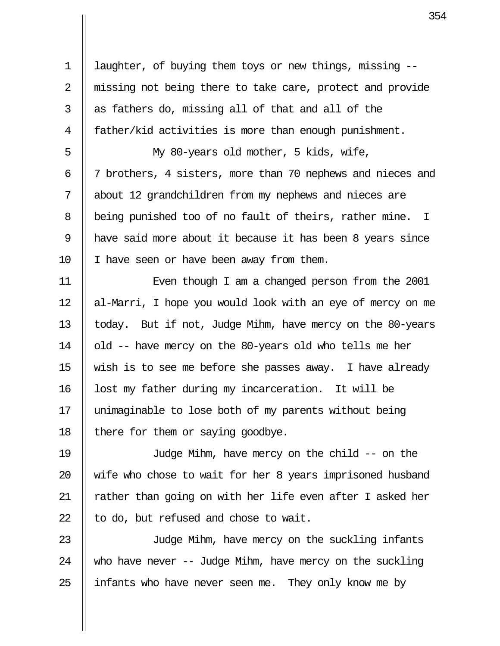1 | laughter, of buying them toys or new things, missing --2 || missing not being there to take care, protect and provide  $3 \parallel$  as fathers do, missing all of that and all of the 4 | father/kid activities is more than enough punishment. 5 My 80-years old mother, 5 kids, wife, 6 7 brothers, 4 sisters, more than 70 nephews and nieces and 7 about 12 grandchildren from my nephews and nieces are 8 | being punished too of no fault of theirs, rather mine. I 9 have said more about it because it has been 8 years since 10 | I have seen or have been away from them. 11 || Even though I am a changed person from the 2001 12 || al-Marri, I hope you would look with an eye of mercy on me 13 || today. But if not, Judge Mihm, have mercy on the 80-years 14 | old -- have mercy on the 80-years old who tells me her 15  $\parallel$  wish is to see me before she passes away. I have already 16 | lost my father during my incarceration. It will be 17 unimaginable to lose both of my parents without being 18  $\parallel$  there for them or saying goodbye. 19 Judge Mihm, have mercy on the child -- on the 20  $\parallel$  wife who chose to wait for her 8 years imprisoned husband 21  $\parallel$  rather than going on with her life even after I asked her  $22$  | to do, but refused and chose to wait. 23 || Judge Mihm, have mercy on the suckling infants 24  $\parallel$  who have never -- Judge Mihm, have mercy on the suckling

25  $\parallel$  infants who have never seen me. They only know me by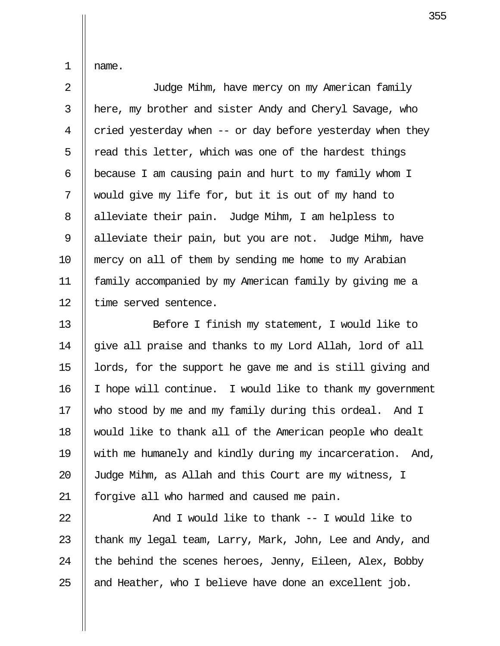1 name.

 2 Judge Mihm, have mercy on my American family 3 here, my brother and sister Andy and Cheryl Savage, who 4  $\parallel$  cried yesterday when -- or day before yesterday when they 5  $\parallel$  read this letter, which was one of the hardest things 6  $\parallel$  because I am causing pain and hurt to my family whom I 7 would give my life for, but it is out of my hand to 8 || alleviate their pain. Judge Mihm, I am helpless to 9 | alleviate their pain, but you are not. Judge Mihm, have 10 mercy on all of them by sending me home to my Arabian 11 family accompanied by my American family by giving me a 12 || time served sentence.

13 Before I finish my statement, I would like to 14  $\parallel$  give all praise and thanks to my Lord Allah, lord of all 15  $\parallel$  lords, for the support he gave me and is still giving and 16 I hope will continue. I would like to thank my government 17 Who stood by me and my family during this ordeal. And I 18 would like to thank all of the American people who dealt 19 with me humanely and kindly during my incarceration. And, 20 || Judge Mihm, as Allah and this Court are my witness, I 21 || forgive all who harmed and caused me pain.

 $\parallel$  And I would like to thank -- I would like to  $\parallel$  thank my legal team, Larry, Mark, John, Lee and Andy, and  $\parallel$  the behind the scenes heroes, Jenny, Eileen, Alex, Bobby || and Heather, who I believe have done an excellent job.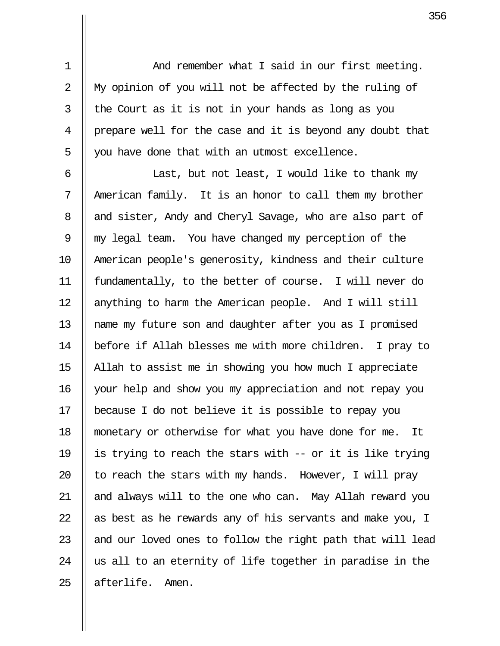1 || And remember what I said in our first meeting. 2 || My opinion of you will not be affected by the ruling of  $3 \parallel$  the Court as it is not in your hands as long as you 4 prepare well for the case and it is beyond any doubt that  $5 \parallel$  you have done that with an utmost excellence.

 $6$  ||  $2$  Last, but not least, I would like to thank my 7 || American family. It is an honor to call them my brother 8 || and sister, Andy and Cheryl Savage, who are also part of 9 || my legal team. You have changed my perception of the 10 American people's generosity, kindness and their culture 11 fundamentally, to the better of course. I will never do 12 || anything to harm the American people. And I will still 13 name my future son and daughter after you as I promised 14 before if Allah blesses me with more children. I pray to 15 Allah to assist me in showing you how much I appreciate 16 your help and show you my appreciation and not repay you 17 because I do not believe it is possible to repay you 18 monetary or otherwise for what you have done for me. It 19  $\parallel$  is trying to reach the stars with -- or it is like trying 20  $\parallel$  to reach the stars with my hands. However, I will pray 21 || and always will to the one who can. May Allah reward you 22  $\parallel$  as best as he rewards any of his servants and make you, I 23  $\parallel$  and our loved ones to follow the right path that will lead  $24$   $\parallel$  us all to an eternity of life together in paradise in the 25 || afterlife. Amen.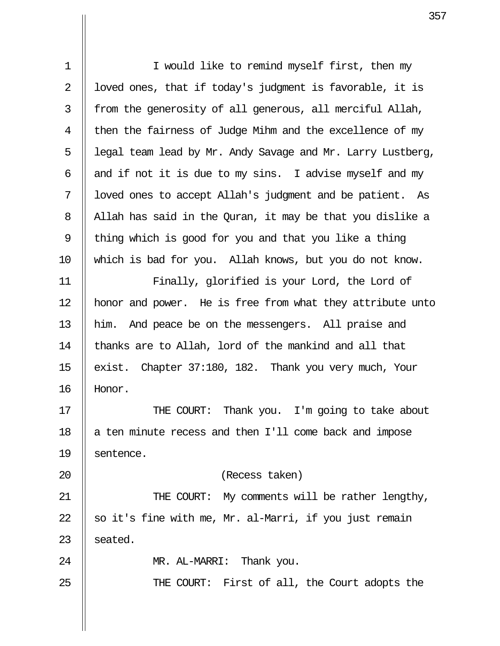| $\mathbf 1$ | I would like to remind myself first, then my               |
|-------------|------------------------------------------------------------|
| 2           | loved ones, that if today's judgment is favorable, it is   |
| 3           | from the generosity of all generous, all merciful Allah,   |
| 4           | then the fairness of Judge Mihm and the excellence of my   |
| 5           | legal team lead by Mr. Andy Savage and Mr. Larry Lustberg, |
| 6           | and if not it is due to my sins. I advise myself and my    |
| 7           | loved ones to accept Allah's judgment and be patient. As   |
| 8           | Allah has said in the Quran, it may be that you dislike a  |
| $\mathsf 9$ | thing which is good for you and that you like a thing      |
| 10          | which is bad for you. Allah knows, but you do not know.    |
| 11          | Finally, glorified is your Lord, the Lord of               |
| 12          | honor and power. He is free from what they attribute unto  |
| 13          | him. And peace be on the messengers. All praise and        |
| 14          | thanks are to Allah, lord of the mankind and all that      |
| 15          | exist. Chapter 37:180, 182. Thank you very much, Your      |
| 16          | Honor.                                                     |
| 17          | THE COURT: Thank you. I'm going to take about              |
| 18          | a ten minute recess and then I'll come back and impose     |
| 19          | sentence.                                                  |
| 20          | (Recess taken)                                             |
| 21          | THE COURT: My comments will be rather lengthy,             |
| 22          | so it's fine with me, Mr. al-Marri, if you just remain     |
| 23          | seated.                                                    |
| 24          | MR. AL-MARRI: Thank you.                                   |
| 25          | THE COURT: First of all, the Court adopts the              |
|             |                                                            |

 $\overline{\mathsf{I}}$ 

 $\prod$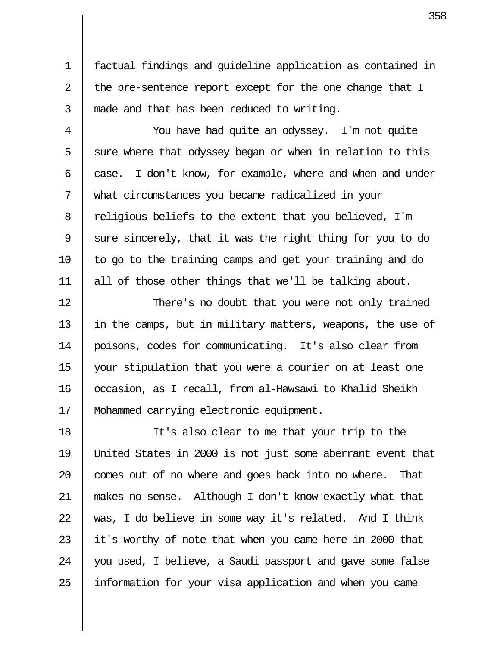1 factual findings and guideline application as contained in 2  $\parallel$  the pre-sentence report except for the one change that I  $3$  || made and that has been reduced to writing.

 4 You have had quite an odyssey. I'm not quite  $5 \parallel$  sure where that odyssey began or when in relation to this 6  $\parallel$  case. I don't know, for example, where and when and under 7 what circumstances you became radicalized in your 8 | religious beliefs to the extent that you believed, I'm 9  $\parallel$  sure sincerely, that it was the right thing for you to do  $10$  | to go to the training camps and get your training and do 11 all of those other things that we'll be talking about.

12 || There's no doubt that you were not only trained 13 || in the camps, but in military matters, weapons, the use of 14 poisons, codes for communicating. It's also clear from 15 your stipulation that you were a courier on at least one 16 || occasion, as I recall, from al-Hawsawi to Khalid Sheikh 17 Mohammed carrying electronic equipment.

18 It's also clear to me that your trip to the 19 United States in 2000 is not just some aberrant event that  $20$  || comes out of no where and goes back into no where. That 21 makes no sense. Although I don't know exactly what that 22  $\parallel$  was, I do believe in some way it's related. And I think 23  $\parallel$  it's worthy of note that when you came here in 2000 that 24 || you used, I believe, a Saudi passport and gave some false 25 || information for your visa application and when you came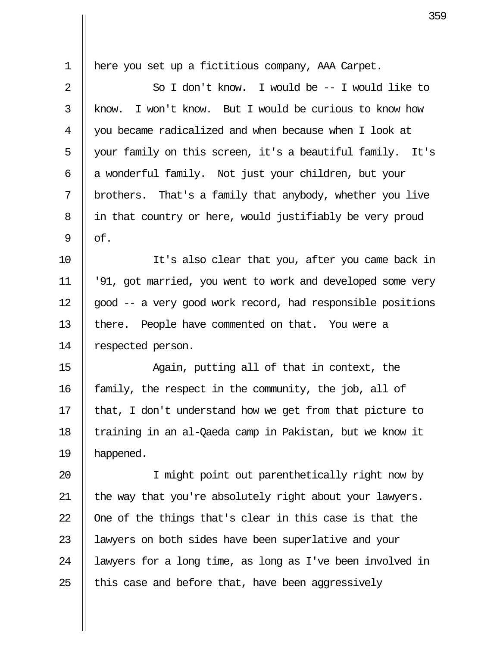| $\mathbf 1$ | here you set up a fictitious company, AAA Carpet.          |
|-------------|------------------------------------------------------------|
| 2           | So I don't know. I would be -- I would like to             |
| 3           | I won't know. But I would be curious to know how<br>know.  |
| 4           | you became radicalized and when because when I look at     |
| 5           | your family on this screen, it's a beautiful family. It's  |
| 6           | a wonderful family. Not just your children, but your       |
| 7           | brothers. That's a family that anybody, whether you live   |
| 8           | in that country or here, would justifiably be very proud   |
| 9           | of.                                                        |
| 10          | It's also clear that you, after you came back in           |
| 11          | '91, got married, you went to work and developed some very |
| 12          | good -- a very good work record, had responsible positions |
| 13          | there. People have commented on that. You were a           |
| 14          | respected person.                                          |
| 15          | Again, putting all of that in context, the                 |
| 16          | family, the respect in the community, the job, all of      |
| 17          | that, I don't understand how we get from that picture to   |
| 18          | training in an al-Qaeda camp in Pakistan, but we know it   |
| 19          | happened.                                                  |
| 20          | I might point out parenthetically right now by             |
| 21          | the way that you're absolutely right about your lawyers.   |
| 22          | One of the things that's clear in this case is that the    |
| 23          | lawyers on both sides have been superlative and your       |
| 24          | lawyers for a long time, as long as I've been involved in  |
| 25          | this case and before that, have been aggressively          |

 $\parallel$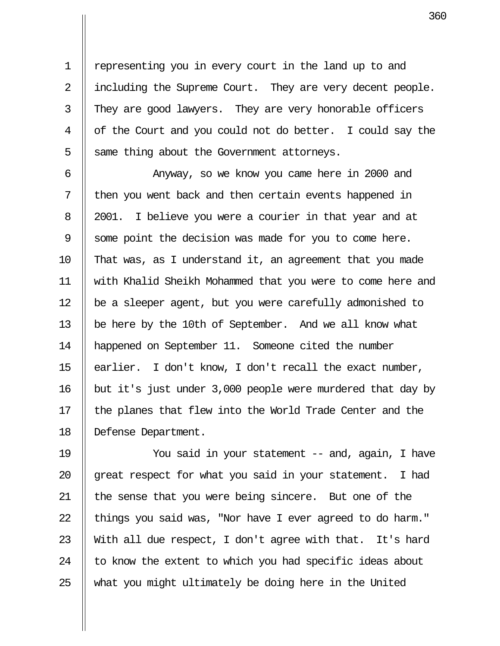1 || representing you in every court in the land up to and 2 | including the Supreme Court. They are very decent people. 3 They are good lawyers. They are very honorable officers 4 || of the Court and you could not do better. I could say the  $5 \parallel$  same thing about the Government attorneys.

6 || Anyway, so we know you came here in 2000 and 7 || then you went back and then certain events happened in 8 || 2001. I believe you were a courier in that year and at 9 Some point the decision was made for you to come here. 10 That was, as I understand it, an agreement that you made 11 with Khalid Sheikh Mohammed that you were to come here and 12 || be a sleeper agent, but you were carefully admonished to 13 | be here by the 10th of September. And we all know what 14 happened on September 11. Someone cited the number 15  $\parallel$  earlier. I don't know, I don't recall the exact number, 16 but it's just under 3,000 people were murdered that day by 17  $\parallel$  the planes that flew into the World Trade Center and the 18 || Defense Department.

19 You said in your statement -- and, again, I have  $\parallel$  great respect for what you said in your statement. I had 21 || the sense that you were being sincere. But one of the  $\parallel$  things you said was, "Nor have I ever agreed to do harm."  $\parallel$  With all due respect, I don't agree with that. It's hard  $\parallel$  to know the extent to which you had specific ideas about  $\parallel$  what you might ultimately be doing here in the United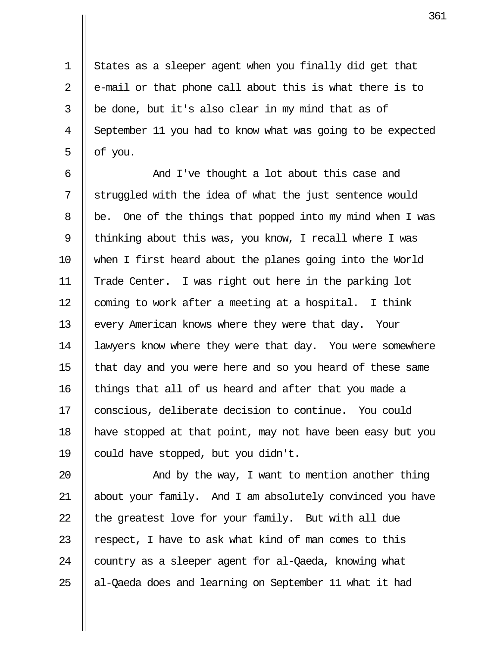1 States as a sleeper agent when you finally did get that 2  $\parallel$  e-mail or that phone call about this is what there is to  $3 \parallel$  be done, but it's also clear in my mind that as of 4 September 11 you had to know what was going to be expected  $5 \parallel$  of you.

6 || And I've thought a lot about this case and 7 Struggled with the idea of what the just sentence would 8 | be. One of the things that popped into my mind when I was 9 | thinking about this was, you know, I recall where I was 10 when I first heard about the planes going into the World 11 Trade Center. I was right out here in the parking lot 12  $\parallel$  coming to work after a meeting at a hospital. I think 13 | every American knows where they were that day. Your 14 | lawyers know where they were that day. You were somewhere 15 that day and you were here and so you heard of these same 16 || things that all of us heard and after that you made a 17 || conscious, deliberate decision to continue. You could 18 have stopped at that point, may not have been easy but you 19 | could have stopped, but you didn't.

20 || The Way, I want to mention another thing 21 about your family. And I am absolutely convinced you have 22  $\parallel$  the greatest love for your family. But with all due 23  $\parallel$  respect, I have to ask what kind of man comes to this 24 | country as a sleeper agent for al-Qaeda, knowing what 25  $\parallel$  al-Qaeda does and learning on September 11 what it had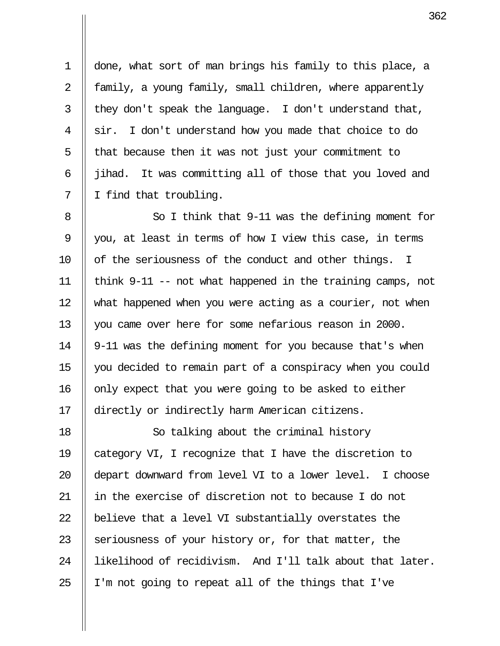1 done, what sort of man brings his family to this place, a 2 || family, a young family, small children, where apparently  $3$  || they don't speak the language. I don't understand that, 4 sir. I don't understand how you made that choice to do  $5$  | that because then it was not just your commitment to 6 jihad. It was committing all of those that you loved and 7 || I find that troubling.

8 || So I think that 9-11 was the defining moment for 9 || you, at least in terms of how I view this case, in terms 10 || of the seriousness of the conduct and other things. I 11 || think 9-11 -- not what happened in the training camps, not 12 what happened when you were acting as a courier, not when 13  $\parallel$  you came over here for some nefarious reason in 2000. 14 9-11 was the defining moment for you because that's when 15 you decided to remain part of a conspiracy when you could 16 || only expect that you were going to be asked to either 17 || directly or indirectly harm American citizens.

18 || So talking about the criminal history 19 category VI, I recognize that I have the discretion to 20 || depart downward from level VI to a lower level. I choose 21 in the exercise of discretion not to because I do not 22  $\parallel$  believe that a level VI substantially overstates the 23 Seriousness of your history or, for that matter, the 24 || likelihood of recidivism. And I'll talk about that later. 25  $\parallel$  I'm not going to repeat all of the things that I've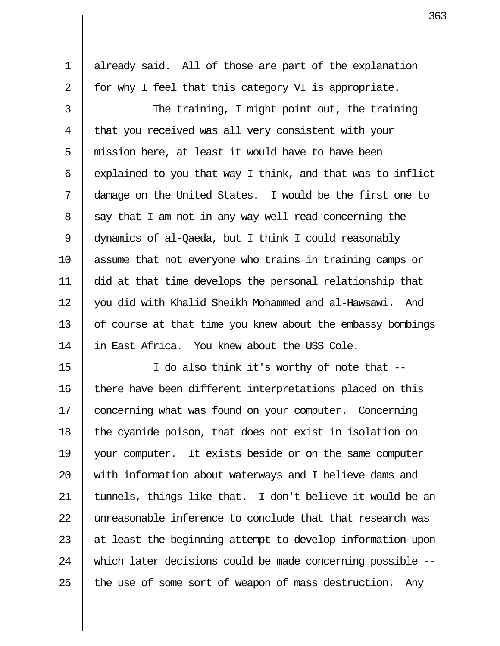1 || already said. All of those are part of the explanation 2  $\parallel$  for why I feel that this category VI is appropriate.

3 || The training, I might point out, the training 4 || that you received was all very consistent with your  $5$  || mission here, at least it would have to have been 6  $\parallel$  explained to you that way I think, and that was to inflict 7 damage on the United States. I would be the first one to  $8 \parallel$  say that I am not in any way well read concerning the 9 dynamics of al-Qaeda, but I think I could reasonably 10 assume that not everyone who trains in training camps or 11 did at that time develops the personal relationship that 12 || you did with Khalid Sheikh Mohammed and al-Hawsawi. And 13 | of course at that time you knew about the embassy bombings 14 || in East Africa. You knew about the USS Cole.

15  $\parallel$  I do also think it's worthy of note that  $-$ 16 || there have been different interpretations placed on this 17 | concerning what was found on your computer. Concerning 18 || the cyanide poison, that does not exist in isolation on 19 your computer. It exists beside or on the same computer 20 || with information about waterways and I believe dams and 21  $\parallel$  tunnels, things like that. I don't believe it would be an 22 Uunreasonable inference to conclude that that research was 23  $\parallel$  at least the beginning attempt to develop information upon 24 || which later decisions could be made concerning possible --25  $\parallel$  the use of some sort of weapon of mass destruction. Any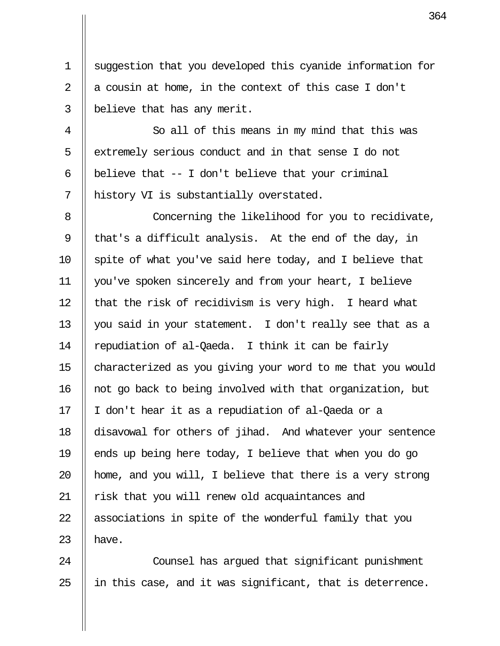1 suggestion that you developed this cyanide information for 2  $\parallel$  a cousin at home, in the context of this case I don't 3 | believe that has any merit.

4 || So all of this means in my mind that this was 5 | extremely serious conduct and in that sense I do not 6 | believe that  $-$  I don't believe that your criminal 7 || history VI is substantially overstated.

8 || Concerning the likelihood for you to recidivate, 9 || that's a difficult analysis. At the end of the day, in  $10$  || spite of what you've said here today, and I believe that 11 you've spoken sincerely and from your heart, I believe 12  $\parallel$  that the risk of recidivism is very high. I heard what 13 you said in your statement. I don't really see that as a 14  $\parallel$  repudiation of al-Qaeda. I think it can be fairly 15 characterized as you giving your word to me that you would 16 not go back to being involved with that organization, but 17 || I don't hear it as a repudiation of al-Qaeda or a 18 disavowal for others of jihad. And whatever your sentence 19  $\parallel$  ends up being here today, I believe that when you do go 20  $\parallel$  home, and you will, I believe that there is a very strong 21 || risk that you will renew old acquaintances and 22 || associations in spite of the wonderful family that you 23  $\parallel$  have.

24 || Counsel has arqued that significant punishment  $25$  || in this case, and it was significant, that is deterrence.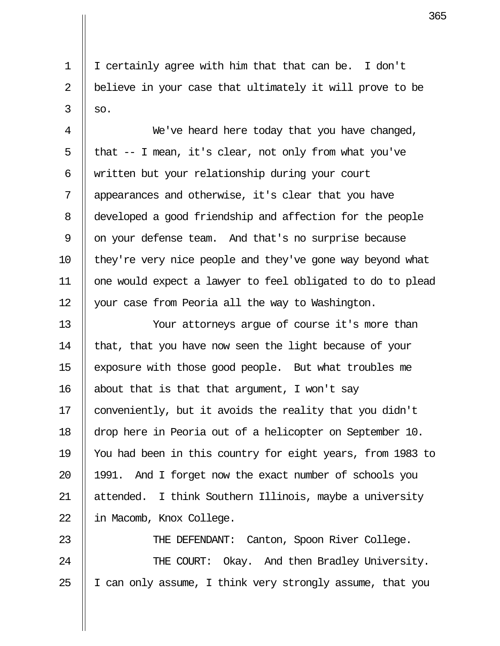1 I certainly agree with him that that can be. I don't 2 || believe in your case that ultimately it will prove to be  $3 \parallel so.$ 

4 || We've heard here today that you have changed, 5 | that  $-$  I mean, it's clear, not only from what you've 6 || written but your relationship during your court 7 || appearances and otherwise, it's clear that you have 8 developed a good friendship and affection for the people 9 || on your defense team. And that's no surprise because 10 || they're very nice people and they've gone way beyond what 11 one would expect a lawyer to feel obligated to do to plead 12 | your case from Peoria all the way to Washington.

13 Your attorneys argue of course it's more than 14  $\parallel$  that, that you have now seen the light because of your 15 exposure with those good people. But what troubles me 16  $\parallel$  about that is that that argument, I won't say 17 | conveniently, but it avoids the reality that you didn't 18 drop here in Peoria out of a helicopter on September 10. 19 You had been in this country for eight years, from 1983 to 20 || 1991. And I forget now the exact number of schools you 21 || attended. I think Southern Illinois, maybe a university 22 | in Macomb, Knox College.

23 || THE DEFENDANT: Canton, Spoon River College. 24 || THE COURT: Okay. And then Bradley University. 25  $\parallel$  I can only assume, I think very strongly assume, that you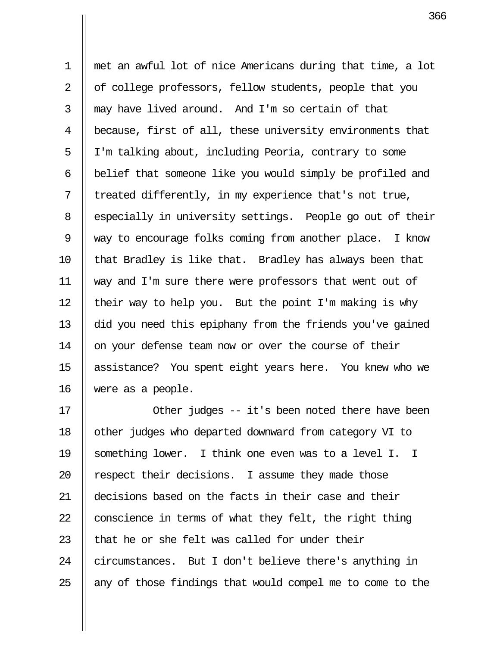1 met an awful lot of nice Americans during that time, a lot 2 || of college professors, fellow students, people that you  $3 \parallel$  may have lived around. And I'm so certain of that 4 because, first of all, these university environments that 5 | I'm talking about, including Peoria, contrary to some  $6$  || belief that someone like you would simply be profiled and  $7 \parallel$  treated differently, in my experience that's not true, 8 | especially in university settings. People go out of their 9 way to encourage folks coming from another place. I know 10  $\parallel$  that Bradley is like that. Bradley has always been that 11 way and I'm sure there were professors that went out of 12  $\parallel$  their way to help you. But the point I'm making is why 13 did you need this epiphany from the friends you've gained 14 | on your defense team now or over the course of their 15 || assistance? You spent eight years here. You knew who we 16 were as a people.

17 || Other judges -- it's been noted there have been 18 | other judges who departed downward from category VI to 19 Something lower. I think one even was to a level I. I 20  $\parallel$  respect their decisions. I assume they made those 21 decisions based on the facts in their case and their 22  $\parallel$  conscience in terms of what they felt, the right thing 23  $\parallel$  that he or she felt was called for under their 24 circumstances. But I don't believe there's anything in  $25$  || any of those findings that would compel me to come to the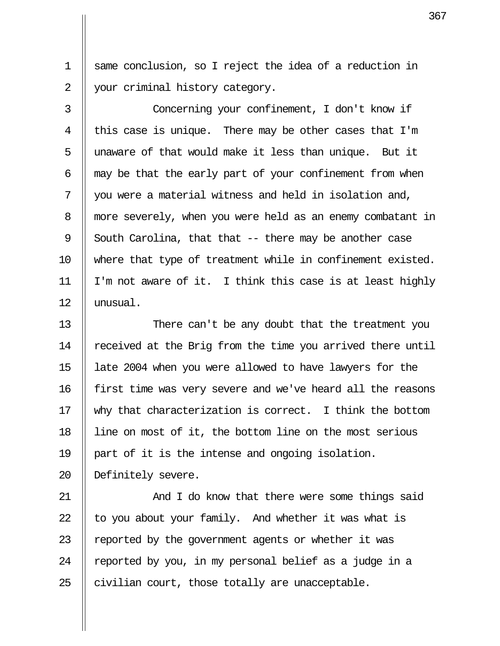1 same conclusion, so I reject the idea of a reduction in 2 || your criminal history category.

 3 Concerning your confinement, I don't know if 4  $\parallel$  this case is unique. There may be other cases that I'm 5 || unaware of that would make it less than unique. But it  $6$  || may be that the early part of your confinement from when  $7 \parallel$  you were a material witness and held in isolation and, 8 || more severely, when you were held as an enemy combatant in 9 South Carolina, that that  $-$ - there may be another case 10 || where that type of treatment while in confinement existed. 11  $\parallel$  I'm not aware of it. I think this case is at least highly 12 unusual.

13 || There can't be any doubt that the treatment you 14 | received at the Brig from the time you arrived there until 15 late 2004 when you were allowed to have lawyers for the 16 first time was very severe and we've heard all the reasons 17 why that characterization is correct. I think the bottom 18 line on most of it, the bottom line on the most serious 19 part of it is the intense and ongoing isolation. 20 || Definitely severe.

21 And I do know that there were some things said  $\parallel$  to you about your family. And whether it was what is  $\parallel$  reported by the government agents or whether it was  $\parallel$  reported by you, in my personal belief as a judge in a  $\parallel$  civilian court, those totally are unacceptable.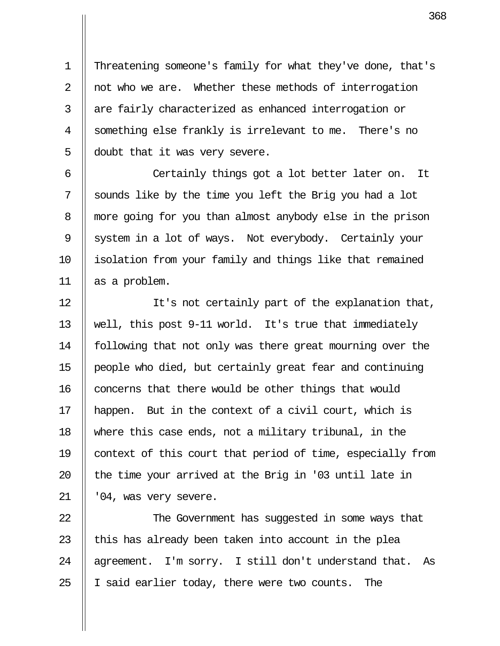1 Threatening someone's family for what they've done, that's 2 || not who we are. Whether these methods of interrogation 3 || are fairly characterized as enhanced interrogation or 4 Something else frankly is irrelevant to me. There's no 5 | doubt that it was very severe.

 6 Certainly things got a lot better later on. It  $7 \parallel$  sounds like by the time you left the Brig you had a lot 8 || more going for you than almost anybody else in the prison 9 System in a lot of ways. Not everybody. Certainly your 10 isolation from your family and things like that remained 11 as a problem.

12 || It's not certainly part of the explanation that, 13 well, this post 9-11 world. It's true that immediately 14 following that not only was there great mourning over the 15 people who died, but certainly great fear and continuing  $16$  concerns that there would be other things that would 17 || happen. But in the context of a civil court, which is 18 where this case ends, not a military tribunal, in the 19 context of this court that period of time, especially from 20  $\parallel$  the time your arrived at the Brig in '03 until late in  $21$  | '04, was very severe.

22 || The Government has suggested in some ways that 23  $\parallel$  this has already been taken into account in the plea 24 || agreement. I'm sorry. I still don't understand that. As 25  $\parallel$  I said earlier today, there were two counts. The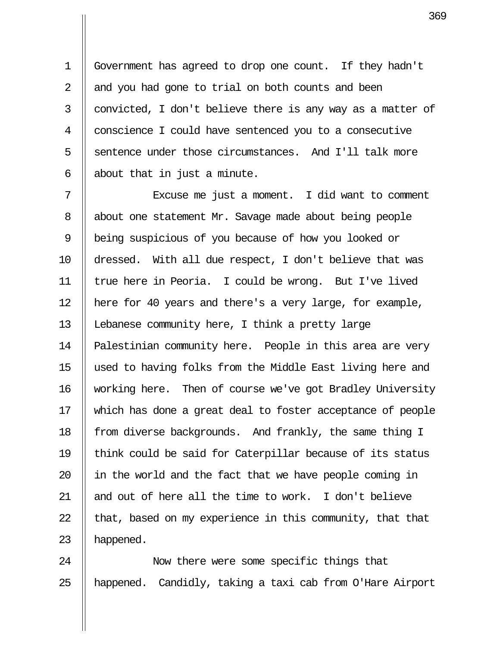1 Government has agreed to drop one count. If they hadn't 2  $\parallel$  and you had gone to trial on both counts and been  $3 \parallel$  convicted, I don't believe there is any way as a matter of 4 | conscience I could have sentenced you to a consecutive 5 S sentence under those circumstances. And I'll talk more  $6 \parallel$  about that in just a minute.

 7 Excuse me just a moment. I did want to comment 8 | about one statement Mr. Savage made about being people 9 || being suspicious of you because of how you looked or 10 dressed. With all due respect, I don't believe that was 11 true here in Peoria. I could be wrong. But I've lived 12 here for 40 years and there's a very large, for example, 13 || Lebanese community here, I think a pretty large 14 | Palestinian community here. People in this area are very 15 used to having folks from the Middle East living here and 16 working here. Then of course we've got Bradley University 17 which has done a great deal to foster acceptance of people 18 || from diverse backgrounds. And frankly, the same thing I 19 think could be said for Caterpillar because of its status  $20$  || in the world and the fact that we have people coming in 21  $\parallel$  and out of here all the time to work. I don't believe 22  $\parallel$  that, based on my experience in this community, that that 23  $\parallel$  happened.

24 || Now there were some specific things that 25 || happened. Candidly, taking a taxi cab from O'Hare Airport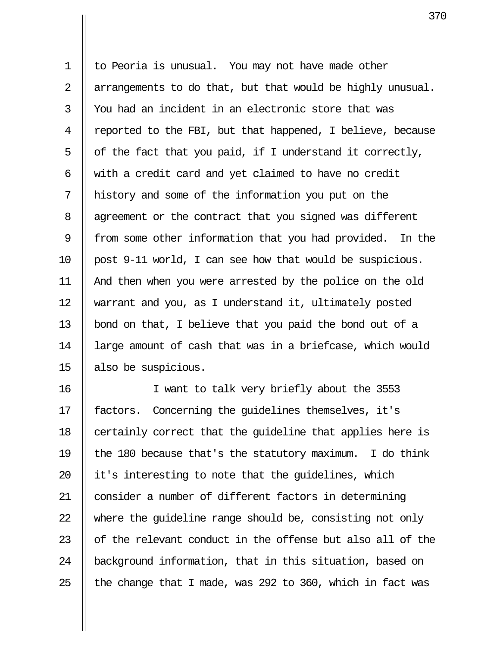1 | to Peoria is unusual. You may not have made other 2 | arrangements to do that, but that would be highly unusual.  $3 \parallel$  You had an incident in an electronic store that was 4  $\parallel$  reported to the FBI, but that happened, I believe, because  $5 \parallel$  of the fact that you paid, if I understand it correctly, 6  $\parallel$  with a credit card and yet claimed to have no credit 7 history and some of the information you put on the 8 | agreement or the contract that you signed was different 9 || from some other information that you had provided. In the 10 post 9-11 world, I can see how that would be suspicious. 11 And then when you were arrested by the police on the old 12 warrant and you, as I understand it, ultimately posted 13 | bond on that, I believe that you paid the bond out of a 14 large amount of cash that was in a briefcase, which would 15 also be suspicious.

16 I want to talk very briefly about the 3553 17 || factors. Concerning the quidelines themselves, it's 18  $\parallel$  certainly correct that the quideline that applies here is 19  $\parallel$  the 180 because that's the statutory maximum. I do think 20  $\parallel$  it's interesting to note that the quidelines, which 21 | consider a number of different factors in determining 22  $\parallel$  where the quideline range should be, consisting not only  $23$  || of the relevant conduct in the offense but also all of the 24 | background information, that in this situation, based on 25  $\parallel$  the change that I made, was 292 to 360, which in fact was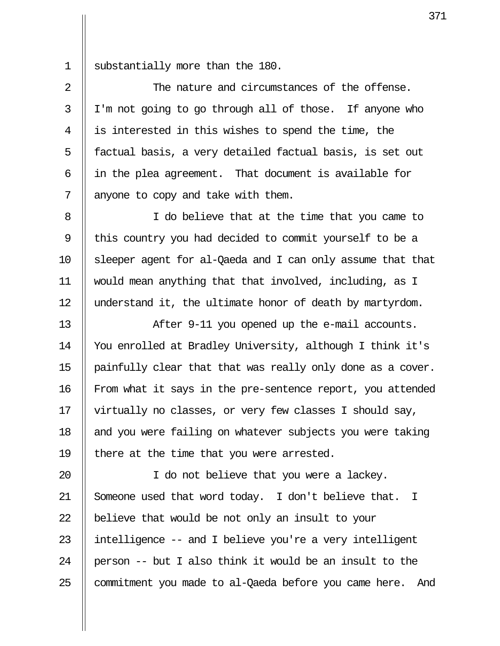1 || substantially more than the 180.

2  $\parallel$  The nature and circumstances of the offense. 3 I'm not going to go through all of those. If anyone who 4 is interested in this wishes to spend the time, the 5 || factual basis, a very detailed factual basis, is set out 6  $\parallel$  in the plea agreement. That document is available for  $7 \parallel$  anyone to copy and take with them.

8 || I do believe that at the time that you came to 9 || this country you had decided to commit yourself to be a 10 sleeper agent for al-Qaeda and I can only assume that that 11 would mean anything that that involved, including, as I 12 || understand it, the ultimate honor of death by martyrdom.

13 || After 9-11 you opened up the e-mail accounts. 14 You enrolled at Bradley University, although I think it's 15  $\parallel$  painfully clear that that was really only done as a cover. 16 | From what it says in the pre-sentence report, you attended 17 virtually no classes, or very few classes I should say, 18  $\parallel$  and you were failing on whatever subjects you were taking 19  $\parallel$  there at the time that you were arrested.

20 || I do not believe that you were a lackey. 21 Someone used that word today. I don't believe that. I 22  $\parallel$  believe that would be not only an insult to your 23  $\parallel$  intelligence -- and I believe you're a very intelligent 24 || person -- but I also think it would be an insult to the  $25$  || commitment you made to al-Qaeda before you came here. And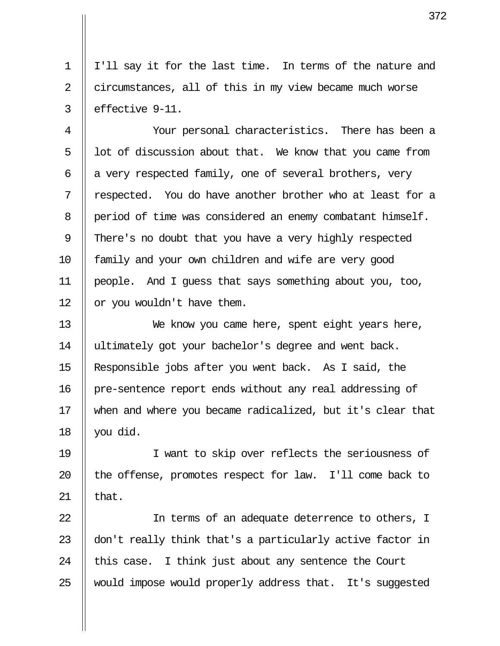1 I'll say it for the last time. In terms of the nature and 2 circumstances, all of this in my view became much worse  $3 \parallel$  effective 9-11.

 4 Your personal characteristics. There has been a  $5 \parallel$  lot of discussion about that. We know that you came from 6  $\parallel$  a very respected family, one of several brothers, very  $7$   $\parallel$  respected. You do have another brother who at least for a 8 | period of time was considered an enemy combatant himself. 9 There's no doubt that you have a very highly respected 10 || family and your own children and wife are very good 11 people. And I guess that says something about you, too, 12 | or you wouldn't have them.

13 || We know you came here, spent eight years here, 14 || ultimately got your bachelor's degree and went back. 15 Responsible jobs after you went back. As I said, the 16 pre-sentence report ends without any real addressing of 17 when and where you became radicalized, but it's clear that 18  $\parallel$  you did.

19 I want to skip over reflects the seriousness of 20  $\parallel$  the offense, promotes respect for law. I'll come back to 21  $\parallel$  that.

22 || In terms of an adequate deterrence to others, I 23  $\parallel$  don't really think that's a particularly active factor in 24  $\parallel$  this case. I think just about any sentence the Court 25 Would impose would properly address that. It's suggested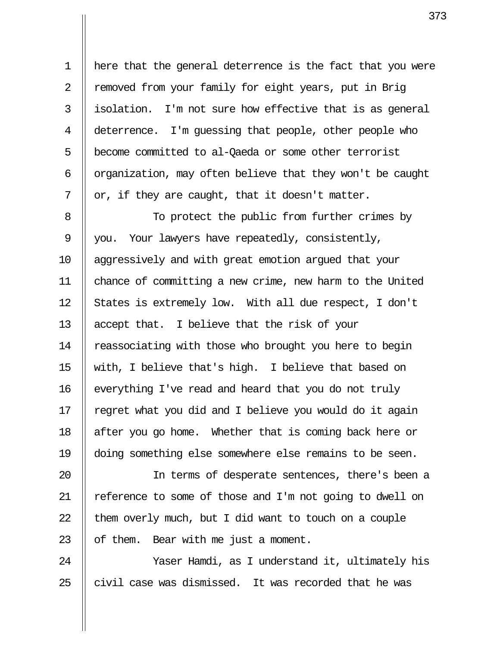1 here that the general deterrence is the fact that you were 2 || removed from your family for eight years, put in Brig  $3 \parallel$  isolation. I'm not sure how effective that is as general 4 deterrence. I'm quessing that people, other people who 5 | become committed to al-Qaeda or some other terrorist 6  $\parallel$  organization, may often believe that they won't be caught 7  $\parallel$  or, if they are caught, that it doesn't matter.

8 || To protect the public from further crimes by 9 || you. Your lawyers have repeatedly, consistently, 10 || aggressively and with great emotion argued that your 11 chance of committing a new crime, new harm to the United 12 States is extremely low. With all due respect, I don't 13 || accept that. I believe that the risk of your 14 | reassociating with those who brought you here to begin 15 with, I believe that's high. I believe that based on 16 | everything I've read and heard that you do not truly 17  $\parallel$  regret what you did and I believe you would do it again 18 | after you go home. Whether that is coming back here or 19 doing something else somewhere else remains to be seen.

20 In terms of desperate sentences, there's been a 21 || reference to some of those and I'm not going to dwell on 22  $\parallel$  them overly much, but I did want to touch on a couple 23  $\parallel$  of them. Bear with me just a moment.

24 || Yaser Hamdi, as I understand it, ultimately his 25  $\parallel$  civil case was dismissed. It was recorded that he was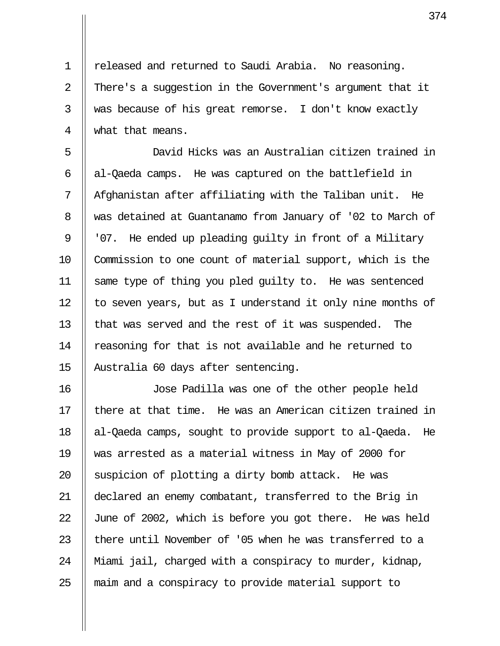1 | released and returned to Saudi Arabia. No reasoning. 2 || There's a suggestion in the Government's argument that it 3 Weding as because of his great remorse. I don't know exactly 4 what that means.

 5 David Hicks was an Australian citizen trained in  $6 \parallel$  al-Qaeda camps. He was captured on the battlefield in  $7$   $\parallel$  Afghanistan after affiliating with the Taliban unit. He 8 Was detained at Guantanamo from January of '02 to March of 9 || '07. He ended up pleading quilty in front of a Military 10 Commission to one count of material support, which is the 11 same type of thing you pled guilty to. He was sentenced 12 || to seven years, but as I understand it only nine months of 13 || that was served and the rest of it was suspended. The 14 || reasoning for that is not available and he returned to 15 Australia 60 days after sentencing.

16 Jose Padilla was one of the other people held  $17$   $\parallel$  there at that time. He was an American citizen trained in 18 al-Qaeda camps, sought to provide support to al-Qaeda. He 19 was arrested as a material witness in May of 2000 for 20  $\parallel$  suspicion of plotting a dirty bomb attack. He was 21 declared an enemy combatant, transferred to the Brig in 22  $\parallel$  June of 2002, which is before you got there. He was held 23  $\parallel$  there until November of '05 when he was transferred to a 24 Miami jail, charged with a conspiracy to murder, kidnap, 25 || maim and a conspiracy to provide material support to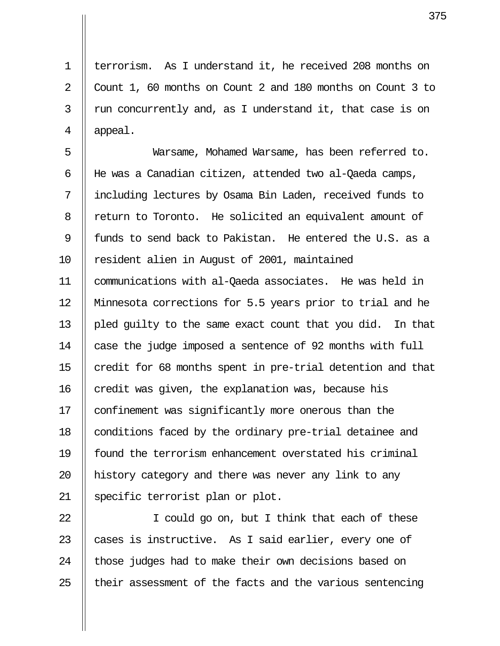1 || terrorism. As I understand it, he received 208 months on 2 Count 1, 60 months on Count 2 and 180 months on Count 3 to  $3 \parallel$  run concurrently and, as I understand it, that case is on  $4 \parallel$  appeal.

 5 Warsame, Mohamed Warsame, has been referred to. 6 He was a Canadian citizen, attended two al-Qaeda camps, 7 including lectures by Osama Bin Laden, received funds to 8 | return to Toronto. He solicited an equivalent amount of 9 || funds to send back to Pakistan. He entered the U.S. as a 10 || resident alien in August of 2001, maintained 11 communications with al-Qaeda associates. He was held in 12 Minnesota corrections for 5.5 years prior to trial and he 13 || pled quilty to the same exact count that you did. In that 14 || case the judge imposed a sentence of 92 months with full 15 || credit for 68 months spent in pre-trial detention and that  $16$  credit was given, the explanation was, because his 17 | confinement was significantly more onerous than the 18 | conditions faced by the ordinary pre-trial detainee and 19 found the terrorism enhancement overstated his criminal 20 || history category and there was never any link to any 21 || specific terrorist plan or plot.

22 || I could go on, but I think that each of these 23  $\parallel$  cases is instructive. As I said earlier, every one of 24 || those judges had to make their own decisions based on  $25$  || their assessment of the facts and the various sentencing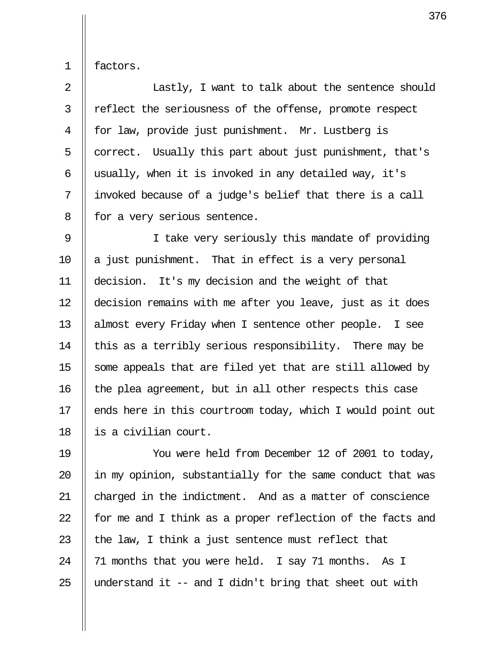1 factors.

2 || Lastly, I want to talk about the sentence should 3 || reflect the seriousness of the offense, promote respect 4 || for law, provide just punishment. Mr. Lustberg is  $5 \parallel$  correct. Usually this part about just punishment, that's 6  $\parallel$  usually, when it is invoked in any detailed way, it's 7 || invoked because of a judge's belief that there is a call 8 || for a very serious sentence.

9 || I take very seriously this mandate of providing 10  $\parallel$  a just punishment. That in effect is a very personal 11 decision. It's my decision and the weight of that 12 decision remains with me after you leave, just as it does 13 || almost every Friday when I sentence other people. I see 14  $\parallel$  this as a terribly serious responsibility. There may be 15  $\parallel$  some appeals that are filed yet that are still allowed by 16 || the plea agreement, but in all other respects this case 17 || ends here in this courtroom today, which I would point out 18 is a civilian court.

19 You were held from December 12 of 2001 to today,  $\parallel$  in my opinion, substantially for the same conduct that was 21 || charged in the indictment. And as a matter of conscience  $\parallel$  for me and I think as a proper reflection of the facts and  $\parallel$  the law, I think a just sentence must reflect that  $\parallel$  71 months that you were held. I say 71 months. As I  $\parallel$  understand it -- and I didn't bring that sheet out with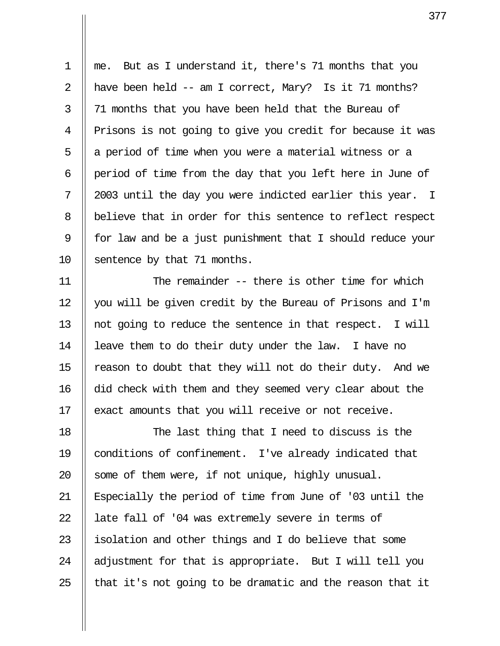1 me. But as I understand it, there's 71 months that you 2 || have been held  $--$  am I correct, Mary? Is it 71 months? 3 || 71 months that you have been held that the Bureau of 4 || Prisons is not going to give you credit for because it was 5 || a period of time when you were a material witness or a 6 || period of time from the day that you left here in June of  $7 \parallel 2003$  until the day you were indicted earlier this year. I 8 | believe that in order for this sentence to reflect respect 9 || for law and be a just punishment that I should reduce your 10 Sentence by that 71 months.

11 The remainder -- there is other time for which 12 you will be given credit by the Bureau of Prisons and I'm 13 || not going to reduce the sentence in that respect. I will 14 | leave them to do their duty under the law. I have no 15  $\parallel$  reason to doubt that they will not do their duty. And we 16 did check with them and they seemed very clear about the 17 || exact amounts that you will receive or not receive.

18 || The last thing that I need to discuss is the 19 conditions of confinement. I've already indicated that 20  $\parallel$  some of them were, if not unique, highly unusual. 21 Especially the period of time from June of '03 until the 22 || late fall of '04 was extremely severe in terms of 23  $\parallel$  isolation and other things and I do believe that some 24  $\parallel$  adjustment for that is appropriate. But I will tell you 25  $\parallel$  that it's not going to be dramatic and the reason that it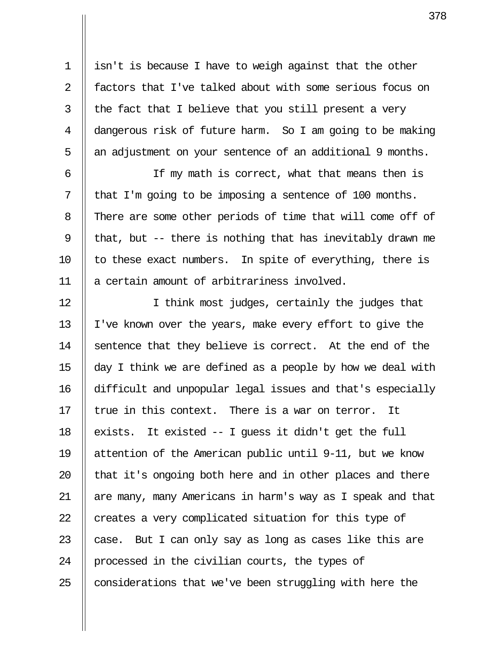1 | isn't is because I have to weigh against that the other 2 || factors that I've talked about with some serious focus on 3  $\parallel$  the fact that I believe that you still present a very 4 dangerous risk of future harm. So I am going to be making 5 || an adjustment on your sentence of an additional 9 months.

 6 If my math is correct, what that means then is 7 | that I'm going to be imposing a sentence of 100 months. 8 There are some other periods of time that will come off of 9 || that, but -- there is nothing that has inevitably drawn me 10  $\parallel$  to these exact numbers. In spite of everything, there is 11 || a certain amount of arbitrariness involved.

12 || I think most judges, certainly the judges that 13 I've known over the years, make every effort to give the 14 Sentence that they believe is correct. At the end of the 15  $\parallel$  day I think we are defined as a people by how we deal with 16 difficult and unpopular legal issues and that's especially 17  $\parallel$  true in this context. There is a war on terror. It 18  $\parallel$  exists. It existed -- I quess it didn't get the full 19 attention of the American public until 9-11, but we know 20  $\parallel$  that it's ongoing both here and in other places and there 21 are many, many Americans in harm's way as I speak and that 22  $\parallel$  creates a very complicated situation for this type of 23  $\parallel$  case. But I can only say as long as cases like this are 24 || processed in the civilian courts, the types of  $25$  | considerations that we've been struggling with here the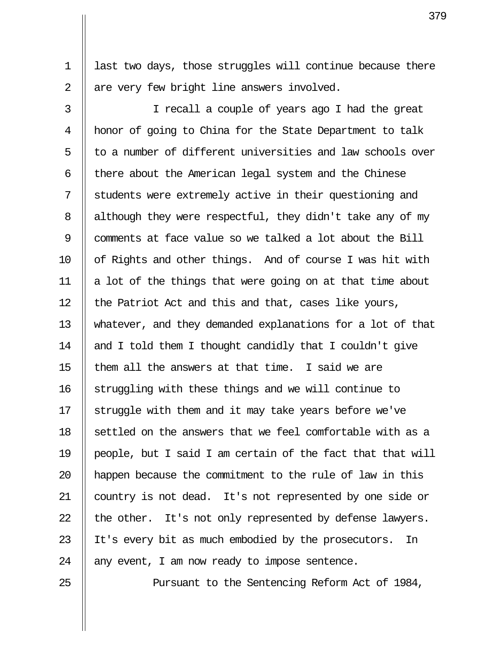1 | last two days, those struggles will continue because there  $2 \parallel$  are very few bright line answers involved.

 3 I recall a couple of years ago I had the great 4 honor of going to China for the State Department to talk  $5$   $\parallel$  to a number of different universities and law schools over 6  $\parallel$  there about the American legal system and the Chinese 7 Students were extremely active in their questioning and 8 | although they were respectful, they didn't take any of my 9 comments at face value so we talked a lot about the Bill 10 || of Rights and other things. And of course I was hit with 11  $\parallel$  a lot of the things that were going on at that time about 12  $\parallel$  the Patriot Act and this and that, cases like yours, 13 whatever, and they demanded explanations for a lot of that 14  $\parallel$  and I told them I thought candidly that I couldn't give 15  $\parallel$  them all the answers at that time. I said we are 16 || struggling with these things and we will continue to 17  $\parallel$  struggle with them and it may take years before we've  $18$   $\parallel$  settled on the answers that we feel comfortable with as a 19  $\parallel$  people, but I said I am certain of the fact that that will 20 || happen because the commitment to the rule of law in this 21 country is not dead. It's not represented by one side or 22  $\parallel$  the other. It's not only represented by defense lawyers. 23 || It's every bit as much embodied by the prosecutors. In 24  $\parallel$  any event, I am now ready to impose sentence.

25 || Pursuant to the Sentencing Reform Act of 1984,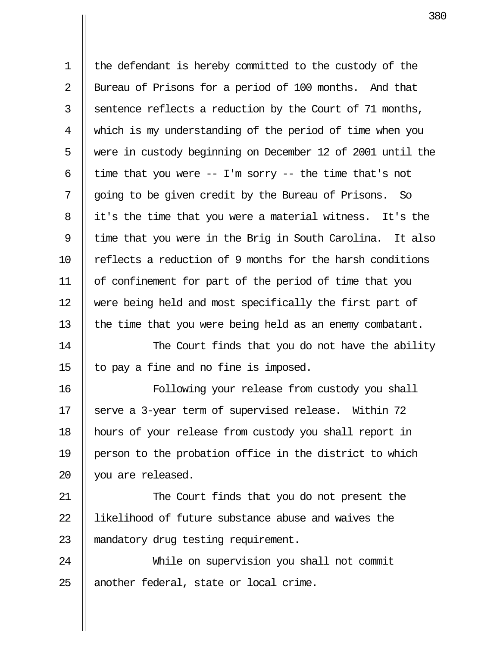1 the defendant is hereby committed to the custody of the 2 | Bureau of Prisons for a period of 100 months. And that  $3 \parallel$  sentence reflects a reduction by the Court of 71 months, 4 which is my understanding of the period of time when you 5 Were in custody beginning on December 12 of 2001 until the 6 | time that you were  $-$  I'm sorry  $-$  the time that's not 7 || going to be given credit by the Bureau of Prisons. So 8 || it's the time that you were a material witness. It's the  $9$  || time that you were in the Brig in South Carolina. It also 10 || reflects a reduction of 9 months for the harsh conditions 11 of confinement for part of the period of time that you 12 were being held and most specifically the first part of 13 || the time that you were being held as an enemy combatant.

14 || The Court finds that you do not have the ability 15  $\parallel$  to pay a fine and no fine is imposed.

16 Following your release from custody you shall 17 Serve a 3-year term of supervised release. Within 72 18 hours of your release from custody you shall report in 19 person to the probation office in the district to which 20 || you are released.

21 || The Court finds that you do not present the 22 Il likelihood of future substance abuse and waives the 23 || mandatory drug testing requirement.

24 While on supervision you shall not commit  $25$  || another federal, state or local crime.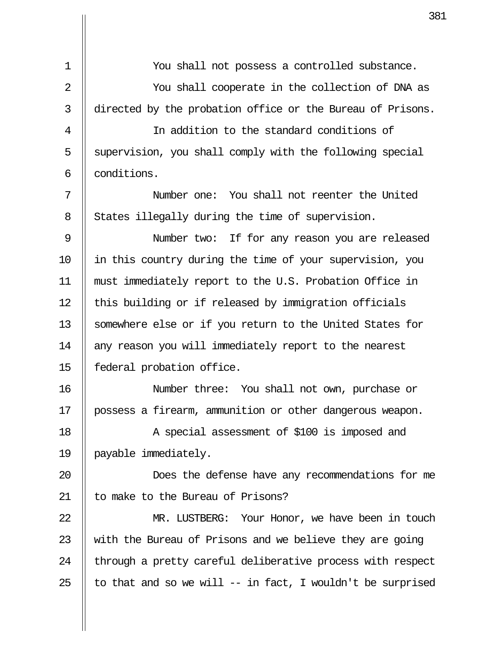|                | 38                                                           |
|----------------|--------------------------------------------------------------|
| $\mathbf 1$    | You shall not possess a controlled substance.                |
|                |                                                              |
| $\overline{2}$ | You shall cooperate in the collection of DNA as              |
| 3              | directed by the probation office or the Bureau of Prisons.   |
| $\overline{4}$ | In addition to the standard conditions of                    |
| 5              | supervision, you shall comply with the following special     |
| 6              | conditions.                                                  |
| 7              | Number one: You shall not reenter the United                 |
| 8              | States illegally during the time of supervision.             |
| 9              | Number two: If for any reason you are released               |
| 10             | in this country during the time of your supervision, you     |
| 11             | must immediately report to the U.S. Probation Office in      |
| 12             | this building or if released by immigration officials        |
| 13             | somewhere else or if you return to the United States for     |
| 14             | any reason you will immediately report to the nearest        |
| 15             | federal probation office.                                    |
| 16             | Number three: You shall not own, purchase or                 |
| 17             | possess a firearm, ammunition or other dangerous weapon.     |
| 18             | A special assessment of \$100 is imposed and                 |
| 19             | payable immediately.                                         |
| 20             | Does the defense have any recommendations for me             |
| 21             | to make to the Bureau of Prisons?                            |
| 22             | MR. LUSTBERG: Your Honor, we have been in touch              |
| 23             | with the Bureau of Prisons and we believe they are going     |
| 24             | through a pretty careful deliberative process with respect   |
| 25             | to that and so we will $--$ in fact, I wouldn't be surprised |

Ш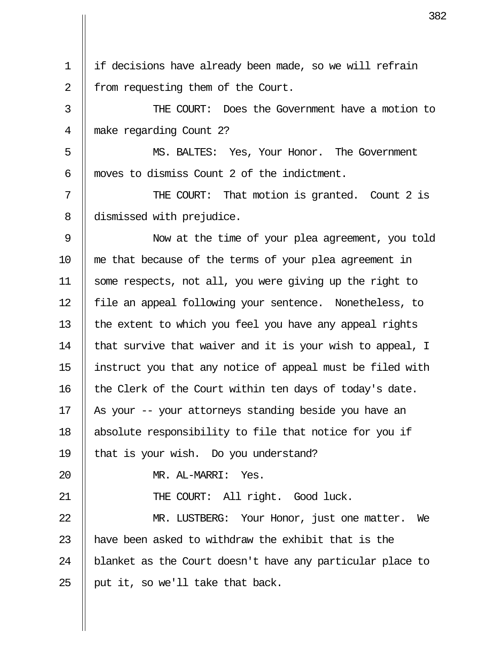1 if decisions have already been made, so we will refrain  $2 \parallel$  from requesting them of the Court.

 3 THE COURT: Does the Government have a motion to 4 make regarding Count 2?

 5 MS. BALTES: Yes, Your Honor. The Government 6 moves to dismiss Count 2 of the indictment.

7 || THE COURT: That motion is granted. Count 2 is 8 dismissed with prejudice.

 9 Now at the time of your plea agreement, you told 10 me that because of the terms of your plea agreement in 11 some respects, not all, you were giving up the right to 12 || file an appeal following your sentence. Nonetheless, to 13  $\parallel$  the extent to which you feel you have any appeal rights 14  $\parallel$  that survive that waiver and it is your wish to appeal, I 15 instruct you that any notice of appeal must be filed with 16 || the Clerk of the Court within ten days of today's date. 17 || As your -- your attorneys standing beside you have an 18 absolute responsibility to file that notice for you if 19 || that is your wish. Do you understand? 20 MR. AL-MARRI: Yes. 21 || THE COURT: All right. Good luck. 22 || MR. LUSTBERG: Your Honor, just one matter. We 23  $\parallel$  have been asked to withdraw the exhibit that is the

24 | blanket as the Court doesn't have any particular place to 25 || put it, so we'll take that back.